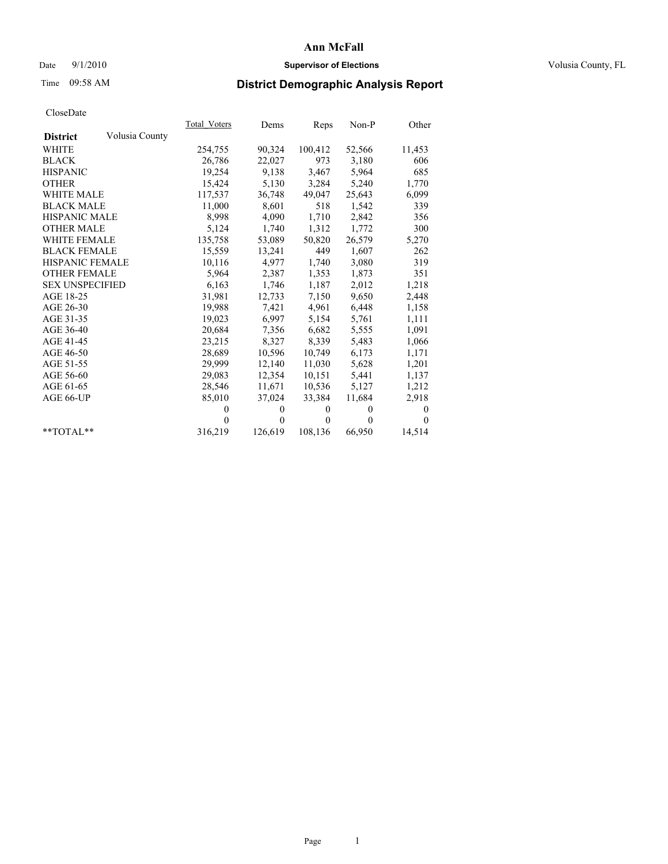## Date  $9/1/2010$  **Supervisor of Elections Supervisor of Elections** Volusia County, FL

## Time 09:58 AM **District Demographic Analysis Report**

|                                   | Total Voters | Dems         | Reps     | $Non-P$      | Other        |
|-----------------------------------|--------------|--------------|----------|--------------|--------------|
| Volusia County<br><b>District</b> |              |              |          |              |              |
| <b>WHITE</b>                      | 254,755      | 90,324       | 100,412  | 52,566       | 11,453       |
| <b>BLACK</b>                      | 26,786       | 22,027       | 973      | 3,180        | 606          |
| <b>HISPANIC</b>                   | 19,254       | 9,138        | 3,467    | 5,964        | 685          |
| <b>OTHER</b>                      | 15,424       | 5,130        | 3,284    | 5,240        | 1,770        |
| <b>WHITE MALE</b>                 | 117,537      | 36,748       | 49,047   | 25,643       | 6,099        |
| <b>BLACK MALE</b>                 | 11,000       | 8,601        | 518      | 1,542        | 339          |
| HISPANIC MALE                     | 8,998        | 4,090        | 1,710    | 2,842        | 356          |
| <b>OTHER MALE</b>                 | 5,124        | 1,740        | 1,312    | 1,772        | 300          |
| WHITE FEMALE                      | 135,758      | 53,089       | 50,820   | 26,579       | 5,270        |
| <b>BLACK FEMALE</b>               | 15,559       | 13,241       | 449      | 1,607        | 262          |
| HISPANIC FEMALE                   | 10,116       | 4,977        | 1,740    | 3,080        | 319          |
| <b>OTHER FEMALE</b>               | 5,964        | 2,387        | 1,353    | 1,873        | 351          |
| <b>SEX UNSPECIFIED</b>            | 6,163        | 1,746        | 1,187    | 2,012        | 1,218        |
| AGE 18-25                         | 31,981       | 12,733       | 7,150    | 9,650        | 2,448        |
| AGE 26-30                         | 19,988       | 7,421        | 4,961    | 6,448        | 1,158        |
| AGE 31-35                         | 19,023       | 6,997        | 5,154    | 5,761        | 1,111        |
| AGE 36-40                         | 20,684       | 7,356        | 6,682    | 5,555        | 1,091        |
| AGE 41-45                         | 23,215       | 8,327        | 8,339    | 5,483        | 1,066        |
| AGE 46-50                         | 28,689       | 10,596       | 10,749   | 6,173        | 1,171        |
| AGE 51-55                         | 29,999       | 12,140       | 11,030   | 5,628        | 1,201        |
| AGE 56-60                         | 29,083       | 12,354       | 10,151   | 5,441        | 1,137        |
| AGE 61-65                         | 28,546       | 11,671       | 10,536   | 5,127        | 1,212        |
| AGE 66-UP                         | 85,010       | 37,024       | 33,384   | 11,684       | 2,918        |
|                                   | $\theta$     | $\mathbf{0}$ | $\Omega$ | $\mathbf{0}$ | $\mathbf{0}$ |
|                                   | $\theta$     | $\theta$     | $\Omega$ | $\theta$     | $\Omega$     |
| $*$ $TOTAI.**$                    | 316,219      | 126,619      | 108,136  | 66,950       | 14,514       |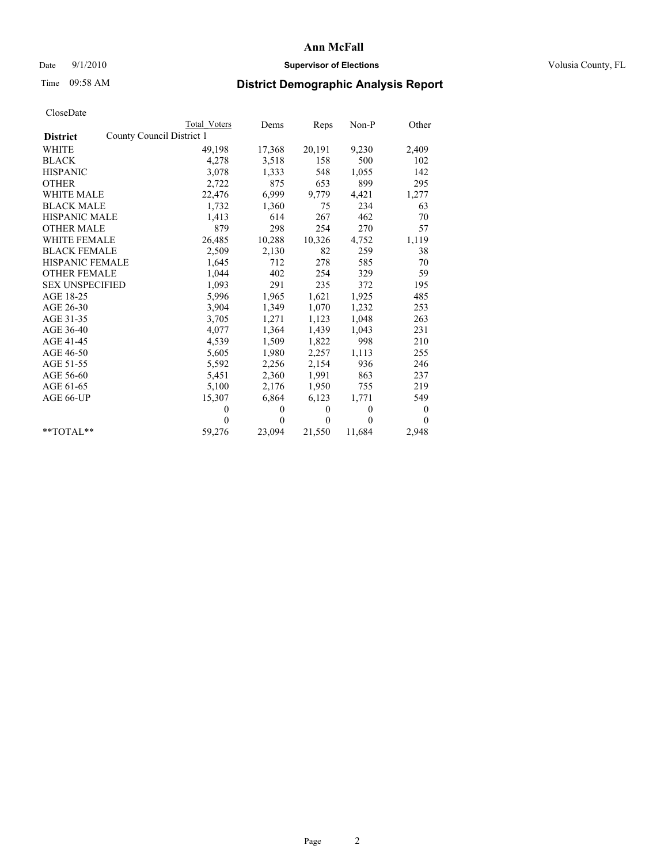#### Date 9/1/2010 **Supervisor of Elections Supervisor of Elections** Volusia County, FL

## Time 09:58 AM **District Demographic Analysis Report**

|                                              | Total Voters | Dems         | Reps         | $Non-P$      | Other    |  |  |
|----------------------------------------------|--------------|--------------|--------------|--------------|----------|--|--|
| County Council District 1<br><b>District</b> |              |              |              |              |          |  |  |
| WHITE                                        | 49,198       | 17,368       | 20,191       | 9,230        | 2,409    |  |  |
| <b>BLACK</b>                                 | 4,278        | 3,518        | 158          | 500          | 102      |  |  |
| <b>HISPANIC</b>                              | 3,078        | 1,333        | 548          | 1,055        | 142      |  |  |
| <b>OTHER</b>                                 | 2,722        | 875          | 653          | 899          | 295      |  |  |
| <b>WHITE MALE</b>                            | 22,476       | 6,999        | 9,779        | 4,421        | 1,277    |  |  |
| <b>BLACK MALE</b>                            | 1,732        | 1,360        | 75           | 234          | 63       |  |  |
| <b>HISPANIC MALE</b>                         | 1,413        | 614          | 267          | 462          | 70       |  |  |
| <b>OTHER MALE</b>                            | 879          | 298          | 254          | 270          | 57       |  |  |
| <b>WHITE FEMALE</b>                          | 26,485       | 10,288       | 10,326       | 4,752        | 1,119    |  |  |
| <b>BLACK FEMALE</b>                          | 2,509        | 2,130        | 82           | 259          | 38       |  |  |
| HISPANIC FEMALE                              | 1,645        | 712          | 278          | 585          | 70       |  |  |
| <b>OTHER FEMALE</b>                          | 1,044        | 402          | 254          | 329          | 59       |  |  |
| <b>SEX UNSPECIFIED</b>                       | 1,093        | 291          | 235          | 372          | 195      |  |  |
| AGE 18-25                                    | 5,996        | 1,965        | 1,621        | 1,925        | 485      |  |  |
| AGE 26-30                                    | 3,904        | 1,349        | 1,070        | 1,232        | 253      |  |  |
| AGE 31-35                                    | 3,705        | 1,271        | 1,123        | 1,048        | 263      |  |  |
| AGE 36-40                                    | 4,077        | 1,364        | 1,439        | 1,043        | 231      |  |  |
| AGE 41-45                                    | 4,539        | 1,509        | 1,822        | 998          | 210      |  |  |
| AGE 46-50                                    | 5,605        | 1,980        | 2,257        | 1,113        | 255      |  |  |
| AGE 51-55                                    | 5,592        | 2,256        | 2,154        | 936          | 246      |  |  |
| AGE 56-60                                    | 5,451        | 2,360        | 1,991        | 863          | 237      |  |  |
| AGE 61-65                                    | 5,100        | 2,176        | 1,950        | 755          | 219      |  |  |
| AGE 66-UP                                    | 15,307       | 6,864        | 6,123        | 1,771        | 549      |  |  |
|                                              | $\theta$     | $\mathbf{0}$ | $\mathbf{0}$ | $\mathbf{0}$ | $\bf{0}$ |  |  |
|                                              | $\theta$     | $\mathbf{0}$ | $\theta$     | $\theta$     | $\theta$ |  |  |
| $*$ $TOTAI.**$                               | 59,276       | 23,094       | 21,550       | 11,684       | 2,948    |  |  |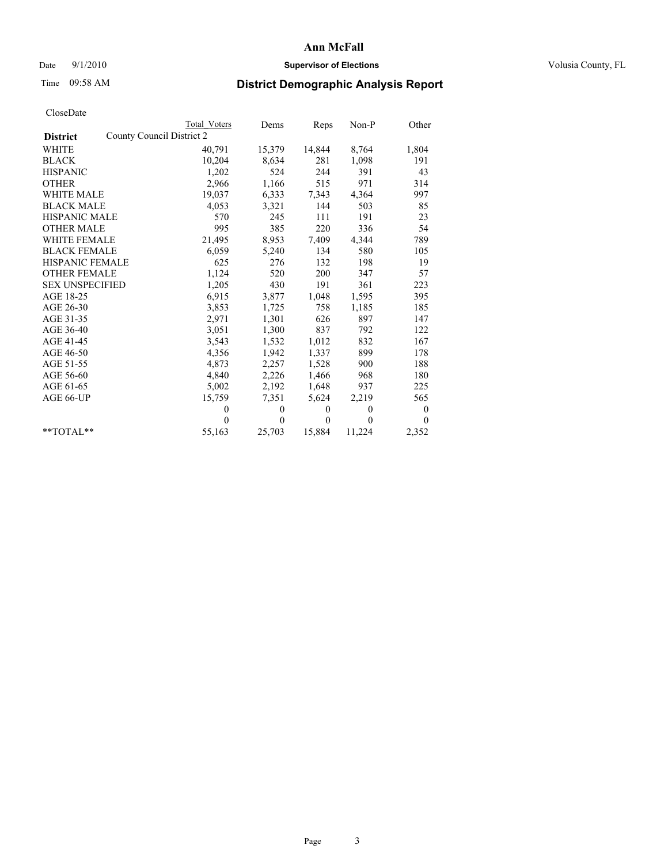#### Date 9/1/2010 **Supervisor of Elections Supervisor of Elections** Volusia County, FL

## Time 09:58 AM **District Demographic Analysis Report**

|                        | <b>Total Voters</b>       | Dems         | Reps         | Non-P        | Other        |
|------------------------|---------------------------|--------------|--------------|--------------|--------------|
| <b>District</b>        | County Council District 2 |              |              |              |              |
| <b>WHITE</b>           | 40,791                    | 15,379       | 14,844       | 8,764        | 1,804        |
| <b>BLACK</b>           | 10,204                    | 8,634        | 281          | 1,098        | 191          |
| <b>HISPANIC</b>        | 1,202                     | 524          | 244          | 391          | 43           |
| <b>OTHER</b>           | 2,966                     | 1,166        | 515          | 971          | 314          |
| <b>WHITE MALE</b>      | 19,037                    | 6,333        | 7,343        | 4,364        | 997          |
| <b>BLACK MALE</b>      | 4,053                     | 3,321        | 144          | 503          | 85           |
| <b>HISPANIC MALE</b>   | 570                       | 245          | 111          | 191          | 23           |
| <b>OTHER MALE</b>      | 995                       | 385          | 220          | 336          | 54           |
| <b>WHITE FEMALE</b>    | 21,495                    | 8,953        | 7,409        | 4,344        | 789          |
| <b>BLACK FEMALE</b>    | 6,059                     | 5,240        | 134          | 580          | 105          |
| <b>HISPANIC FEMALE</b> | 625                       | 276          | 132          | 198          | 19           |
| <b>OTHER FEMALE</b>    | 1,124                     | 520          | 200          | 347          | 57           |
| <b>SEX UNSPECIFIED</b> | 1,205                     | 430          | 191          | 361          | 223          |
| AGE 18-25              | 6,915                     | 3,877        | 1,048        | 1,595        | 395          |
| AGE 26-30              | 3,853                     | 1,725        | 758          | 1,185        | 185          |
| AGE 31-35              | 2,971                     | 1,301        | 626          | 897          | 147          |
| AGE 36-40              | 3,051                     | 1,300        | 837          | 792          | 122          |
| AGE 41-45              | 3,543                     | 1,532        | 1,012        | 832          | 167          |
| AGE 46-50              | 4,356                     | 1,942        | 1,337        | 899          | 178          |
| AGE 51-55              | 4,873                     | 2,257        | 1,528        | 900          | 188          |
| AGE 56-60              | 4,840                     | 2,226        | 1,466        | 968          | 180          |
| AGE 61-65              | 5,002                     | 2,192        | 1,648        | 937          | 225          |
| AGE 66-UP              | 15,759                    | 7,351        | 5,624        | 2,219        | 565          |
|                        | $\theta$                  | $\mathbf{0}$ | $\mathbf{0}$ | $\mathbf{0}$ | $\mathbf{0}$ |
|                        | $\Omega$                  | $\theta$     | $\mathbf{0}$ | $\theta$     | $\theta$     |
| $*$ $TOTAI.**$         | 55,163                    | 25,703       | 15,884       | 11,224       | 2,352        |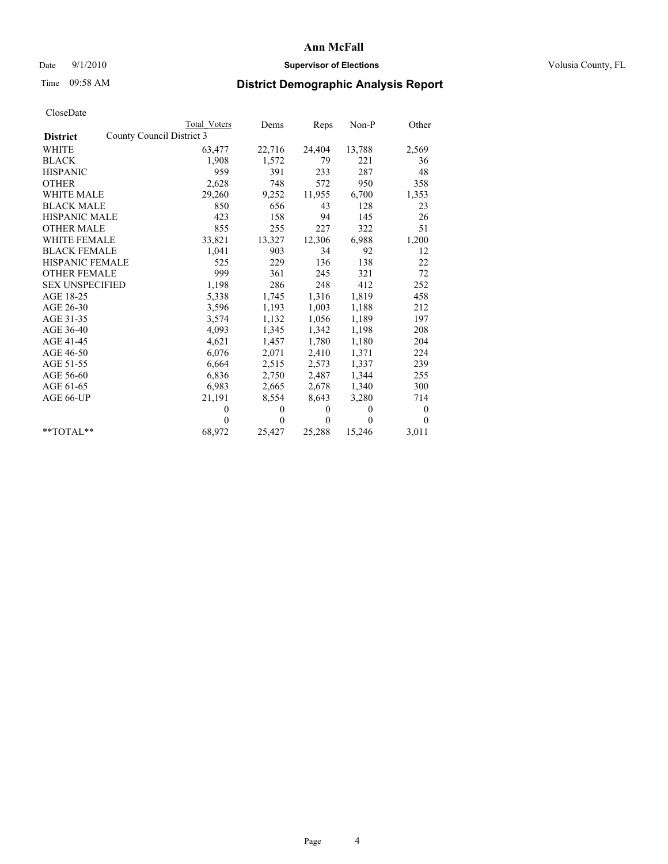#### Date 9/1/2010 **Supervisor of Elections Supervisor of Elections** Volusia County, FL

## Time 09:58 AM **District Demographic Analysis Report**

|                                              | Total Voters | Dems     | Reps     | $Non-P$  | Other            |
|----------------------------------------------|--------------|----------|----------|----------|------------------|
| County Council District 3<br><b>District</b> |              |          |          |          |                  |
| <b>WHITE</b>                                 | 63,477       | 22,716   | 24,404   | 13,788   | 2,569            |
| <b>BLACK</b>                                 | 1,908        | 1,572    | 79       | 221      | 36               |
| <b>HISPANIC</b>                              | 959          | 391      | 233      | 287      | 48               |
| <b>OTHER</b>                                 | 2,628        | 748      | 572      | 950      | 358              |
| <b>WHITE MALE</b>                            | 29,260       | 9,252    | 11,955   | 6,700    | 1,353            |
| <b>BLACK MALE</b>                            | 850          | 656      | 43       | 128      | 23               |
| <b>HISPANIC MALE</b>                         | 423          | 158      | 94       | 145      | 26               |
| <b>OTHER MALE</b>                            | 855          | 255      | 227      | 322      | 51               |
| WHITE FEMALE                                 | 33,821       | 13,327   | 12,306   | 6,988    | 1,200            |
| <b>BLACK FEMALE</b>                          | 1,041        | 903      | 34       | 92       | 12               |
| HISPANIC FEMALE                              | 525          | 229      | 136      | 138      | 22               |
| <b>OTHER FEMALE</b>                          | 999          | 361      | 245      | 321      | 72               |
| <b>SEX UNSPECIFIED</b>                       | 1,198        | 286      | 248      | 412      | 252              |
| AGE 18-25                                    | 5,338        | 1,745    | 1,316    | 1,819    | 458              |
| AGE 26-30                                    | 3,596        | 1,193    | 1,003    | 1,188    | 212              |
| AGE 31-35                                    | 3,574        | 1,132    | 1,056    | 1,189    | 197              |
| AGE 36-40                                    | 4,093        | 1,345    | 1,342    | 1,198    | 208              |
| AGE 41-45                                    | 4,621        | 1,457    | 1,780    | 1,180    | 204              |
| AGE 46-50                                    | 6,076        | 2,071    | 2,410    | 1,371    | 224              |
| AGE 51-55                                    | 6,664        | 2,515    | 2,573    | 1,337    | 239              |
| AGE 56-60                                    | 6,836        | 2,750    | 2,487    | 1,344    | 255              |
| AGE 61-65                                    | 6,983        | 2,665    | 2,678    | 1,340    | 300              |
| AGE 66-UP                                    | 21,191       | 8,554    | 8,643    | 3,280    | 714              |
|                                              | $\mathbf{0}$ | $\theta$ | $\theta$ | $\theta$ | $\boldsymbol{0}$ |
|                                              | $\theta$     | $\theta$ | $\theta$ | $\theta$ | $\theta$         |
| $*$ $TOTAI.**$                               | 68,972       | 25,427   | 25,288   | 15,246   | 3,011            |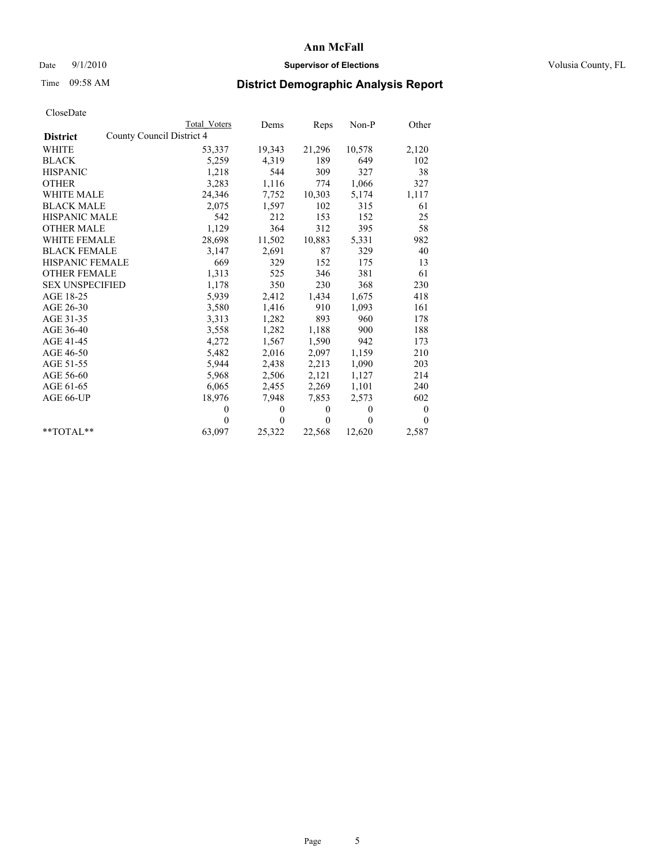#### Date 9/1/2010 **Supervisor of Elections Supervisor of Elections** Volusia County, FL

## Time 09:58 AM **District Demographic Analysis Report**

|                                              | Total Voters | Dems         | Reps         | $Non-P$      | Other    |  |  |
|----------------------------------------------|--------------|--------------|--------------|--------------|----------|--|--|
| County Council District 4<br><b>District</b> |              |              |              |              |          |  |  |
| <b>WHITE</b>                                 | 53,337       | 19,343       | 21,296       | 10,578       | 2,120    |  |  |
| <b>BLACK</b>                                 | 5,259        | 4,319        | 189          | 649          | 102      |  |  |
| <b>HISPANIC</b>                              | 1,218        | 544          | 309          | 327          | 38       |  |  |
| <b>OTHER</b>                                 | 3,283        | 1,116        | 774          | 1,066        | 327      |  |  |
| <b>WHITE MALE</b>                            | 24,346       | 7,752        | 10,303       | 5,174        | 1,117    |  |  |
| <b>BLACK MALE</b>                            | 2,075        | 1,597        | 102          | 315          | 61       |  |  |
| <b>HISPANIC MALE</b>                         | 542          | 212          | 153          | 152          | 25       |  |  |
| <b>OTHER MALE</b>                            | 1,129        | 364          | 312          | 395          | 58       |  |  |
| WHITE FEMALE                                 | 28,698       | 11,502       | 10,883       | 5,331        | 982      |  |  |
| <b>BLACK FEMALE</b>                          | 3,147        | 2,691        | 87           | 329          | 40       |  |  |
| HISPANIC FEMALE                              | 669          | 329          | 152          | 175          | 13       |  |  |
| <b>OTHER FEMALE</b>                          | 1,313        | 525          | 346          | 381          | 61       |  |  |
| <b>SEX UNSPECIFIED</b>                       | 1,178        | 350          | 230          | 368          | 230      |  |  |
| AGE 18-25                                    | 5,939        | 2,412        | 1,434        | 1,675        | 418      |  |  |
| AGE 26-30                                    | 3,580        | 1,416        | 910          | 1,093        | 161      |  |  |
| AGE 31-35                                    | 3,313        | 1,282        | 893          | 960          | 178      |  |  |
| AGE 36-40                                    | 3,558        | 1,282        | 1,188        | 900          | 188      |  |  |
| AGE 41-45                                    | 4,272        | 1,567        | 1,590        | 942          | 173      |  |  |
| AGE 46-50                                    | 5,482        | 2,016        | 2,097        | 1,159        | 210      |  |  |
| AGE 51-55                                    | 5,944        | 2,438        | 2,213        | 1,090        | 203      |  |  |
| AGE 56-60                                    | 5,968        | 2,506        | 2,121        | 1,127        | 214      |  |  |
| AGE 61-65                                    | 6,065        | 2,455        | 2,269        | 1,101        | 240      |  |  |
| AGE 66-UP                                    | 18,976       | 7,948        | 7,853        | 2,573        | 602      |  |  |
|                                              | $\mathbf{0}$ | $\mathbf{0}$ | $\mathbf{0}$ | $\mathbf{0}$ | $\bf{0}$ |  |  |
|                                              | $\theta$     | $\theta$     | $\theta$     | $\theta$     | $\theta$ |  |  |
| $*$ $TOTAI.**$                               | 63,097       | 25,322       | 22,568       | 12,620       | 2,587    |  |  |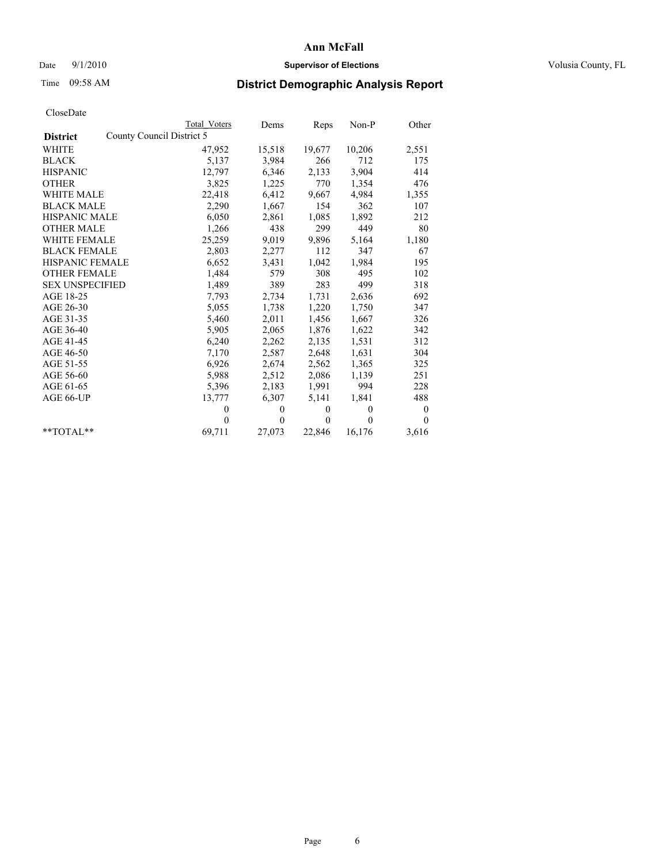## Date  $9/1/2010$  **Supervisor of Elections Supervisor of Elections** Volusia County, FL

## Time 09:58 AM **District Demographic Analysis Report**

|                                              | <b>Total Voters</b> | Dems         | Reps         | Non-P        | Other    |
|----------------------------------------------|---------------------|--------------|--------------|--------------|----------|
| County Council District 5<br><b>District</b> |                     |              |              |              |          |
| WHITE                                        | 47,952              | 15,518       | 19,677       | 10,206       | 2,551    |
| <b>BLACK</b>                                 | 5,137               | 3,984        | 266          | 712          | 175      |
| <b>HISPANIC</b>                              | 12,797              | 6,346        | 2,133        | 3,904        | 414      |
| <b>OTHER</b>                                 | 3,825               | 1,225        | 770          | 1,354        | 476      |
| WHITE MALE                                   | 22,418              | 6,412        | 9,667        | 4,984        | 1,355    |
| <b>BLACK MALE</b>                            | 2,290               | 1,667        | 154          | 362          | 107      |
| <b>HISPANIC MALE</b>                         | 6,050               | 2,861        | 1,085        | 1,892        | 212      |
| <b>OTHER MALE</b>                            | 1,266               | 438          | 299          | 449          | 80       |
| WHITE FEMALE                                 | 25,259              | 9,019        | 9,896        | 5,164        | 1,180    |
| <b>BLACK FEMALE</b>                          | 2,803               | 2,277        | 112          | 347          | 67       |
| <b>HISPANIC FEMALE</b>                       | 6,652               | 3,431        | 1,042        | 1,984        | 195      |
| <b>OTHER FEMALE</b>                          | 1,484               | 579          | 308          | 495          | 102      |
| <b>SEX UNSPECIFIED</b>                       | 1,489               | 389          | 283          | 499          | 318      |
| AGE 18-25                                    | 7,793               | 2,734        | 1,731        | 2,636        | 692      |
| AGE 26-30                                    | 5,055               | 1,738        | 1,220        | 1,750        | 347      |
| AGE 31-35                                    | 5,460               | 2,011        | 1,456        | 1,667        | 326      |
| AGE 36-40                                    | 5,905               | 2,065        | 1,876        | 1,622        | 342      |
| AGE 41-45                                    | 6,240               | 2,262        | 2,135        | 1,531        | 312      |
| AGE 46-50                                    | 7,170               | 2,587        | 2,648        | 1,631        | 304      |
| AGE 51-55                                    | 6,926               | 2,674        | 2,562        | 1,365        | 325      |
| AGE 56-60                                    | 5,988               | 2,512        | 2,086        | 1,139        | 251      |
| AGE 61-65                                    | 5,396               | 2,183        | 1,991        | 994          | 228      |
| AGE 66-UP                                    | 13,777              | 6,307        | 5,141        | 1,841        | 488      |
|                                              | $\theta$            | $\mathbf{0}$ | $\mathbf{0}$ | $\mathbf{0}$ | $\bf{0}$ |
|                                              | $\theta$            | $\theta$     | $\Omega$     | $\theta$     | $\theta$ |
| $*$ $TOTAI.**$                               | 69,711              | 27,073       | 22,846       | 16,176       | 3,616    |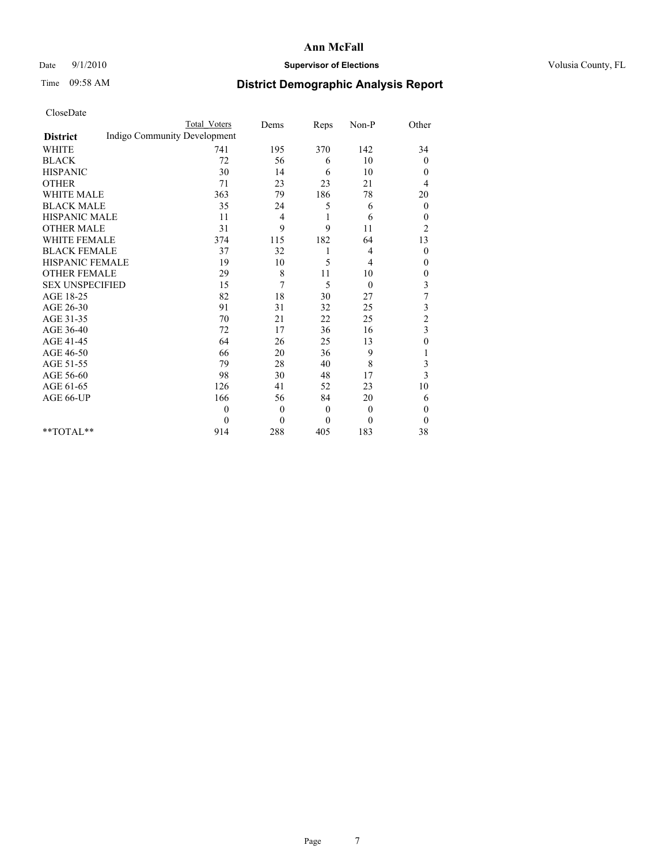#### Date 9/1/2010 **Supervisor of Elections Supervisor of Elections** Volusia County, FL

## Time 09:58 AM **District Demographic Analysis Report**

|                                                 | <b>Total Voters</b> | Dems           | Reps         | Non-P          | Other                   |
|-------------------------------------------------|---------------------|----------------|--------------|----------------|-------------------------|
| Indigo Community Development<br><b>District</b> |                     |                |              |                |                         |
| <b>WHITE</b>                                    | 741                 | 195            | 370          | 142            | 34                      |
| <b>BLACK</b>                                    | 72                  | 56             | 6            | 10             | $\mathbf{0}$            |
| <b>HISPANIC</b>                                 | 30                  | 14             | 6            | 10             | $\mathbf{0}$            |
| <b>OTHER</b>                                    | 71                  | 23             | 23           | 21             | 4                       |
| <b>WHITE MALE</b>                               | 363                 | 79             | 186          | 78             | 20                      |
| <b>BLACK MALE</b>                               | 35                  | 24             | 5            | 6              | $\mathbf{0}$            |
| HISPANIC MALE                                   | 11                  | 4              | 1            | 6              | $\boldsymbol{0}$        |
| <b>OTHER MALE</b>                               | 31                  | 9              | 9            | 11             | $\overline{c}$          |
| <b>WHITE FEMALE</b>                             | 374                 | 115            | 182          | 64             | 13                      |
| <b>BLACK FEMALE</b>                             | 37                  | 32             | 1            | 4              | $\theta$                |
| HISPANIC FEMALE                                 | 19                  | 10             | 5            | $\overline{4}$ | $\mathbf{0}$            |
| <b>OTHER FEMALE</b>                             | 29                  | 8              | 11           | 10             | $\boldsymbol{0}$        |
| <b>SEX UNSPECIFIED</b>                          | 15                  | 7              | 5            | $\theta$       | $\mathfrak{Z}$          |
| AGE 18-25                                       | 82                  | 18             | 30           | 27             | $\overline{7}$          |
| AGE 26-30                                       | 91                  | 31             | 32           | 25             | 3                       |
| AGE 31-35                                       | 70                  | 21             | 22           | 25             | $\overline{c}$          |
| AGE 36-40                                       | 72                  | 17             | 36           | 16             | $\overline{\mathbf{3}}$ |
| AGE 41-45                                       | 64                  | 26             | 25           | 13             | $\boldsymbol{0}$        |
| AGE 46-50                                       | 66                  | 20             | 36           | 9              |                         |
| AGE 51-55                                       | 79                  | 28             | 40           | 8              | 3                       |
| AGE 56-60                                       | 98                  | 30             | 48           | 17             | 3                       |
| AGE 61-65                                       | 126                 | 41             | 52           | 23             | 10                      |
| AGE 66-UP                                       | 166                 | 56             | 84           | 20             | 6                       |
|                                                 | $\theta$            | $\overline{0}$ | $\mathbf{0}$ | $\mathbf{0}$   | $\mathbf{0}$            |
|                                                 | $\theta$            | $\mathbf{0}$   | $\mathbf{0}$ | $\theta$       | $\theta$                |
| $*$ $TOTAI.**$                                  | 914                 | 288            | 405          | 183            | 38                      |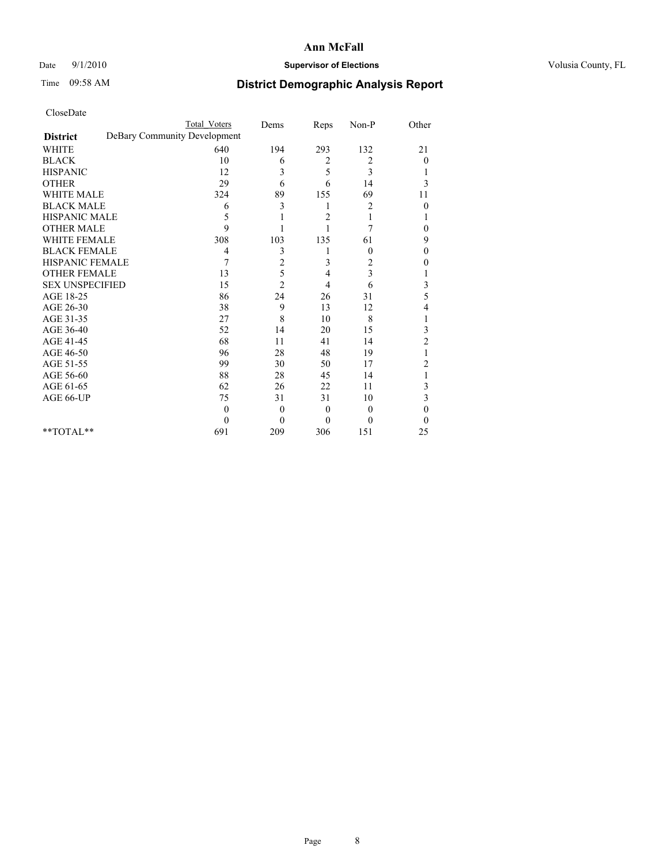#### Date 9/1/2010 **Supervisor of Elections Supervisor of Elections** Volusia County, FL

## Time 09:58 AM **District Demographic Analysis Report**

|                        | <b>Total Voters</b>          | Dems             | Reps     | Non-P        | Other          |  |  |  |  |
|------------------------|------------------------------|------------------|----------|--------------|----------------|--|--|--|--|
| <b>District</b>        | DeBary Community Development |                  |          |              |                |  |  |  |  |
| <b>WHITE</b>           | 640                          | 194              | 293      | 132          | 21             |  |  |  |  |
| <b>BLACK</b>           | 10                           | 6                | 2        | 2            | $\overline{0}$ |  |  |  |  |
| <b>HISPANIC</b>        | 12                           | 3                | 5        | 3            |                |  |  |  |  |
| <b>OTHER</b>           | 29                           | 6                | 6        | 14           | 3              |  |  |  |  |
| <b>WHITE MALE</b>      | 324                          | 89               | 155      | 69           | 11             |  |  |  |  |
| <b>BLACK MALE</b>      | 6                            | 3                | 1        | 2            | $\theta$       |  |  |  |  |
| HISPANIC MALE          | 5                            |                  | 2        |              |                |  |  |  |  |
| <b>OTHER MALE</b>      | $\mathbf{Q}$                 |                  |          | 7            | 0              |  |  |  |  |
| <b>WHITE FEMALE</b>    | 308                          | 103              | 135      | 61           | 9              |  |  |  |  |
| <b>BLACK FEMALE</b>    | 4                            | 3                |          | $\mathbf{0}$ | $\theta$       |  |  |  |  |
| HISPANIC FEMALE        | 7                            | $\overline{c}$   | 3        | 2            | 0              |  |  |  |  |
| <b>OTHER FEMALE</b>    | 13                           | 5                | 4        | 3            |                |  |  |  |  |
| <b>SEX UNSPECIFIED</b> | 15                           | $\overline{2}$   | 4        | 6            | 3              |  |  |  |  |
| AGE 18-25              | 86                           | 24               | 26       | 31           | 5              |  |  |  |  |
| AGE 26-30              | 38                           | 9                | 13       | 12           | 4              |  |  |  |  |
| AGE 31-35              | 27                           | 8                | 10       | 8            |                |  |  |  |  |
| AGE 36-40              | 52                           | 14               | 20       | 15           | 3              |  |  |  |  |
| AGE 41-45              | 68                           | 11               | 41       | 14           | $\overline{c}$ |  |  |  |  |
| AGE 46-50              | 96                           | 28               | 48       | 19           |                |  |  |  |  |
| AGE 51-55              | 99                           | 30               | 50       | 17           | $\overline{c}$ |  |  |  |  |
| AGE 56-60              | 88                           | 28               | 45       | 14           |                |  |  |  |  |
| AGE 61-65              | 62                           | 26               | 22       | 11           | 3              |  |  |  |  |
| AGE 66-UP              | 75                           | 31               | 31       | 10           | 3              |  |  |  |  |
|                        | $\Omega$                     | $\mathbf{0}$     | $\theta$ | $\Omega$     | $\theta$       |  |  |  |  |
|                        | $\Omega$                     | $\boldsymbol{0}$ | $\Omega$ | $\Omega$     | $\Omega$       |  |  |  |  |
| $*$ $TOTAI.**$         | 691                          | 209              | 306      | 151          | 25             |  |  |  |  |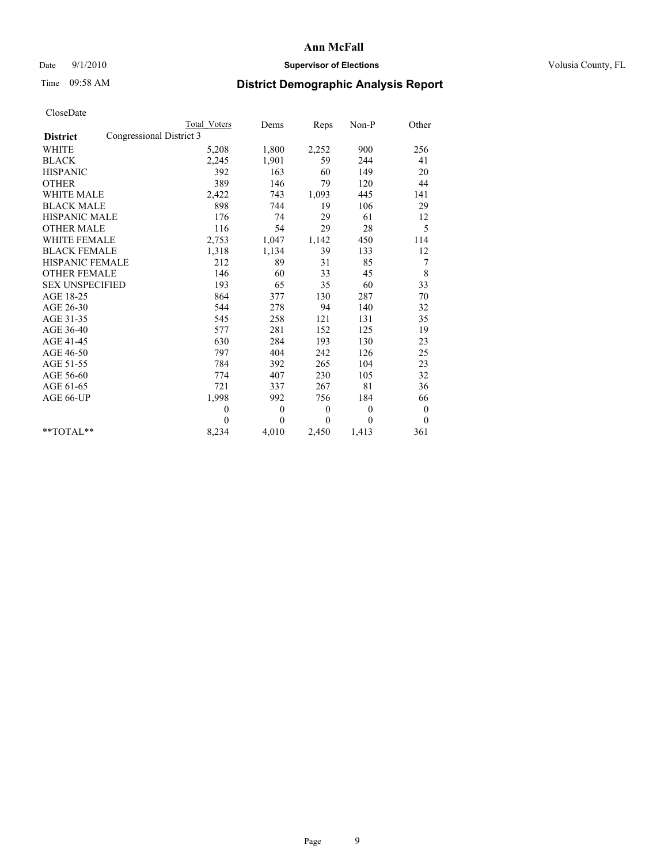#### Date 9/1/2010 **Supervisor of Elections Supervisor of Elections** Volusia County, FL

## Time 09:58 AM **District Demographic Analysis Report**

|                                             | Total Voters | Dems     | Reps     | $Non-P$      | Other        |
|---------------------------------------------|--------------|----------|----------|--------------|--------------|
| Congressional District 3<br><b>District</b> |              |          |          |              |              |
| <b>WHITE</b>                                | 5,208        | 1,800    | 2,252    | 900          | 256          |
| <b>BLACK</b>                                | 2,245        | 1,901    | 59       | 244          | 41           |
| <b>HISPANIC</b>                             | 392          | 163      | 60       | 149          | 20           |
| <b>OTHER</b>                                | 389          | 146      | 79       | 120          | 44           |
| <b>WHITE MALE</b>                           | 2,422        | 743      | 1,093    | 445          | 141          |
| <b>BLACK MALE</b>                           | 898          | 744      | 19       | 106          | 29           |
| <b>HISPANIC MALE</b>                        | 176          | 74       | 29       | 61           | 12           |
| <b>OTHER MALE</b>                           | 116          | 54       | 29       | 28           | 5            |
| <b>WHITE FEMALE</b>                         | 2,753        | 1,047    | 1,142    | 450          | 114          |
| <b>BLACK FEMALE</b>                         | 1,318        | 1,134    | 39       | 133          | 12           |
| HISPANIC FEMALE                             | 212          | 89       | 31       | 85           | 7            |
| <b>OTHER FEMALE</b>                         | 146          | 60       | 33       | 45           | 8            |
| <b>SEX UNSPECIFIED</b>                      | 193          | 65       | 35       | 60           | 33           |
| AGE 18-25                                   | 864          | 377      | 130      | 287          | 70           |
| AGE 26-30                                   | 544          | 278      | 94       | 140          | 32           |
| AGE 31-35                                   | 545          | 258      | 121      | 131          | 35           |
| AGE 36-40                                   | 577          | 281      | 152      | 125          | 19           |
| AGE 41-45                                   | 630          | 284      | 193      | 130          | 23           |
| AGE 46-50                                   | 797          | 404      | 242      | 126          | 25           |
| AGE 51-55                                   | 784          | 392      | 265      | 104          | 23           |
| AGE 56-60                                   | 774          | 407      | 230      | 105          | 32           |
| AGE 61-65                                   | 721          | 337      | 267      | 81           | 36           |
| AGE 66-UP                                   | 1,998        | 992      | 756      | 184          | 66           |
|                                             | $\theta$     | $\theta$ | $\theta$ | $\mathbf{0}$ | $\mathbf{0}$ |
|                                             | $\theta$     | $\theta$ | $\theta$ | $\theta$     | $\mathbf{0}$ |
| $*$ $TOTAI.**$                              | 8,234        | 4,010    | 2,450    | 1,413        | 361          |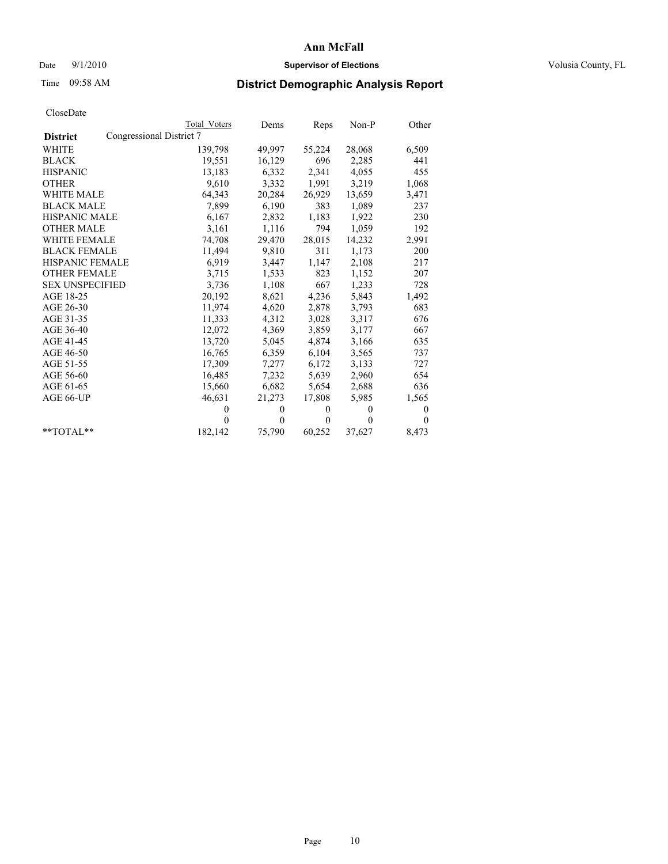## Date  $9/1/2010$  **Supervisor of Elections Supervisor of Elections** Volusia County, FL

# Time 09:58 AM **District Demographic Analysis Report**

|                                             | <b>Total Voters</b> | Dems     | Reps         | $Non-P$  | Other        |  |  |
|---------------------------------------------|---------------------|----------|--------------|----------|--------------|--|--|
| Congressional District 7<br><b>District</b> |                     |          |              |          |              |  |  |
| <b>WHITE</b>                                | 139,798             | 49,997   | 55,224       | 28,068   | 6,509        |  |  |
| <b>BLACK</b>                                | 19,551              | 16,129   | 696          | 2,285    | 441          |  |  |
| <b>HISPANIC</b>                             | 13,183              | 6,332    | 2,341        | 4,055    | 455          |  |  |
| <b>OTHER</b>                                | 9,610               | 3,332    | 1,991        | 3,219    | 1,068        |  |  |
| <b>WHITE MALE</b>                           | 64,343              | 20,284   | 26,929       | 13,659   | 3,471        |  |  |
| <b>BLACK MALE</b>                           | 7,899               | 6,190    | 383          | 1,089    | 237          |  |  |
| HISPANIC MALE                               | 6,167               | 2,832    | 1,183        | 1,922    | 230          |  |  |
| <b>OTHER MALE</b>                           | 3,161               | 1,116    | 794          | 1,059    | 192          |  |  |
| <b>WHITE FEMALE</b>                         | 74,708              | 29,470   | 28,015       | 14,232   | 2,991        |  |  |
| <b>BLACK FEMALE</b>                         | 11,494              | 9,810    | 311          | 1,173    | 200          |  |  |
| HISPANIC FEMALE                             | 6,919               | 3,447    | 1,147        | 2,108    | 217          |  |  |
| <b>OTHER FEMALE</b>                         | 3,715               | 1,533    | 823          | 1,152    | 207          |  |  |
| <b>SEX UNSPECIFIED</b>                      | 3,736               | 1,108    | 667          | 1,233    | 728          |  |  |
| AGE 18-25                                   | 20,192              | 8,621    | 4,236        | 5,843    | 1,492        |  |  |
| AGE 26-30                                   | 11,974              | 4,620    | 2,878        | 3,793    | 683          |  |  |
| AGE 31-35                                   | 11,333              | 4,312    | 3,028        | 3,317    | 676          |  |  |
| AGE 36-40                                   | 12,072              | 4,369    | 3,859        | 3,177    | 667          |  |  |
| AGE 41-45                                   | 13,720              | 5,045    | 4,874        | 3,166    | 635          |  |  |
| AGE 46-50                                   | 16,765              | 6,359    | 6,104        | 3,565    | 737          |  |  |
| AGE 51-55                                   | 17,309              | 7,277    | 6,172        | 3,133    | 727          |  |  |
| AGE 56-60                                   | 16,485              | 7,232    | 5,639        | 2,960    | 654          |  |  |
| AGE 61-65                                   | 15,660              | 6,682    | 5,654        | 2,688    | 636          |  |  |
| AGE 66-UP                                   | 46,631              | 21,273   | 17,808       | 5,985    | 1,565        |  |  |
|                                             | $\theta$            | $\theta$ | $\mathbf{0}$ | $\theta$ | $\mathbf{0}$ |  |  |
|                                             | $\theta$            | $\theta$ | $\mathbf{0}$ | $\theta$ | $\Omega$     |  |  |
| $*$ $TOTAI.**$                              | 182,142             | 75,790   | 60,252       | 37,627   | 8,473        |  |  |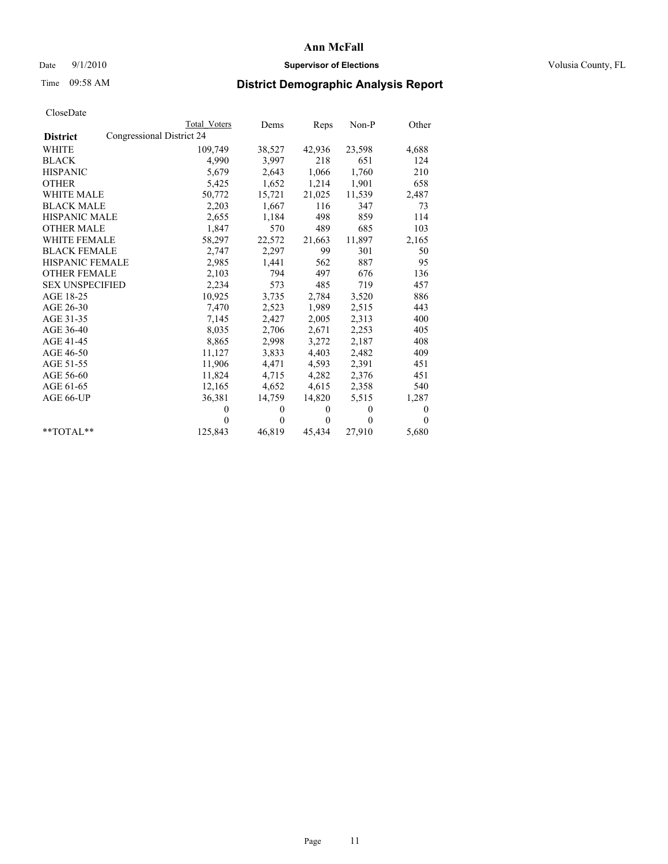## Date  $9/1/2010$  **Supervisor of Elections Supervisor of Elections** Volusia County, FL

# Time 09:58 AM **District Demographic Analysis Report**

|                                              |  | Total Voters | Dems         | Reps         | $Non-P$      | Other          |  |
|----------------------------------------------|--|--------------|--------------|--------------|--------------|----------------|--|
| Congressional District 24<br><b>District</b> |  |              |              |              |              |                |  |
| <b>WHITE</b>                                 |  | 109,749      | 38,527       | 42,936       | 23,598       | 4,688          |  |
| <b>BLACK</b>                                 |  | 4,990        | 3,997        | 218          | 651          | 124            |  |
| <b>HISPANIC</b>                              |  | 5,679        | 2,643        | 1,066        | 1,760        | 210            |  |
| <b>OTHER</b>                                 |  | 5,425        | 1,652        | 1,214        | 1,901        | 658            |  |
| <b>WHITE MALE</b>                            |  | 50,772       | 15,721       | 21,025       | 11,539       | 2,487          |  |
| <b>BLACK MALE</b>                            |  | 2,203        | 1,667        | 116          | 347          | 73             |  |
| <b>HISPANIC MALE</b>                         |  | 2,655        | 1,184        | 498          | 859          | 114            |  |
| <b>OTHER MALE</b>                            |  | 1,847        | 570          | 489          | 685          | 103            |  |
| <b>WHITE FEMALE</b>                          |  | 58,297       | 22,572       | 21,663       | 11,897       | 2,165          |  |
| <b>BLACK FEMALE</b>                          |  | 2,747        | 2,297        | 99           | 301          | 50             |  |
| HISPANIC FEMALE                              |  | 2,985        | 1,441        | 562          | 887          | 95             |  |
| <b>OTHER FEMALE</b>                          |  | 2,103        | 794          | 497          | 676          | 136            |  |
| <b>SEX UNSPECIFIED</b>                       |  | 2,234        | 573          | 485          | 719          | 457            |  |
| AGE 18-25                                    |  | 10,925       | 3,735        | 2,784        | 3,520        | 886            |  |
| AGE 26-30                                    |  | 7,470        | 2,523        | 1,989        | 2,515        | 443            |  |
| AGE 31-35                                    |  | 7,145        | 2,427        | 2,005        | 2,313        | 400            |  |
| AGE 36-40                                    |  | 8,035        | 2,706        | 2,671        | 2,253        | 405            |  |
| AGE 41-45                                    |  | 8,865        | 2,998        | 3,272        | 2,187        | 408            |  |
| AGE 46-50                                    |  | 11,127       | 3,833        | 4,403        | 2,482        | 409            |  |
| AGE 51-55                                    |  | 11,906       | 4,471        | 4,593        | 2,391        | 451            |  |
| AGE 56-60                                    |  | 11,824       | 4,715        | 4,282        | 2,376        | 451            |  |
| AGE 61-65                                    |  | 12,165       | 4,652        | 4,615        | 2,358        | 540            |  |
| AGE 66-UP                                    |  | 36,381       | 14,759       | 14,820       | 5,515        | 1,287          |  |
|                                              |  | $\theta$     | $\theta$     | $\theta$     | $\mathbf{0}$ | $\overline{0}$ |  |
|                                              |  | $\theta$     | $\mathbf{0}$ | $\mathbf{0}$ | $\theta$     | $\theta$       |  |
| $*$ $TOTAI.**$                               |  | 125,843      | 46,819       | 45,434       | 27,910       | 5,680          |  |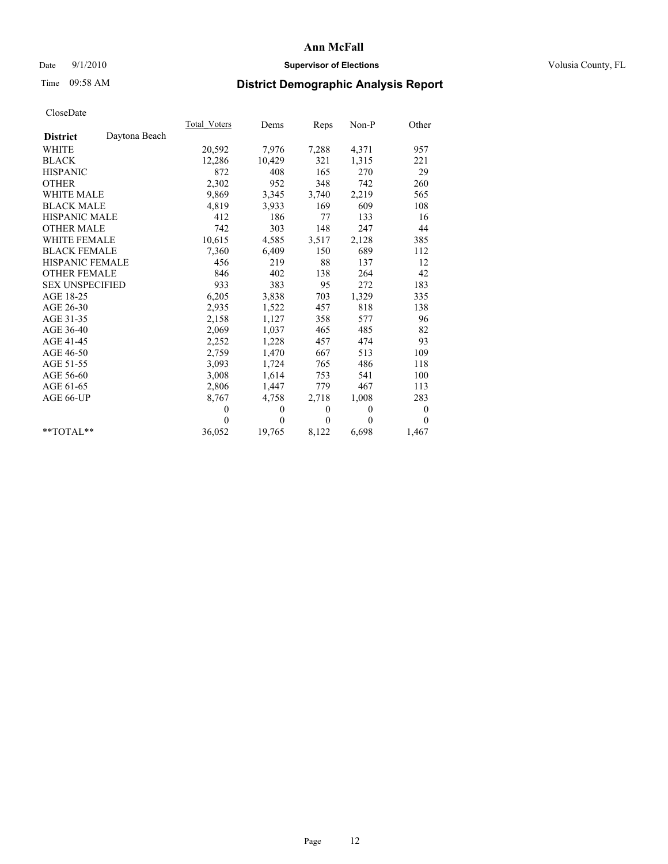## Date  $9/1/2010$  **Supervisor of Elections Supervisor of Elections** Volusia County, FL

# Time 09:58 AM **District Demographic Analysis Report**

|                                  | Total Voters     | Dems             | Reps             | Non-P            | Other            |
|----------------------------------|------------------|------------------|------------------|------------------|------------------|
| Daytona Beach<br><b>District</b> |                  |                  |                  |                  |                  |
| <b>WHITE</b>                     | 20,592           | 7,976            | 7,288            | 4,371            | 957              |
| <b>BLACK</b>                     | 12,286           | 10,429           | 321              | 1,315            | 221              |
| <b>HISPANIC</b>                  | 872              | 408              | 165              | 270              | 29               |
| <b>OTHER</b>                     | 2,302            | 952              | 348              | 742              | 260              |
| <b>WHITE MALE</b>                | 9,869            | 3,345            | 3,740            | 2,219            | 565              |
| <b>BLACK MALE</b>                | 4,819            | 3,933            | 169              | 609              | 108              |
| <b>HISPANIC MALE</b>             | 412              | 186              | 77               | 133              | 16               |
| <b>OTHER MALE</b>                | 742              | 303              | 148              | 247              | 44               |
| WHITE FEMALE                     | 10,615           | 4,585            | 3,517            | 2,128            | 385              |
| <b>BLACK FEMALE</b>              | 7,360            | 6,409            | 150              | 689              | 112              |
| <b>HISPANIC FEMALE</b>           | 456              | 219              | 88               | 137              | 12               |
| <b>OTHER FEMALE</b>              | 846              | 402              | 138              | 264              | 42               |
| <b>SEX UNSPECIFIED</b>           | 933              | 383              | 95               | 272              | 183              |
| AGE 18-25                        | 6,205            | 3,838            | 703              | 1,329            | 335              |
| AGE 26-30                        | 2,935            | 1,522            | 457              | 818              | 138              |
| AGE 31-35                        | 2,158            | 1,127            | 358              | 577              | 96               |
| AGE 36-40                        | 2,069            | 1,037            | 465              | 485              | 82               |
| AGE 41-45                        | 2,252            | 1,228            | 457              | 474              | 93               |
| AGE 46-50                        | 2,759            | 1,470            | 667              | 513              | 109              |
| AGE 51-55                        | 3,093            | 1,724            | 765              | 486              | 118              |
| AGE 56-60                        | 3,008            | 1,614            | 753              | 541              | 100              |
| AGE 61-65                        | 2,806            | 1,447            | 779              | 467              | 113              |
| AGE 66-UP                        | 8,767            | 4,758            | 2,718            | 1,008            | 283              |
|                                  | $\boldsymbol{0}$ | $\boldsymbol{0}$ | $\boldsymbol{0}$ | $\boldsymbol{0}$ | $\boldsymbol{0}$ |
|                                  | $\theta$         | $\theta$         | $\theta$         | $\theta$         | $\theta$         |
| $*$ $TOTAI.**$                   | 36,052           | 19,765           | 8,122            | 6,698            | 1,467            |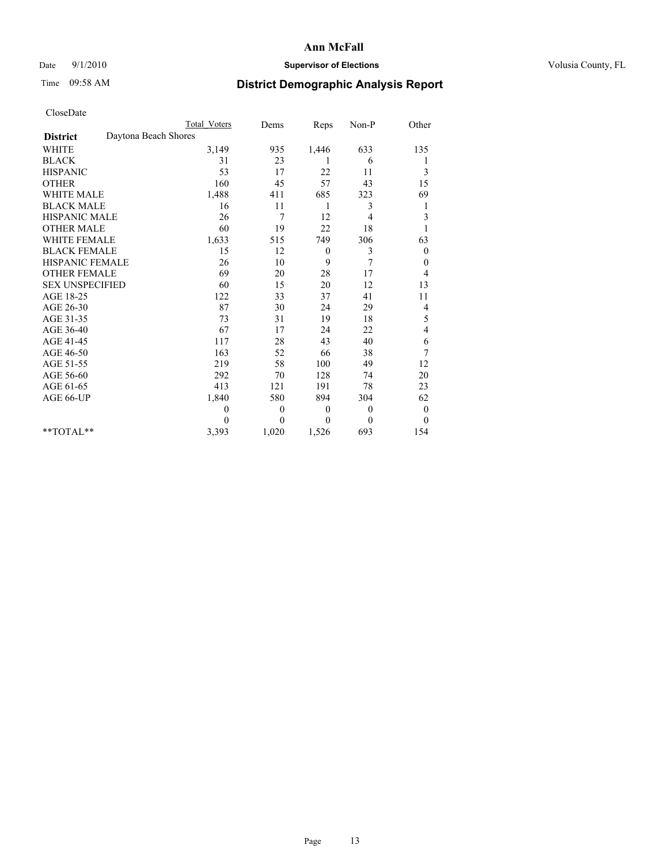## Date  $9/1/2010$  **Supervisor of Elections Supervisor of Elections** Volusia County, FL

# Time 09:58 AM **District Demographic Analysis Report**

|                                         | <b>Total Voters</b> | Dems     | Reps         | Non-P          | Other          |
|-----------------------------------------|---------------------|----------|--------------|----------------|----------------|
| Daytona Beach Shores<br><b>District</b> |                     |          |              |                |                |
| <b>WHITE</b>                            | 3,149               | 935      | 1,446        | 633            | 135            |
| <b>BLACK</b>                            | 31                  | 23       | 1            | 6              |                |
| <b>HISPANIC</b>                         | 53                  | 17       | 22           | 11             | 3              |
| <b>OTHER</b>                            | 160                 | 45       | 57           | 43             | 15             |
| <b>WHITE MALE</b>                       | 1,488               | 411      | 685          | 323            | 69             |
| <b>BLACK MALE</b>                       | 16                  | 11       | 1            | 3              | 1              |
| <b>HISPANIC MALE</b>                    | 26                  | 7        | 12           | 4              | 3              |
| <b>OTHER MALE</b>                       | 60                  | 19       | 22           | 18             |                |
| <b>WHITE FEMALE</b>                     | 1,633               | 515      | 749          | 306            | 63             |
| <b>BLACK FEMALE</b>                     | 15                  | 12       | $\theta$     | 3              | $\theta$       |
| HISPANIC FEMALE                         | 26                  | 10       | 9            | 7              | 0              |
| <b>OTHER FEMALE</b>                     | 69                  | 20       | 28           | 17             | 4              |
| <b>SEX UNSPECIFIED</b>                  | 60                  | 15       | 20           | 12             | 13             |
| AGE 18-25                               | 122                 | 33       | 37           | 41             | 11             |
| AGE 26-30                               | 87                  | 30       | 24           | 29             | 4              |
| AGE 31-35                               | 73                  | 31       | 19           | 18             | 5              |
| AGE 36-40                               | 67                  | 17       | 24           | 22             | 4              |
| AGE 41-45                               | 117                 | 28       | 43           | 40             | 6              |
| AGE 46-50                               | 163                 | 52       | 66           | 38             | 7              |
| AGE 51-55                               | 219                 | 58       | 100          | 49             | 12             |
| AGE 56-60                               | 292                 | 70       | 128          | 74             | 20             |
| AGE 61-65                               | 413                 | 121      | 191          | 78             | 23             |
| AGE 66-UP                               | 1,840               | 580      | 894          | 304            | 62             |
|                                         | $\overline{0}$      | $\theta$ | $\mathbf{0}$ | $\overline{0}$ | $\theta$       |
|                                         | $\Omega$            | $\theta$ | $\mathbf{0}$ | $\theta$       | $\overline{0}$ |
| $*$ $TOTAI.**$                          | 3,393               | 1,020    | 1,526        | 693            | 154            |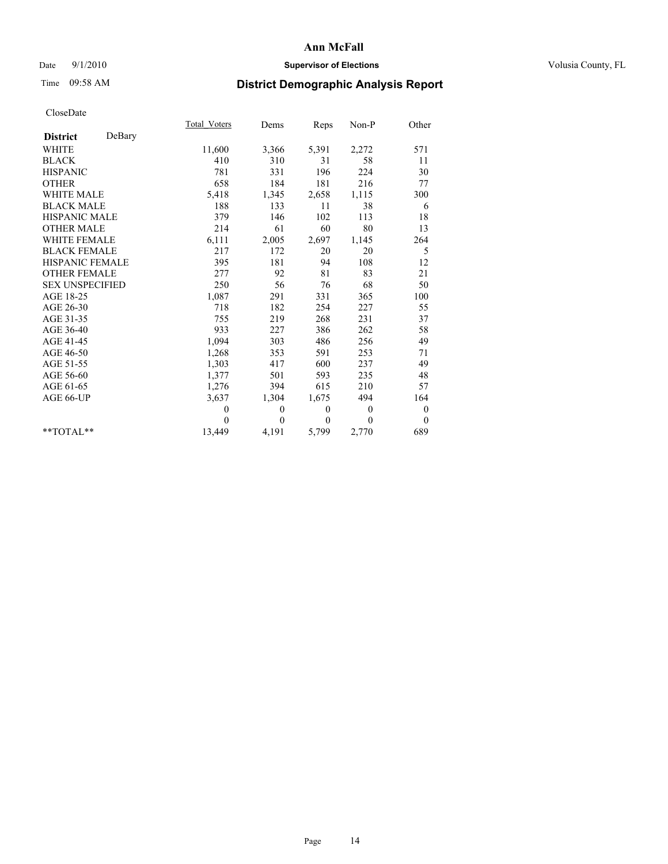## Date  $9/1/2010$  **Supervisor of Elections Supervisor of Elections** Volusia County, FL

# Time 09:58 AM **District Demographic Analysis Report**

|                           | Total Voters | Dems     | Reps         | Non-P          | Other            |  |
|---------------------------|--------------|----------|--------------|----------------|------------------|--|
| DeBary<br><b>District</b> |              |          |              |                |                  |  |
| <b>WHITE</b>              | 11,600       | 3,366    | 5,391        | 2,272          | 571              |  |
| <b>BLACK</b>              | 410          | 310      | 31           | 58             | 11               |  |
| <b>HISPANIC</b>           | 781          | 331      | 196          | 224            | 30               |  |
| <b>OTHER</b>              | 658          | 184      | 181          | 216            | 77               |  |
| <b>WHITE MALE</b>         | 5,418        | 1,345    | 2,658        | 1,115          | 300              |  |
| <b>BLACK MALE</b>         | 188          | 133      | 11           | 38             | 6                |  |
| <b>HISPANIC MALE</b>      | 379          | 146      | 102          | 113            | 18               |  |
| <b>OTHER MALE</b>         | 214          | 61       | 60           | 80             | 13               |  |
| <b>WHITE FEMALE</b>       | 6,111        | 2,005    | 2,697        | 1,145          | 264              |  |
| <b>BLACK FEMALE</b>       | 217          | 172      | 20           | 20             | 5                |  |
| <b>HISPANIC FEMALE</b>    | 395          | 181      | 94           | 108            | 12               |  |
| <b>OTHER FEMALE</b>       | 277          | 92       | 81           | 83             | 21               |  |
| <b>SEX UNSPECIFIED</b>    | 250          | 56       | 76           | 68             | 50               |  |
| AGE 18-25                 | 1,087        | 291      | 331          | 365            | 100              |  |
| AGE 26-30                 | 718          | 182      | 254          | 227            | 55               |  |
| AGE 31-35                 | 755          | 219      | 268          | 231            | 37               |  |
| AGE 36-40                 | 933          | 227      | 386          | 262            | 58               |  |
| AGE 41-45                 | 1,094        | 303      | 486          | 256            | 49               |  |
| AGE 46-50                 | 1,268        | 353      | 591          | 253            | 71               |  |
| AGE 51-55                 | 1,303        | 417      | 600          | 237            | 49               |  |
| AGE 56-60                 | 1,377        | 501      | 593          | 235            | 48               |  |
| AGE 61-65                 | 1,276        | 394      | 615          | 210            | 57               |  |
| AGE 66-UP                 | 3,637        | 1,304    | 1,675        | 494            | 164              |  |
|                           | $\theta$     | 0        | $\mathbf{0}$ | $\overline{0}$ | $\boldsymbol{0}$ |  |
|                           | $\theta$     | $\theta$ | $\Omega$     | $\theta$       | $\overline{0}$   |  |
| $*$ $TOTAI.**$            | 13,449       | 4,191    | 5,799        | 2,770          | 689              |  |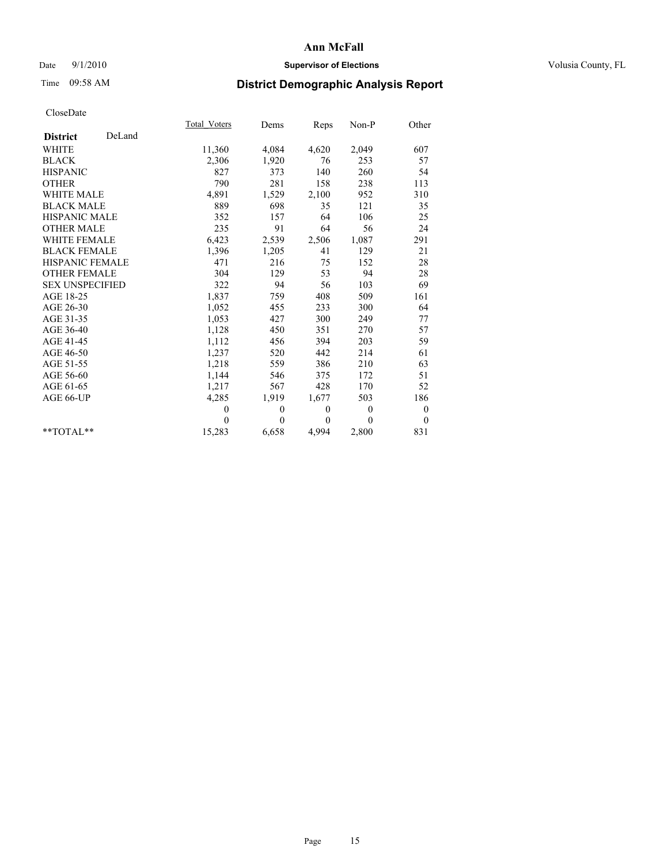## Date  $9/1/2010$  **Supervisor of Elections Supervisor of Elections** Volusia County, FL

# Time 09:58 AM **District Demographic Analysis Report**

|                        |        | Total Voters | Dems         | Reps         | $Non-P$  | Other            |  |
|------------------------|--------|--------------|--------------|--------------|----------|------------------|--|
| <b>District</b>        | DeLand |              |              |              |          |                  |  |
| <b>WHITE</b>           |        | 11,360       | 4,084        | 4,620        | 2,049    | 607              |  |
| <b>BLACK</b>           |        | 2,306        | 1,920        | 76           | 253      | 57               |  |
| <b>HISPANIC</b>        |        | 827          | 373          | 140          | 260      | 54               |  |
| <b>OTHER</b>           |        | 790          | 281          | 158          | 238      | 113              |  |
| <b>WHITE MALE</b>      |        | 4,891        | 1,529        | 2,100        | 952      | 310              |  |
| <b>BLACK MALE</b>      |        | 889          | 698          | 35           | 121      | 35               |  |
| <b>HISPANIC MALE</b>   |        | 352          | 157          | 64           | 106      | 25               |  |
| <b>OTHER MALE</b>      |        | 235          | 91           | 64           | 56       | 24               |  |
| <b>WHITE FEMALE</b>    |        | 6,423        | 2,539        | 2,506        | 1,087    | 291              |  |
| <b>BLACK FEMALE</b>    |        | 1,396        | 1,205        | 41           | 129      | 21               |  |
| HISPANIC FEMALE        |        | 471          | 216          | 75           | 152      | 28               |  |
| <b>OTHER FEMALE</b>    |        | 304          | 129          | 53           | 94       | 28               |  |
| <b>SEX UNSPECIFIED</b> |        | 322          | 94           | 56           | 103      | 69               |  |
| AGE 18-25              |        | 1,837        | 759          | 408          | 509      | 161              |  |
| AGE 26-30              |        | 1,052        | 455          | 233          | 300      | 64               |  |
| AGE 31-35              |        | 1,053        | 427          | 300          | 249      | 77               |  |
| AGE 36-40              |        | 1,128        | 450          | 351          | 270      | 57               |  |
| AGE 41-45              |        | 1,112        | 456          | 394          | 203      | 59               |  |
| AGE 46-50              |        | 1,237        | 520          | 442          | 214      | 61               |  |
| AGE 51-55              |        | 1,218        | 559          | 386          | 210      | 63               |  |
| AGE 56-60              |        | 1,144        | 546          | 375          | 172      | 51               |  |
| AGE 61-65              |        | 1,217        | 567          | 428          | 170      | 52               |  |
| AGE 66-UP              |        | 4,285        | 1,919        | 1,677        | 503      | 186              |  |
|                        |        | $\mathbf{0}$ | $\mathbf{0}$ | $\mathbf{0}$ | $\theta$ | $\boldsymbol{0}$ |  |
|                        |        | $\theta$     | $\theta$     | $\theta$     | $\theta$ | $\theta$         |  |
| $*$ $TOTAI.**$         |        | 15,283       | 6,658        | 4,994        | 2,800    | 831              |  |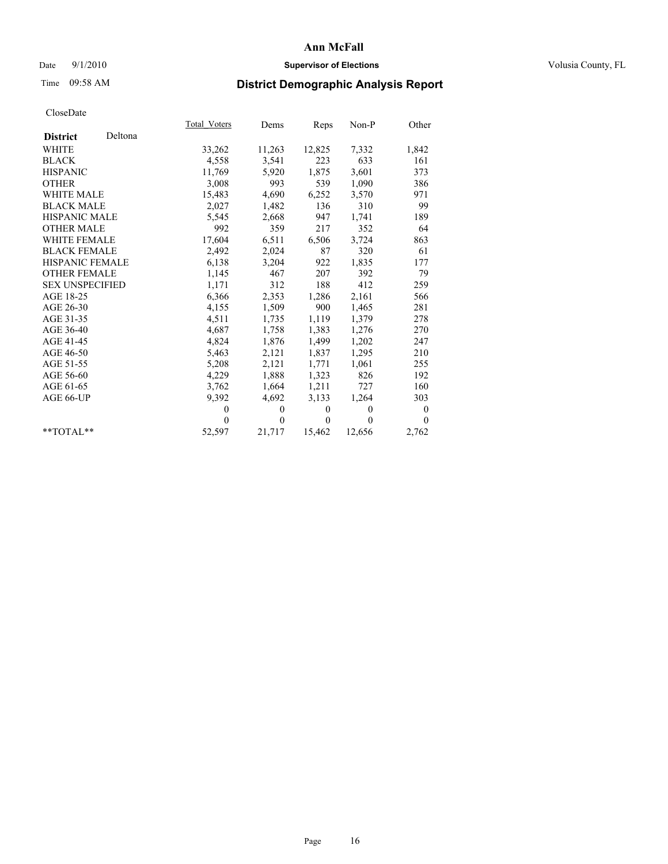## Date  $9/1/2010$  **Supervisor of Elections Supervisor of Elections** Volusia County, FL

# Time 09:58 AM **District Demographic Analysis Report**

|                                          |         | Total Voters | Dems         | Reps         | Non-P        | Other          |
|------------------------------------------|---------|--------------|--------------|--------------|--------------|----------------|
| <b>District</b>                          | Deltona |              |              |              |              |                |
| <b>WHITE</b>                             |         | 33,262       | 11,263       | 12,825       | 7,332        | 1,842          |
| <b>BLACK</b>                             |         | 4,558        | 3,541        | 223          | 633          | 161            |
| <b>HISPANIC</b>                          |         | 11,769       | 5,920        | 1,875        | 3,601        | 373            |
| <b>OTHER</b>                             |         | 3,008        | 993          | 539          | 1,090        | 386            |
| <b>WHITE MALE</b>                        |         | 15,483       | 4,690        | 6,252        | 3,570        | 971            |
| <b>BLACK MALE</b>                        |         | 2,027        | 1,482        | 136          | 310          | 99             |
| <b>HISPANIC MALE</b>                     |         | 5,545        | 2,668        | 947          | 1,741        | 189            |
| <b>OTHER MALE</b><br><b>WHITE FEMALE</b> |         | 992          | 359          | 217          | 352          | 64             |
| <b>BLACK FEMALE</b>                      |         | 17,604       | 6,511        | 6,506        | 3,724        | 863            |
|                                          |         | 2,492        | 2,024        | 87           | 320          | 61             |
| <b>HISPANIC FEMALE</b>                   |         | 6,138        | 3,204        | 922          | 1,835        | 177            |
| <b>OTHER FEMALE</b>                      |         | 1,145        | 467          | 207          | 392          | 79             |
| <b>SEX UNSPECIFIED</b>                   |         | 1,171        | 312          | 188          | 412          | 259            |
| AGE 18-25                                |         | 6,366        | 2,353        | 1,286        | 2,161        | 566            |
| AGE 26-30                                |         | 4,155        | 1,509        | 900          | 1,465        | 281            |
| AGE 31-35                                |         | 4,511        | 1,735        | 1,119        | 1,379        | 278            |
| AGE 36-40                                |         | 4,687        | 1,758        | 1,383        | 1,276        | 270            |
| AGE 41-45                                |         | 4,824        | 1,876        | 1,499        | 1,202        | 247            |
| AGE 46-50                                |         | 5,463        | 2,121        | 1,837        | 1,295        | 210            |
| AGE 51-55                                |         | 5,208        | 2,121        | 1,771        | 1,061        | 255            |
| AGE 56-60                                |         | 4,229        | 1,888        | 1,323        | 826          | 192            |
| AGE 61-65                                |         | 3,762        | 1,664        | 1,211        | 727          | 160            |
| AGE 66-UP                                |         | 9,392        | 4,692        | 3,133        | 1,264        | 303            |
|                                          |         | $\theta$     | $\mathbf{0}$ | $\mathbf{0}$ | $\mathbf{0}$ | $\overline{0}$ |
|                                          |         | $\Omega$     | $\theta$     | $\mathbf{0}$ | $\theta$     | $\theta$       |
| $*$ TOTAL $*$                            |         | 52,597       | 21,717       | 15,462       | 12,656       | 2,762          |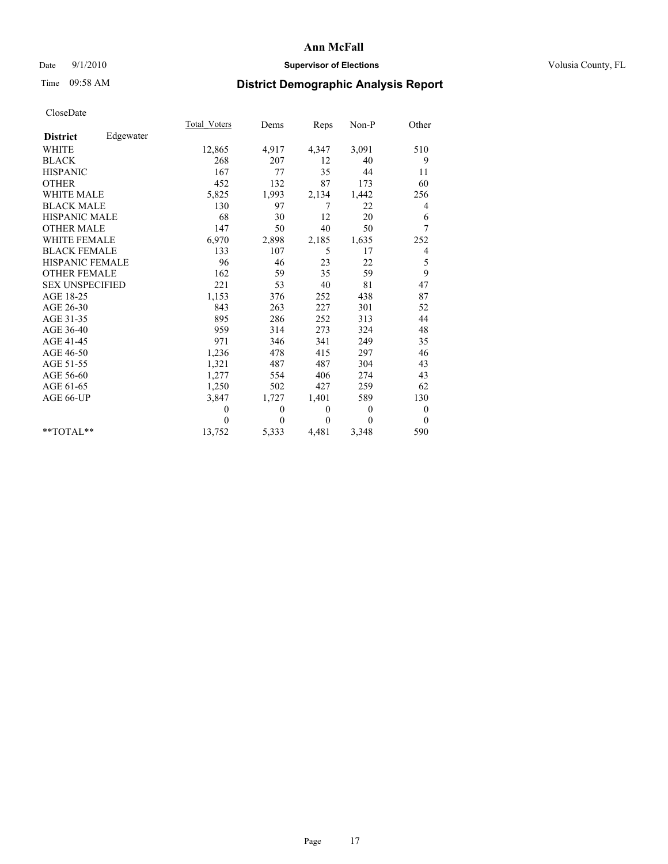## Date  $9/1/2010$  **Supervisor of Elections Supervisor of Elections** Volusia County, FL

## Time 09:58 AM **District Demographic Analysis Report**

|                                          |           | Total Voters | Dems     | Reps         | Non-P    | Other            |  |
|------------------------------------------|-----------|--------------|----------|--------------|----------|------------------|--|
| <b>District</b>                          | Edgewater |              |          |              |          |                  |  |
| <b>WHITE</b>                             |           | 12,865       | 4,917    | 4,347        | 3,091    | 510              |  |
| <b>BLACK</b>                             |           | 268          | 207      | 12           | 40       | 9                |  |
| <b>HISPANIC</b>                          |           | 167          | 77       | 35           | 44       | 11               |  |
| <b>OTHER</b>                             |           | 452          | 132      | 87           | 173      | 60               |  |
| <b>WHITE MALE</b>                        |           | 5,825        | 1,993    | 2,134        | 1,442    | 256              |  |
| <b>BLACK MALE</b>                        |           | 130          | 97       | 7            | 22       | 4                |  |
| <b>HISPANIC MALE</b>                     |           | 68           | 30       | 12           | 20       | 6                |  |
| <b>OTHER MALE</b><br><b>WHITE FEMALE</b> |           | 147          | 50       | 40           | 50       | 7                |  |
|                                          |           | 6,970        | 2,898    | 2,185        | 1,635    | 252              |  |
| <b>BLACK FEMALE</b>                      |           | 133          | 107      | 5            | 17       | 4                |  |
| <b>HISPANIC FEMALE</b>                   |           | 96           | 46       | 23           | 22       | 5                |  |
| <b>OTHER FEMALE</b>                      |           | 162          | 59       | 35           | 59       | 9                |  |
| <b>SEX UNSPECIFIED</b>                   |           | 221          | 53       | 40           | 81       | 47               |  |
| AGE 18-25                                |           | 1,153        | 376      | 252          | 438      | 87               |  |
| AGE 26-30                                |           | 843          | 263      | 227          | 301      | 52               |  |
| AGE 31-35                                |           | 895          | 286      | 252          | 313      | 44               |  |
| AGE 36-40                                |           | 959          | 314      | 273          | 324      | 48               |  |
| AGE 41-45                                |           | 971          | 346      | 341          | 249      | 35               |  |
| AGE 46-50                                |           | 1,236        | 478      | 415          | 297      | 46               |  |
| AGE 51-55                                |           | 1,321        | 487      | 487          | 304      | 43               |  |
| AGE 56-60                                |           | 1,277        | 554      | 406          | 274      | 43               |  |
| AGE 61-65                                |           | 1,250        | 502      | 427          | 259      | 62               |  |
| AGE 66-UP                                |           | 3,847        | 1,727    | 1,401        | 589      | 130              |  |
|                                          |           | $\theta$     | 0        | $\mathbf{0}$ | $\theta$ | $\boldsymbol{0}$ |  |
|                                          |           | $\theta$     | $\theta$ | $\Omega$     | $\theta$ | $\overline{0}$   |  |
| $**TOTAI.**$                             |           | 13,752       | 5,333    | 4,481        | 3,348    | 590              |  |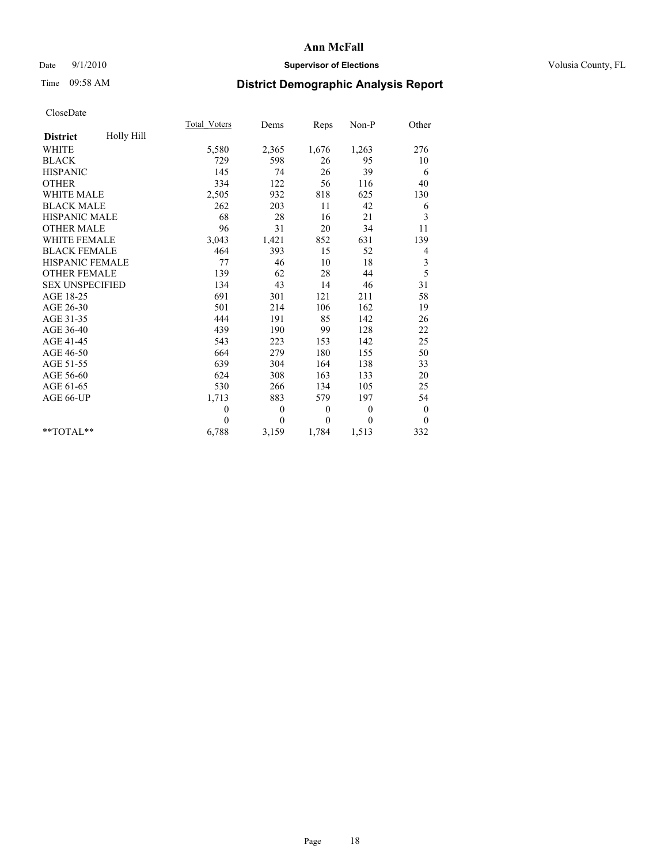## Date  $9/1/2010$  **Supervisor of Elections Supervisor of Elections** Volusia County, FL

# Time 09:58 AM **District Demographic Analysis Report**

|                               | Total Voters | Dems     | Reps     | $Non-P$      | Other            |
|-------------------------------|--------------|----------|----------|--------------|------------------|
| Holly Hill<br><b>District</b> |              |          |          |              |                  |
| <b>WHITE</b>                  | 5,580        | 2,365    | 1,676    | 1,263        | 276              |
| <b>BLACK</b>                  | 729          | 598      | 26       | 95           | 10               |
| <b>HISPANIC</b>               | 145          | 74       | 26       | 39           | 6                |
| <b>OTHER</b>                  | 334          | 122      | 56       | 116          | 40               |
| <b>WHITE MALE</b>             | 2,505        | 932      | 818      | 625          | 130              |
| <b>BLACK MALE</b>             | 262          | 203      | 11       | 42           | 6                |
| <b>HISPANIC MALE</b>          | 68           | 28       | 16       | 21           | 3                |
| <b>OTHER MALE</b>             | 96           | 31       | 20       | 34           | 11               |
| <b>WHITE FEMALE</b>           | 3,043        | 1,421    | 852      | 631          | 139              |
| <b>BLACK FEMALE</b>           | 464          | 393      | 15       | 52           | 4                |
| HISPANIC FEMALE               | 77           | 46       | 10       | 18           | 3                |
| <b>OTHER FEMALE</b>           | 139          | 62       | 28       | 44           | 5                |
| <b>SEX UNSPECIFIED</b>        | 134          | 43       | 14       | 46           | 31               |
| AGE 18-25                     | 691          | 301      | 121      | 211          | 58               |
| AGE 26-30                     | 501          | 214      | 106      | 162          | 19               |
| AGE 31-35                     | 444          | 191      | 85       | 142          | 26               |
| AGE 36-40                     | 439          | 190      | 99       | 128          | 22               |
| AGE 41-45                     | 543          | 223      | 153      | 142          | 25               |
| AGE 46-50                     | 664          | 279      | 180      | 155          | 50               |
| AGE 51-55                     | 639          | 304      | 164      | 138          | 33               |
| AGE 56-60                     | 624          | 308      | 163      | 133          | 20               |
| AGE 61-65                     | 530          | 266      | 134      | 105          | 25               |
| AGE 66-UP                     | 1,713        | 883      | 579      | 197          | 54               |
|                               | $\mathbf{0}$ | $\theta$ | $\theta$ | $\mathbf{0}$ | $\boldsymbol{0}$ |
|                               | $\theta$     | $\theta$ | $\theta$ | $\theta$     | $\theta$         |
| $*$ $TOTAI.**$                | 6,788        | 3,159    | 1,784    | 1,513        | 332              |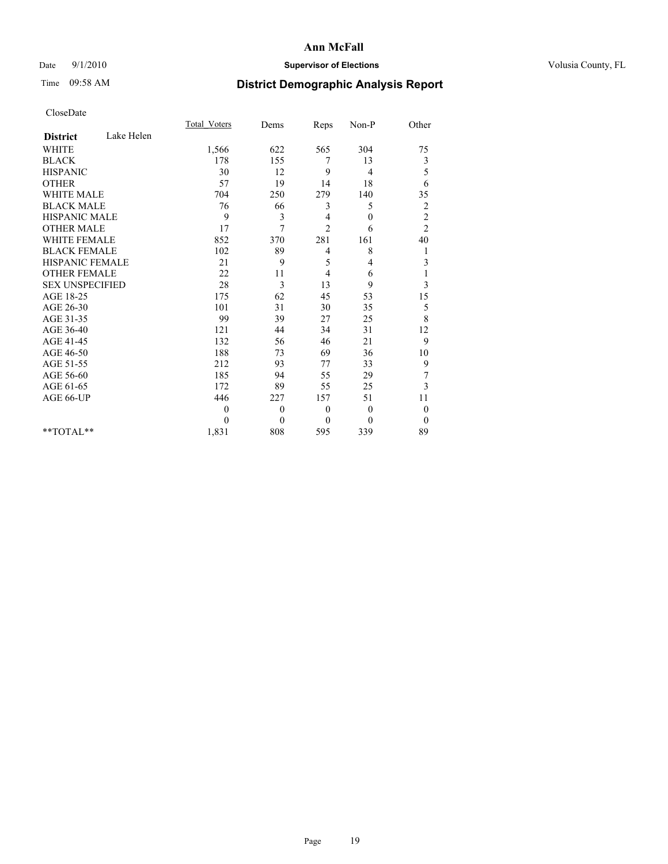## Date  $9/1/2010$  **Supervisor of Elections Supervisor of Elections** Volusia County, FL

# Time 09:58 AM **District Demographic Analysis Report**

|                        |            | <b>Total Voters</b> | Dems           | Reps           | Non-P        | Other            |  |
|------------------------|------------|---------------------|----------------|----------------|--------------|------------------|--|
| <b>District</b>        | Lake Helen |                     |                |                |              |                  |  |
| <b>WHITE</b>           |            | 1,566               | 622            | 565            | 304          | 75               |  |
| <b>BLACK</b>           |            | 178                 | 155            | 7              | 13           | 3                |  |
| <b>HISPANIC</b>        |            | 30                  | 12             | 9              | 4            | 5                |  |
| <b>OTHER</b>           |            | 57                  | 19             | 14             | 18           | 6                |  |
| <b>WHITE MALE</b>      |            | 704                 | 250            | 279            | 140          | 35               |  |
| <b>BLACK MALE</b>      |            | 76                  | 66             | 3              | 5            | $\overline{c}$   |  |
| <b>HISPANIC MALE</b>   |            | 9                   | 3              | 4              | $\mathbf{0}$ | $\overline{c}$   |  |
| <b>OTHER MALE</b>      |            | 17                  | 7              | $\overline{c}$ | 6            | $\overline{c}$   |  |
| <b>WHITE FEMALE</b>    |            | 852                 | 370            | 281            | 161          | 40               |  |
| <b>BLACK FEMALE</b>    |            | 102                 | 89             | 4              | 8            | 1                |  |
| HISPANIC FEMALE        |            | 21                  | 9              | 5              | 4            | $\mathfrak{Z}$   |  |
| <b>OTHER FEMALE</b>    |            | 22                  | 11             | 4              | 6            |                  |  |
| <b>SEX UNSPECIFIED</b> |            | 28                  | 3              | 13             | 9            | 3                |  |
| AGE 18-25              |            | 175                 | 62             | 45             | 53           | 15               |  |
| AGE 26-30              |            | 101                 | 31             | 30             | 35           | 5                |  |
| AGE 31-35              |            | 99                  | 39             | 27             | 25           | 8                |  |
| AGE 36-40              |            | 121                 | 44             | 34             | 31           | 12               |  |
| AGE 41-45              |            | 132                 | 56             | 46             | 21           | 9                |  |
| AGE 46-50              |            | 188                 | 73             | 69             | 36           | 10               |  |
| AGE 51-55              |            | 212                 | 93             | 77             | 33           | 9                |  |
| AGE 56-60              |            | 185                 | 94             | 55             | 29           | 7                |  |
| AGE 61-65              |            | 172                 | 89             | 55             | 25           | 3                |  |
| AGE 66-UP              |            | 446                 | 227            | 157            | 51           | 11               |  |
|                        |            | $\theta$            | $\overline{0}$ | $\theta$       | $\mathbf{0}$ | $\boldsymbol{0}$ |  |
|                        |            | $\theta$            | $\theta$       | $\theta$       | $\theta$     | $\theta$         |  |
| $*$ $TOTAI.**$         |            | 1,831               | 808            | 595            | 339          | 89               |  |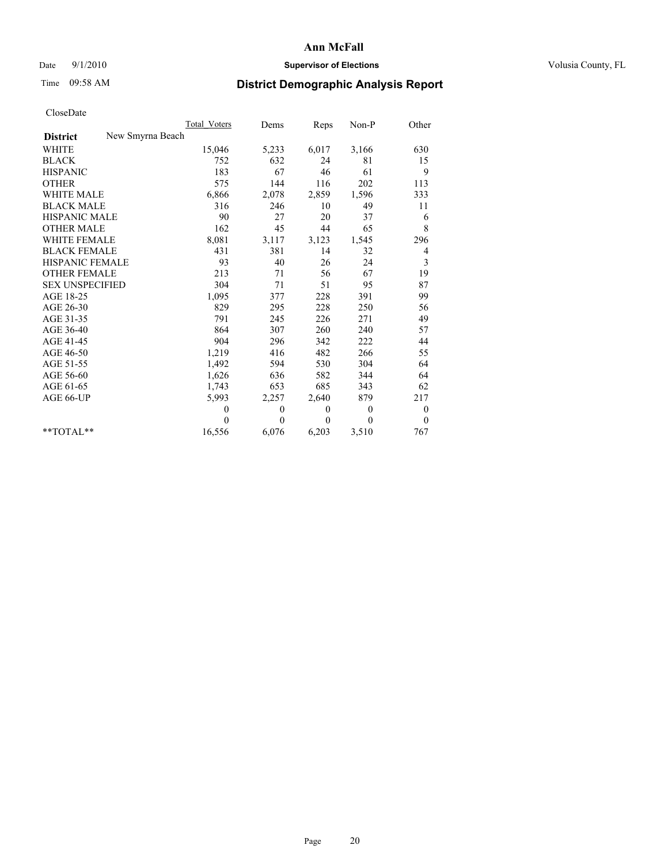## Date  $9/1/2010$  **Supervisor of Elections Supervisor of Elections** Volusia County, FL

## Time 09:58 AM **District Demographic Analysis Report**

|                                     | Total Voters | Dems     | Reps     | $Non-P$  | Other            |
|-------------------------------------|--------------|----------|----------|----------|------------------|
| New Smyrna Beach<br><b>District</b> |              |          |          |          |                  |
| <b>WHITE</b>                        | 15,046       | 5,233    | 6,017    | 3,166    | 630              |
| <b>BLACK</b>                        | 752          | 632      | 24       | 81       | 15               |
| <b>HISPANIC</b>                     | 183          | 67       | 46       | 61       | 9                |
| <b>OTHER</b>                        | 575          | 144      | 116      | 202      | 113              |
| <b>WHITE MALE</b>                   | 6,866        | 2,078    | 2,859    | 1,596    | 333              |
| <b>BLACK MALE</b>                   | 316          | 246      | 10       | 49       | 11               |
| <b>HISPANIC MALE</b>                | 90           | 27       | 20       | 37       | 6                |
| <b>OTHER MALE</b>                   | 162          | 45       | 44       | 65       | 8                |
| <b>WHITE FEMALE</b>                 | 8,081        | 3,117    | 3,123    | 1,545    | 296              |
| <b>BLACK FEMALE</b>                 | 431          | 381      | 14       | 32       | 4                |
| HISPANIC FEMALE                     | 93           | 40       | 26       | 24       | 3                |
| <b>OTHER FEMALE</b>                 | 213          | 71       | 56       | 67       | 19               |
| <b>SEX UNSPECIFIED</b>              | 304          | 71       | 51       | 95       | 87               |
| AGE 18-25                           | 1,095        | 377      | 228      | 391      | 99               |
| AGE 26-30                           | 829          | 295      | 228      | 250      | 56               |
| AGE 31-35                           | 791          | 245      | 226      | 271      | 49               |
| AGE 36-40                           | 864          | 307      | 260      | 240      | 57               |
| AGE 41-45                           | 904          | 296      | 342      | 222      | 44               |
| AGE 46-50                           | 1,219        | 416      | 482      | 266      | 55               |
| AGE 51-55                           | 1,492        | 594      | 530      | 304      | 64               |
| AGE 56-60                           | 1,626        | 636      | 582      | 344      | 64               |
| AGE 61-65                           | 1,743        | 653      | 685      | 343      | 62               |
| AGE 66-UP                           | 5,993        | 2,257    | 2,640    | 879      | 217              |
|                                     | $\mathbf{0}$ | $\theta$ | $\theta$ | $\theta$ | $\boldsymbol{0}$ |
|                                     | $\Omega$     | $\theta$ | $\theta$ | $\theta$ | $\theta$         |
| $*$ $TOTAI.**$                      | 16,556       | 6,076    | 6,203    | 3,510    | 767              |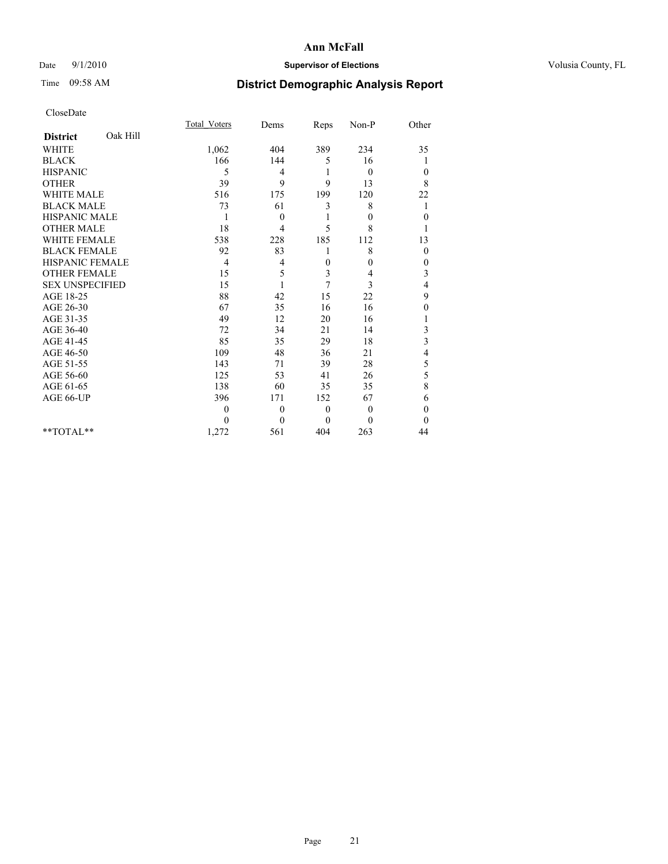## Date  $9/1/2010$  **Supervisor of Elections Supervisor of Elections** Volusia County, FL

## Time 09:58 AM **District Demographic Analysis Report**

|                                          |          | <b>Total Voters</b> | Dems         | Reps         | Non-P            | Other        |
|------------------------------------------|----------|---------------------|--------------|--------------|------------------|--------------|
| <b>District</b>                          | Oak Hill |                     |              |              |                  |              |
| <b>WHITE</b>                             |          | 1,062               | 404          | 389          | 234              | 35           |
| <b>BLACK</b>                             |          | 166                 | 144          | 5            | 16               |              |
| <b>HISPANIC</b>                          |          | 5                   | 4            | 1            | $\theta$         | $\mathbf{0}$ |
| <b>OTHER</b>                             |          | 39                  | 9            | 9            | 13               | 8            |
| <b>WHITE MALE</b>                        |          | 516                 | 175          | 199          | 120              | 22           |
| <b>BLACK MALE</b>                        |          | 73                  | 61           | 3            | 8                | 1            |
| <b>HISPANIC MALE</b>                     |          | 1                   | $\theta$     |              | $\boldsymbol{0}$ | $\theta$     |
| <b>OTHER MALE</b><br><b>WHITE FEMALE</b> |          | 18                  | 4            | 5            | 8                |              |
|                                          |          | 538                 | 228          | 185          | 112              | 13           |
| <b>BLACK FEMALE</b>                      |          | 92                  | 83           |              | 8                | $\mathbf{0}$ |
| HISPANIC FEMALE                          |          | $\overline{4}$      | 4            | $\theta$     | 0                | 0            |
| <b>OTHER FEMALE</b>                      |          | 15                  | 5            | 3            | 4                | 3            |
| <b>SEX UNSPECIFIED</b>                   |          | 15                  | 1            | 7            | 3                | 4            |
| AGE 18-25                                |          | 88                  | 42           | 15           | 22               | 9            |
| AGE 26-30                                |          | 67                  | 35           | 16           | 16               | 0            |
| AGE 31-35                                |          | 49                  | 12           | 20           | 16               |              |
| AGE 36-40                                |          | 72                  | 34           | 21           | 14               | 3            |
| AGE 41-45                                |          | 85                  | 35           | 29           | 18               | 3            |
| AGE 46-50                                |          | 109                 | 48           | 36           | 21               | 4            |
| AGE 51-55                                |          | 143                 | 71           | 39           | 28               | 5            |
| AGE 56-60                                |          | 125                 | 53           | 41           | 26               | 5            |
| AGE 61-65                                |          | 138                 | 60           | 35           | 35               | 8            |
| AGE 66-UP                                |          | 396                 | 171          | 152          | 67               | 6            |
|                                          |          | $\mathbf{0}$        | $\mathbf{0}$ | $\mathbf{0}$ | $\theta$         | $\theta$     |
|                                          |          | $\theta$            | $\theta$     | $\theta$     | $\theta$         | $\theta$     |
| $*$ TOTAL $*$                            |          | 1,272               | 561          | 404          | 263              | 44           |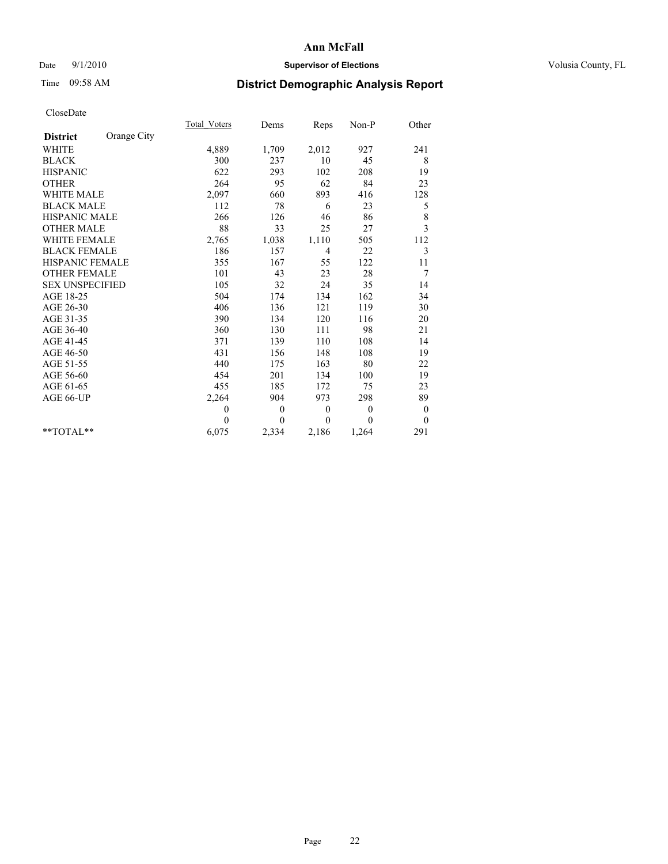## Date  $9/1/2010$  **Supervisor of Elections Supervisor of Elections** Volusia County, FL

# Time 09:58 AM **District Demographic Analysis Report**

|                                   |             | <b>Total Voters</b> | Dems     | Reps         | $Non-P$  | Other            |
|-----------------------------------|-------------|---------------------|----------|--------------|----------|------------------|
| <b>District</b>                   | Orange City |                     |          |              |          |                  |
| <b>WHITE</b>                      |             | 4,889               | 1,709    | 2,012        | 927      | 241              |
| <b>BLACK</b>                      |             | 300                 | 237      | 10           | 45       | 8                |
| <b>HISPANIC</b>                   |             | 622                 | 293      | 102          | 208      | 19               |
| <b>OTHER</b>                      |             | 264                 | 95       | 62           | 84       | 23               |
| <b>WHITE MALE</b>                 |             | 2,097               | 660      | 893          | 416      | 128              |
| <b>BLACK MALE</b>                 |             | 112                 | 78       | 6            | 23       | 5                |
| <b>HISPANIC MALE</b>              |             | 266                 | 126      | 46           | 86       | 8                |
| <b>OTHER MALE</b><br>WHITE FEMALE |             | 88                  | 33       | 25           | 27       | 3                |
|                                   |             | 2,765               | 1,038    | 1,110        | 505      | 112              |
| <b>BLACK FEMALE</b>               |             | 186                 | 157      | 4            | 22       | 3                |
| HISPANIC FEMALE                   |             | 355                 | 167      | 55           | 122      | 11               |
| <b>OTHER FEMALE</b>               |             | 101                 | 43       | 23           | 28       | 7                |
| <b>SEX UNSPECIFIED</b>            |             | 105                 | 32       | 24           | 35       | 14               |
| AGE 18-25                         |             | 504                 | 174      | 134          | 162      | 34               |
| AGE 26-30                         |             | 406                 | 136      | 121          | 119      | 30               |
| AGE 31-35                         |             | 390                 | 134      | 120          | 116      | 20               |
| AGE 36-40                         |             | 360                 | 130      | 111          | 98       | 21               |
| AGE 41-45                         |             | 371                 | 139      | 110          | 108      | 14               |
| AGE 46-50                         |             | 431                 | 156      | 148          | 108      | 19               |
| AGE 51-55                         |             | 440                 | 175      | 163          | 80       | 22               |
| AGE 56-60                         |             | 454                 | 201      | 134          | 100      | 19               |
| AGE 61-65                         |             | 455                 | 185      | 172          | 75       | 23               |
| AGE 66-UP                         |             | 2,264               | 904      | 973          | 298      | 89               |
|                                   |             | $\theta$            | $\theta$ | $\mathbf{0}$ | $\theta$ | $\boldsymbol{0}$ |
|                                   |             | $\theta$            | $\theta$ | $\theta$     | $\theta$ | $\theta$         |
| $*$ $TOTAI.**$                    |             | 6,075               | 2,334    | 2,186        | 1,264    | 291              |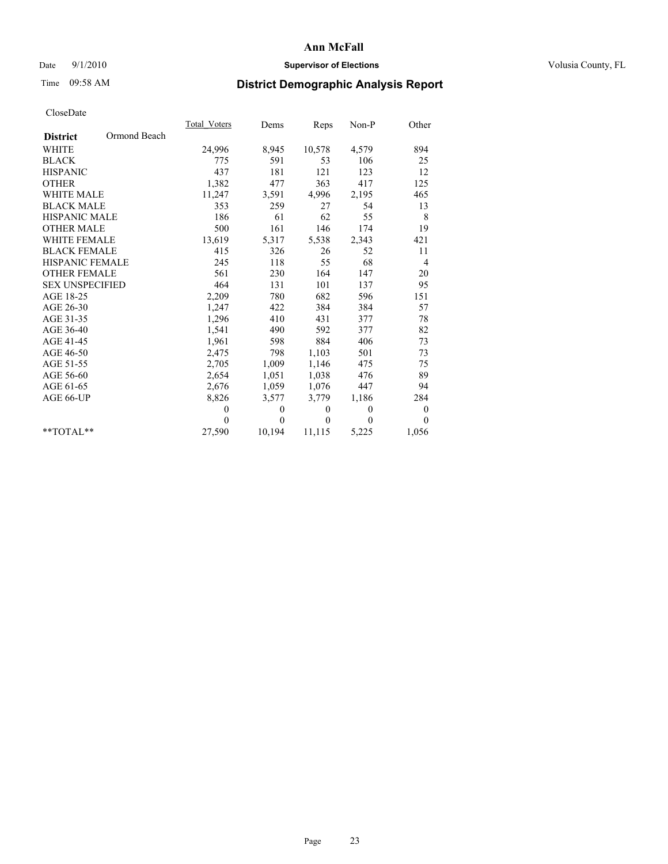## Date  $9/1/2010$  **Supervisor of Elections Supervisor of Elections** Volusia County, FL

## Time 09:58 AM **District Demographic Analysis Report**

|                        |              | <b>Total Voters</b> | Dems         | <b>Reps</b>  | Non-P    | Other            |
|------------------------|--------------|---------------------|--------------|--------------|----------|------------------|
| <b>District</b>        | Ormond Beach |                     |              |              |          |                  |
| <b>WHITE</b>           |              | 24,996              | 8,945        | 10,578       | 4,579    | 894              |
| <b>BLACK</b>           |              | 775                 | 591          | 53           | 106      | 25               |
| <b>HISPANIC</b>        |              | 437                 | 181          | 121          | 123      | 12               |
| <b>OTHER</b>           |              | 1,382               | 477          | 363          | 417      | 125              |
| <b>WHITE MALE</b>      |              | 11,247              | 3,591        | 4,996        | 2,195    | 465              |
| <b>BLACK MALE</b>      |              | 353                 | 259          | 27           | 54       | 13               |
| <b>HISPANIC MALE</b>   |              | 186                 | 61           | 62           | 55       | 8                |
| <b>OTHER MALE</b>      |              | 500                 | 161          | 146          | 174      | 19               |
| WHITE FEMALE           |              | 13,619              | 5,317        | 5,538        | 2,343    | 421              |
| <b>BLACK FEMALE</b>    |              | 415                 | 326          | 26           | 52       | 11               |
| HISPANIC FEMALE        |              | 245                 | 118          | 55           | 68       | 4                |
| <b>OTHER FEMALE</b>    |              | 561                 | 230          | 164          | 147      | 20               |
| <b>SEX UNSPECIFIED</b> |              | 464                 | 131          | 101          | 137      | 95               |
| AGE 18-25              |              | 2,209               | 780          | 682          | 596      | 151              |
| AGE 26-30              |              | 1,247               | 422          | 384          | 384      | 57               |
| AGE 31-35              |              | 1,296               | 410          | 431          | 377      | 78               |
| AGE 36-40              |              | 1,541               | 490          | 592          | 377      | 82               |
| AGE 41-45              |              | 1,961               | 598          | 884          | 406      | 73               |
| AGE 46-50              |              | 2,475               | 798          | 1,103        | 501      | 73               |
| AGE 51-55              |              | 2,705               | 1,009        | 1,146        | 475      | 75               |
| AGE 56-60              |              | 2,654               | 1,051        | 1,038        | 476      | 89               |
| AGE 61-65              |              | 2,676               | 1,059        | 1,076        | 447      | 94               |
| AGE 66-UP              |              | 8,826               | 3,577        | 3,779        | 1,186    | 284              |
|                        |              | $\theta$            | $\theta$     | $\mathbf{0}$ | $\theta$ | $\boldsymbol{0}$ |
|                        |              | $\theta$            | $\mathbf{0}$ | $\Omega$     | $\theta$ | $\theta$         |
| $*$ $TOTAI.**$         |              | 27,590              | 10,194       | 11,115       | 5,225    | 1,056            |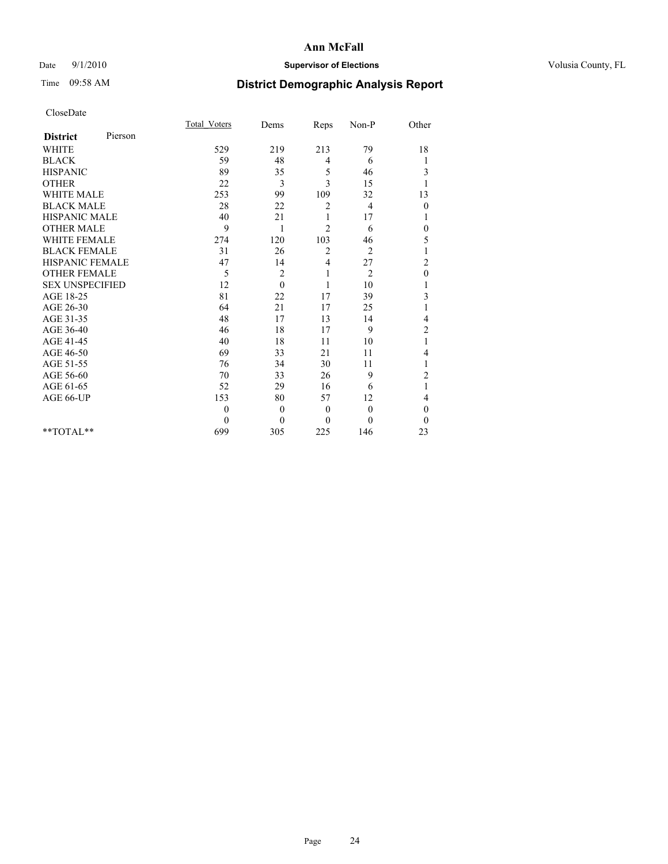## Date  $9/1/2010$  **Supervisor of Elections Supervisor of Elections** Volusia County, FL

## Time 09:58 AM **District Demographic Analysis Report**

|                        |         | <b>Total Voters</b> | Dems           | Reps           | Non-P          | Other          |  |
|------------------------|---------|---------------------|----------------|----------------|----------------|----------------|--|
| <b>District</b>        | Pierson |                     |                |                |                |                |  |
| <b>WHITE</b>           |         | 529                 | 219            | 213            | 79             | 18             |  |
| <b>BLACK</b>           |         | 59                  | 48             | 4              | 6              |                |  |
| <b>HISPANIC</b>        |         | 89                  | 35             | 5              | 46             | 3              |  |
| <b>OTHER</b>           |         | 22                  | 3              | 3              | 15             |                |  |
| <b>WHITE MALE</b>      |         | 253                 | 99             | 109            | 32             | 13             |  |
| <b>BLACK MALE</b>      |         | 28                  | 22             | 2              | 4              | $\theta$       |  |
| <b>HISPANIC MALE</b>   |         | 40                  | 21             | 1              | 17             |                |  |
| <b>OTHER MALE</b>      |         | 9                   | 1              | 2              | 6              | $\theta$       |  |
| WHITE FEMALE           |         | 274                 | 120            | 103            | 46             | 5              |  |
| <b>BLACK FEMALE</b>    |         | 31                  | 26             | $\overline{c}$ | $\overline{2}$ |                |  |
| HISPANIC FEMALE        |         | 47                  | 14             | 4              | 27             | $\overline{c}$ |  |
| <b>OTHER FEMALE</b>    |         | 5                   | $\overline{c}$ | 1              | $\overline{2}$ | $\mathbf{0}$   |  |
| <b>SEX UNSPECIFIED</b> |         | 12                  | $\theta$       | 1              | 10             |                |  |
| AGE 18-25              |         | 81                  | 22             | 17             | 39             | 3              |  |
| AGE 26-30              |         | 64                  | 21             | 17             | 25             |                |  |
| AGE 31-35              |         | 48                  | 17             | 13             | 14             | 4              |  |
| AGE 36-40              |         | 46                  | 18             | 17             | 9              | $\overline{c}$ |  |
| AGE 41-45              |         | 40                  | 18             | 11             | 10             |                |  |
| AGE 46-50              |         | 69                  | 33             | 21             | 11             | 4              |  |
| AGE 51-55              |         | 76                  | 34             | 30             | 11             |                |  |
| AGE 56-60              |         | 70                  | 33             | 26             | 9              | $\overline{c}$ |  |
| AGE 61-65              |         | 52                  | 29             | 16             | 6              |                |  |
| AGE 66-UP              |         | 153                 | 80             | 57             | 12             | 4              |  |
|                        |         | $\theta$            | $\mathbf{0}$   | $\mathbf{0}$   | $\theta$       | $\mathbf{0}$   |  |
|                        |         | $\Omega$            | $\theta$       | $\Omega$       | $\theta$       | $\theta$       |  |
| $*$ TOTAL $*$          |         | 699                 | 305            | 225            | 146            | 23             |  |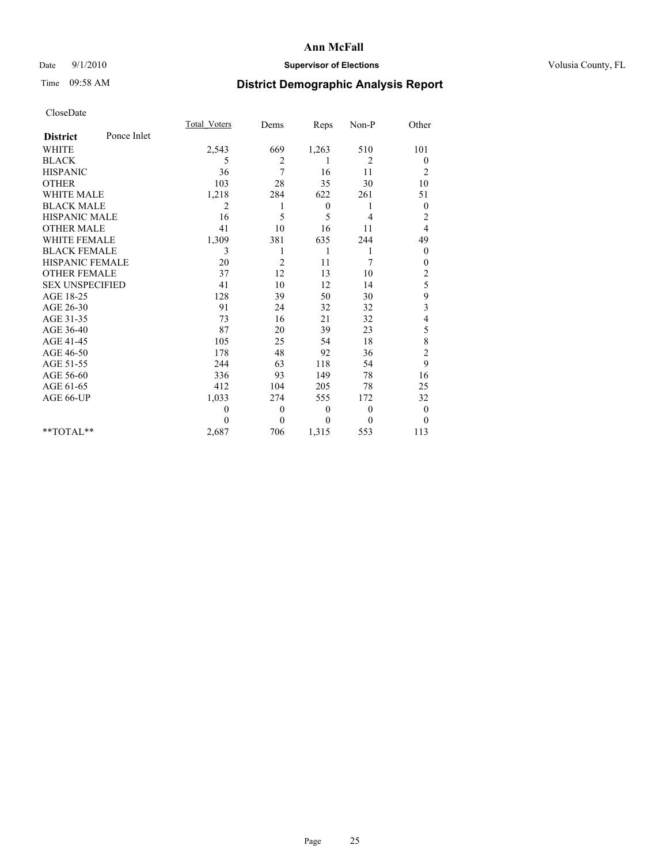## Date  $9/1/2010$  **Supervisor of Elections Supervisor of Elections** Volusia County, FL

## Time 09:58 AM **District Demographic Analysis Report**

|                                | <b>Total Voters</b> | Dems           | Reps         | Non-P    | Other                    |
|--------------------------------|---------------------|----------------|--------------|----------|--------------------------|
| Ponce Inlet<br><b>District</b> |                     |                |              |          |                          |
| <b>WHITE</b>                   | 2,543               | 669            | 1,263        | 510      | 101                      |
| <b>BLACK</b>                   | 5                   | 2              |              | 2        | $\boldsymbol{0}$         |
| <b>HISPANIC</b>                | 36                  | 7              | 16           | 11       | $\overline{c}$           |
| <b>OTHER</b>                   | 103                 | 28             | 35           | 30       | 10                       |
| WHITE MALE                     | 1,218               | 284            | 622          | 261      | 51                       |
| <b>BLACK MALE</b>              | 2                   | 1              | $\mathbf{0}$ | 1        | $\boldsymbol{0}$         |
| HISPANIC MALE                  | 16                  | 5              | 5            | 4        | $\overline{c}$           |
| <b>OTHER MALE</b>              | 41                  | 10             | 16           | 11       | 4                        |
| <b>WHITE FEMALE</b>            | 1,309               | 381            | 635          | 244      | 49                       |
| <b>BLACK FEMALE</b>            | 3                   | 1              | 1            | 1        | $\boldsymbol{0}$         |
| <b>HISPANIC FEMALE</b>         | 20                  | $\overline{2}$ | 11           | 7        | $\mathbf{0}$             |
| <b>OTHER FEMALE</b>            | 37                  | 12             | 13           | 10       | $\overline{c}$           |
| <b>SEX UNSPECIFIED</b>         | 41                  | 10             | 12           | 14       | 5                        |
| AGE 18-25                      | 128                 | 39             | 50           | 30       | 9                        |
| AGE 26-30                      | 91                  | 24             | 32           | 32       | $\mathfrak{Z}$           |
| AGE 31-35                      | 73                  | 16             | 21           | 32       | $\overline{\mathcal{L}}$ |
| AGE 36-40                      | 87                  | 20             | 39           | 23       | 5                        |
| AGE 41-45                      | 105                 | 25             | 54           | 18       | 8                        |
| AGE 46-50                      | 178                 | 48             | 92           | 36       | $\overline{c}$           |
| AGE 51-55                      | 244                 | 63             | 118          | 54       | 9                        |
| AGE 56-60                      | 336                 | 93             | 149          | 78       | 16                       |
| AGE 61-65                      | 412                 | 104            | 205          | 78       | 25                       |
| AGE 66-UP                      | 1,033               | 274            | 555          | 172      | 32                       |
|                                | $\theta$            | $\theta$       | $\mathbf{0}$ | $\theta$ | $\boldsymbol{0}$         |
|                                | $\Omega$            | $\theta$       | $\theta$     | $\Omega$ | $\theta$                 |
| $*$ TOTAL $*$                  | 2,687               | 706            | 1,315        | 553      | 113                      |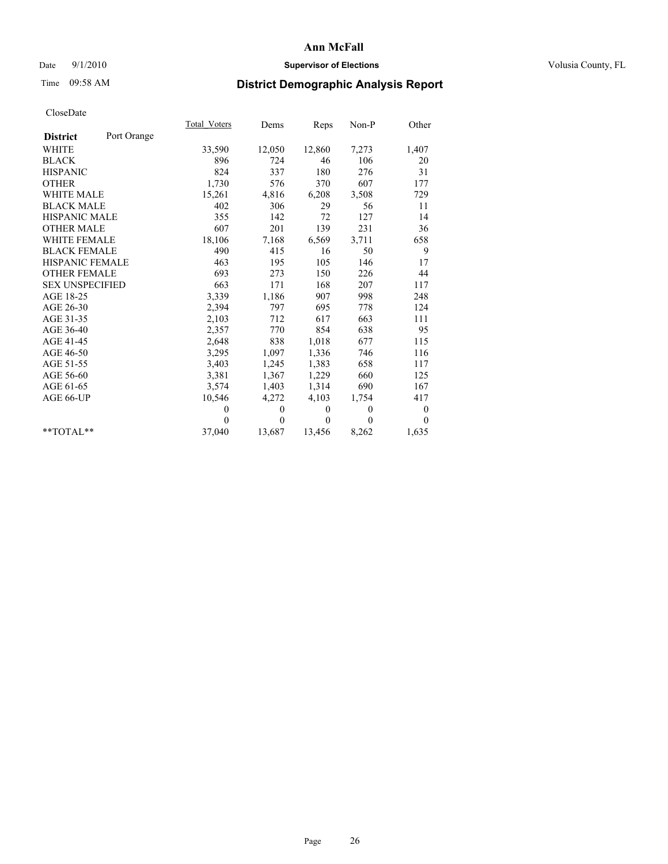## Date  $9/1/2010$  **Supervisor of Elections Supervisor of Elections** Volusia County, FL

# Time 09:58 AM **District Demographic Analysis Report**

|                        |             | <b>Total Voters</b> | Dems         | Reps         | $Non-P$      | Other            |
|------------------------|-------------|---------------------|--------------|--------------|--------------|------------------|
| <b>District</b>        | Port Orange |                     |              |              |              |                  |
| <b>WHITE</b>           |             | 33,590              | 12,050       | 12,860       | 7,273        | 1,407            |
| <b>BLACK</b>           |             | 896                 | 724          | 46           | 106          | 20               |
| <b>HISPANIC</b>        |             | 824                 | 337          | 180          | 276          | 31               |
| <b>OTHER</b>           |             | 1,730               | 576          | 370          | 607          | 177              |
| <b>WHITE MALE</b>      |             | 15,261              | 4,816        | 6,208        | 3,508        | 729              |
| <b>BLACK MALE</b>      |             | 402                 | 306          | 29           | 56           | 11               |
| <b>HISPANIC MALE</b>   |             | 355                 | 142          | 72           | 127          | 14               |
| <b>OTHER MALE</b>      |             | 607                 | 201          | 139          | 231          | 36               |
| <b>WHITE FEMALE</b>    |             | 18,106              | 7,168        | 6,569        | 3,711        | 658              |
| <b>BLACK FEMALE</b>    |             | 490                 | 415          | 16           | 50           | 9                |
| HISPANIC FEMALE        |             | 463                 | 195          | 105          | 146          | 17               |
| <b>OTHER FEMALE</b>    |             | 693                 | 273          | 150          | 226          | 44               |
| <b>SEX UNSPECIFIED</b> |             | 663                 | 171          | 168          | 207          | 117              |
| AGE 18-25              |             | 3,339               | 1,186        | 907          | 998          | 248              |
| AGE 26-30              |             | 2,394               | 797          | 695          | 778          | 124              |
| AGE 31-35              |             | 2,103               | 712          | 617          | 663          | 111              |
| AGE 36-40              |             | 2,357               | 770          | 854          | 638          | 95               |
| AGE 41-45              |             | 2,648               | 838          | 1,018        | 677          | 115              |
| AGE 46-50              |             | 3,295               | 1,097        | 1,336        | 746          | 116              |
| AGE 51-55              |             | 3,403               | 1,245        | 1,383        | 658          | 117              |
| AGE 56-60              |             | 3,381               | 1,367        | 1,229        | 660          | 125              |
| AGE 61-65              |             | 3,574               | 1,403        | 1,314        | 690          | 167              |
| AGE 66-UP              |             | 10,546              | 4,272        | 4,103        | 1,754        | 417              |
|                        |             | $\theta$            | $\mathbf{0}$ | $\mathbf{0}$ | $\mathbf{0}$ | $\boldsymbol{0}$ |
|                        |             | $\Omega$            | $\theta$     | $\Omega$     | $\theta$     | $\Omega$         |
| $*$ $TOTAI.**$         |             | 37,040              | 13,687       | 13,456       | 8,262        | 1,635            |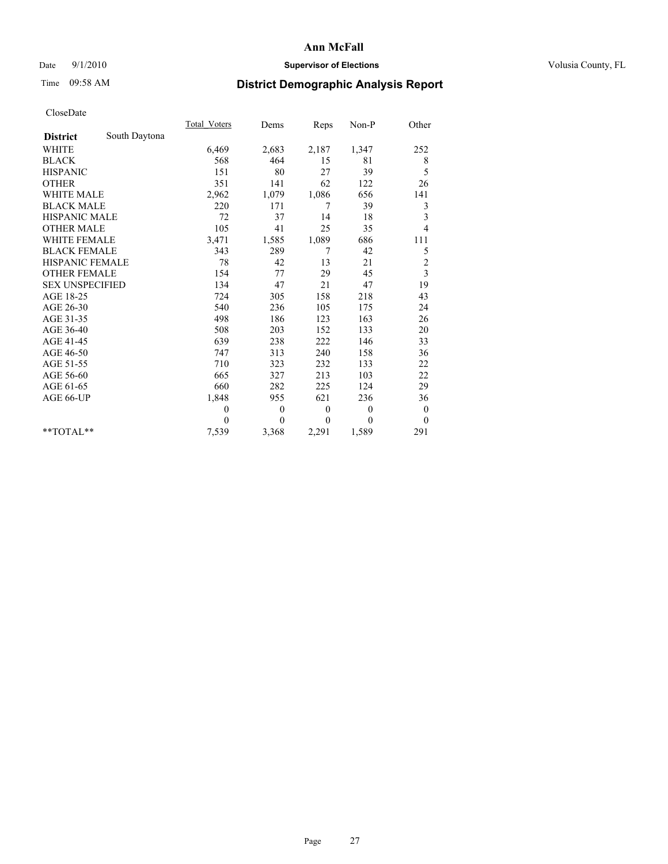## Date  $9/1/2010$  **Supervisor of Elections Supervisor of Elections** Volusia County, FL

## Time 09:58 AM **District Demographic Analysis Report**

|                        |               | Total Voters | Dems     | Reps         | $Non-P$  | Other            |  |
|------------------------|---------------|--------------|----------|--------------|----------|------------------|--|
| <b>District</b>        | South Daytona |              |          |              |          |                  |  |
| <b>WHITE</b>           |               | 6,469        | 2,683    | 2,187        | 1,347    | 252              |  |
| <b>BLACK</b>           |               | 568          | 464      | 15           | 81       | 8                |  |
| <b>HISPANIC</b>        |               | 151          | 80       | 27           | 39       | 5                |  |
| <b>OTHER</b>           |               | 351          | 141      | 62           | 122      | 26               |  |
| <b>WHITE MALE</b>      |               | 2,962        | 1,079    | 1,086        | 656      | 141              |  |
| <b>BLACK MALE</b>      |               | 220          | 171      | 7            | 39       | 3                |  |
| <b>HISPANIC MALE</b>   |               | 72           | 37       | 14           | 18       | 3                |  |
| <b>OTHER MALE</b>      |               | 105          | 41       | 25           | 35       | $\overline{4}$   |  |
| WHITE FEMALE           |               | 3,471        | 1,585    | 1,089        | 686      | 111              |  |
| <b>BLACK FEMALE</b>    |               | 343          | 289      | 7            | 42       | 5                |  |
| HISPANIC FEMALE        |               | 78           | 42       | 13           | 21       | $\overline{c}$   |  |
| <b>OTHER FEMALE</b>    |               | 154          | 77       | 29           | 45       | 3                |  |
| <b>SEX UNSPECIFIED</b> |               | 134          | 47       | 21           | 47       | 19               |  |
| AGE 18-25              |               | 724          | 305      | 158          | 218      | 43               |  |
| AGE 26-30              |               | 540          | 236      | 105          | 175      | 24               |  |
| AGE 31-35              |               | 498          | 186      | 123          | 163      | 26               |  |
| AGE 36-40              |               | 508          | 203      | 152          | 133      | 20               |  |
| AGE 41-45              |               | 639          | 238      | 222          | 146      | 33               |  |
| AGE 46-50              |               | 747          | 313      | 240          | 158      | 36               |  |
| AGE 51-55              |               | 710          | 323      | 232          | 133      | 22               |  |
| AGE 56-60              |               | 665          | 327      | 213          | 103      | 22               |  |
| AGE 61-65              |               | 660          | 282      | 225          | 124      | 29               |  |
| AGE 66-UP              |               | 1,848        | 955      | 621          | 236      | 36               |  |
|                        |               | $\mathbf{0}$ | $\theta$ | $\mathbf{0}$ | $\theta$ | $\boldsymbol{0}$ |  |
|                        |               | $\theta$     | $\theta$ | $\mathbf{0}$ | $\theta$ | $\theta$         |  |
| $*$ $TOTAI.**$         |               | 7,539        | 3,368    | 2,291        | 1,589    | 291              |  |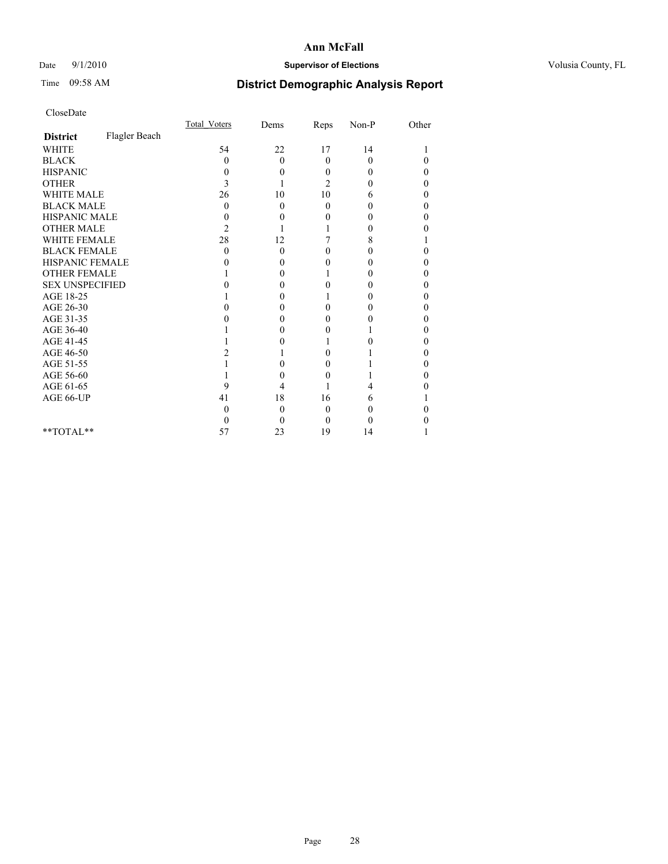## Date  $9/1/2010$  **Supervisor of Elections Supervisor of Elections** Volusia County, FL

# Time 09:58 AM **District Demographic Analysis Report**

|                        |               | Total Voters | Dems     | Reps           | $Non-P$  | Other    |  |
|------------------------|---------------|--------------|----------|----------------|----------|----------|--|
| <b>District</b>        | Flagler Beach |              |          |                |          |          |  |
| <b>WHITE</b>           |               | 54           | 22       | 17             | 14       |          |  |
| <b>BLACK</b>           |               | 0            | $\theta$ | $\theta$       | $\theta$ | $\theta$ |  |
| <b>HISPANIC</b>        |               | 0            | 0        | $\Omega$       | 0        | 0        |  |
| <b>OTHER</b>           |               | 3            |          | $\overline{c}$ | 0        | 0        |  |
| <b>WHITE MALE</b>      |               | 26           | 10       | 10             | 6        | 0        |  |
| <b>BLACK MALE</b>      |               | 0            | $\theta$ | $\Omega$       | 0        | 0        |  |
| HISPANIC MALE          |               | 0            | 0        | 0              | 0        | 0        |  |
| <b>OTHER MALE</b>      |               | 2            |          |                | 0        | 0        |  |
| WHITE FEMALE           |               | 28           | 12       |                | 8        |          |  |
| <b>BLACK FEMALE</b>    |               | 0            | 0        | 0              | 0        | 0        |  |
| HISPANIC FEMALE        |               |              | 0        | 0              | 0        | 0        |  |
| <b>OTHER FEMALE</b>    |               |              | 0        |                | 0        | 0        |  |
| <b>SEX UNSPECIFIED</b> |               |              | 0        | 0              | 0        | 0        |  |
| AGE 18-25              |               |              | 0        |                | 0        | 0        |  |
| AGE 26-30              |               |              | 0        | 0              | 0        | 0        |  |
| AGE 31-35              |               |              | 0        | 0              | 0        | 0        |  |
| AGE 36-40              |               |              | 0        | 0              |          | 0        |  |
| AGE 41-45              |               |              |          |                | 0        | 0        |  |
| AGE 46-50              |               |              |          | 0              |          | 0        |  |
| AGE 51-55              |               |              | 0        | 0              |          | 0        |  |
| AGE 56-60              |               |              | 0        | $\theta$       |          | 0        |  |
| AGE 61-65              |               | 9            | 4        |                | 4        |          |  |
| AGE 66-UP              |               | 41           | 18       | 16             | 6        |          |  |
|                        |               | 0            | 0        | 0              | 0        |          |  |
|                        |               | $_{0}$       | 0        | $\Omega$       | 0        |          |  |
| $*$ $TOTAI.**$         |               | 57           | 23       | 19             | 14       |          |  |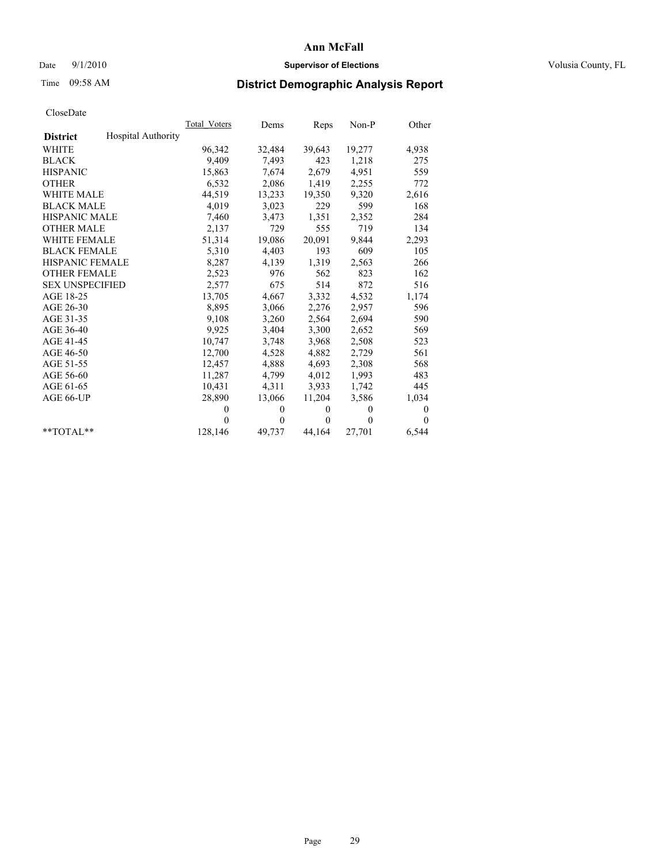## Date  $9/1/2010$  **Supervisor of Elections Supervisor of Elections** Volusia County, FL

# Time 09:58 AM **District Demographic Analysis Report**

|                                              | <b>Total Voters</b> | Dems         | Reps         | Non-P        | Other          |
|----------------------------------------------|---------------------|--------------|--------------|--------------|----------------|
| <b>Hospital Authority</b><br><b>District</b> |                     |              |              |              |                |
| <b>WHITE</b>                                 | 96,342              | 32,484       | 39,643       | 19,277       | 4,938          |
| <b>BLACK</b>                                 | 9,409               | 7,493        | 423          | 1,218        | 275            |
| <b>HISPANIC</b>                              | 15,863              | 7,674        | 2,679        | 4,951        | 559            |
| <b>OTHER</b>                                 | 6,532               | 2,086        | 1,419        | 2,255        | 772            |
| <b>WHITE MALE</b>                            | 44,519              | 13,233       | 19,350       | 9,320        | 2,616          |
| <b>BLACK MALE</b>                            | 4,019               | 3,023        | 229          | 599          | 168            |
| <b>HISPANIC MALE</b>                         | 7,460               | 3,473        | 1,351        | 2,352        | 284            |
| <b>OTHER MALE</b>                            | 2,137               | 729          | 555          | 719          | 134            |
| <b>WHITE FEMALE</b>                          | 51,314              | 19,086       | 20,091       | 9,844        | 2,293          |
| <b>BLACK FEMALE</b>                          | 5,310               | 4,403        | 193          | 609          | 105            |
| <b>HISPANIC FEMALE</b>                       | 8,287               | 4,139        | 1,319        | 2,563        | 266            |
| <b>OTHER FEMALE</b>                          | 2,523               | 976          | 562          | 823          | 162            |
| <b>SEX UNSPECIFIED</b>                       | 2,577               | 675          | 514          | 872          | 516            |
| AGE 18-25                                    | 13,705              | 4,667        | 3,332        | 4,532        | 1,174          |
| AGE 26-30                                    | 8,895               | 3,066        | 2,276        | 2,957        | 596            |
| AGE 31-35                                    | 9,108               | 3,260        | 2,564        | 2,694        | 590            |
| AGE 36-40                                    | 9,925               | 3,404        | 3,300        | 2,652        | 569            |
| AGE 41-45                                    | 10,747              | 3,748        | 3,968        | 2,508        | 523            |
| AGE 46-50                                    | 12,700              | 4,528        | 4,882        | 2,729        | 561            |
| AGE 51-55                                    | 12,457              | 4,888        | 4,693        | 2,308        | 568            |
| AGE 56-60                                    | 11,287              | 4,799        | 4,012        | 1,993        | 483            |
| AGE 61-65                                    | 10,431              | 4,311        | 3,933        | 1,742        | 445            |
| AGE 66-UP                                    | 28,890              | 13,066       | 11,204       | 3,586        | 1,034          |
|                                              | $\theta$            | $\mathbf{0}$ | $\mathbf{0}$ | $\mathbf{0}$ | $\mathbf{0}$   |
|                                              | $\Omega$            | $\mathbf{0}$ | $\Omega$     | $\theta$     | $\overline{0}$ |
| $*$ $TOTAI.**$                               | 128,146             | 49,737       | 44,164       | 27,701       | 6,544          |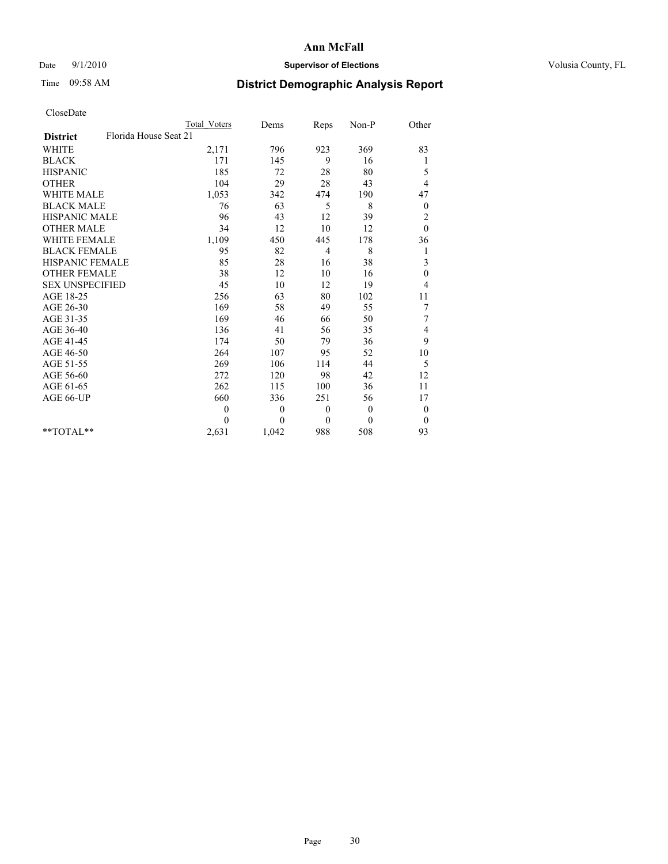## Date  $9/1/2010$  **Supervisor of Elections Supervisor of Elections** Volusia County, FL

# Time 09:58 AM **District Demographic Analysis Report**

|                                          | <b>Total Voters</b> | Dems     | Reps         | Non-P          | Other            |
|------------------------------------------|---------------------|----------|--------------|----------------|------------------|
| Florida House Seat 21<br><b>District</b> |                     |          |              |                |                  |
| <b>WHITE</b>                             | 2,171               | 796      | 923          | 369            | 83               |
| <b>BLACK</b>                             | 171                 | 145      | 9            | 16             | 1                |
| <b>HISPANIC</b>                          | 185                 | 72       | 28           | 80             | 5                |
| <b>OTHER</b>                             | 104                 | 29       | 28           | 43             | 4                |
| <b>WHITE MALE</b>                        | 1,053               | 342      | 474          | 190            | 47               |
| <b>BLACK MALE</b>                        | 76                  | 63       | 5            | 8              | $\boldsymbol{0}$ |
| <b>HISPANIC MALE</b>                     | 96                  | 43       | 12           | 39             | $\overline{c}$   |
| <b>OTHER MALE</b>                        | 34                  | 12       | 10           | 12             | $\theta$         |
| <b>WHITE FEMALE</b>                      | 1,109               | 450      | 445          | 178            | 36               |
| <b>BLACK FEMALE</b>                      | 95                  | 82       | 4            | 8              | $\mathbf{1}$     |
| HISPANIC FEMALE                          | 85                  | 28       | 16           | 38             | 3                |
| <b>OTHER FEMALE</b>                      | 38                  | 12       | 10           | 16             | $\theta$         |
| <b>SEX UNSPECIFIED</b>                   | 45                  | 10       | 12           | 19             | 4                |
| AGE 18-25                                | 256                 | 63       | 80           | 102            | 11               |
| AGE 26-30                                | 169                 | 58       | 49           | 55             | 7                |
| AGE 31-35                                | 169                 | 46       | 66           | 50             | 7                |
| AGE 36-40                                | 136                 | 41       | 56           | 35             | 4                |
| AGE 41-45                                | 174                 | 50       | 79           | 36             | 9                |
| AGE 46-50                                | 264                 | 107      | 95           | 52             | 10               |
| AGE 51-55                                | 269                 | 106      | 114          | 44             | 5                |
| AGE 56-60                                | 272                 | 120      | 98           | 42             | 12               |
| AGE 61-65                                | 262                 | 115      | 100          | 36             | 11               |
| AGE 66-UP                                | 660                 | 336      | 251          | 56             | 17               |
|                                          | $\overline{0}$      | $\theta$ | $\theta$     | $\overline{0}$ | $\boldsymbol{0}$ |
|                                          | $\theta$            | $\theta$ | $\mathbf{0}$ | $\theta$       | $\overline{0}$   |
| $*$ $TOTAI.**$                           | 2,631               | 1,042    | 988          | 508            | 93               |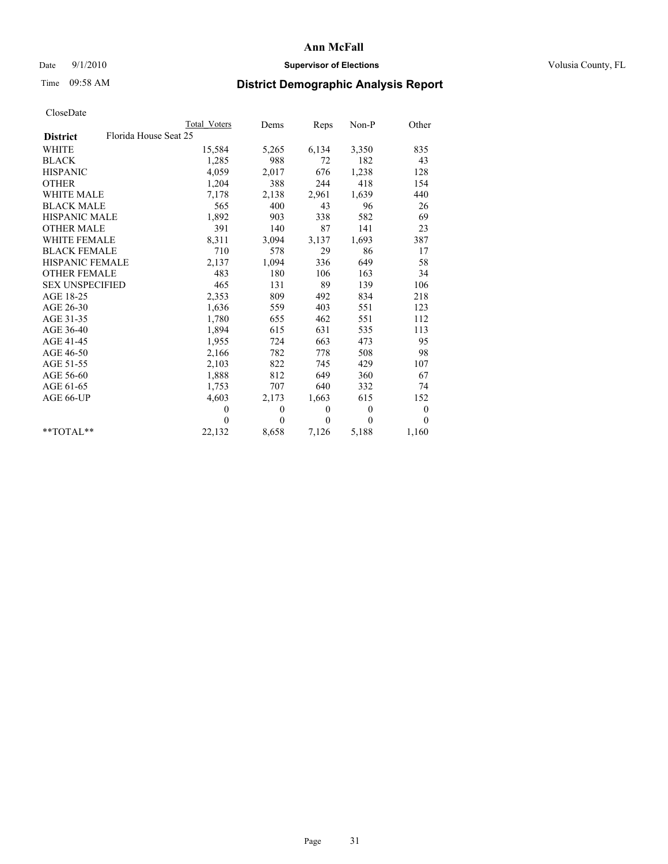## Date  $9/1/2010$  **Supervisor of Elections Supervisor of Elections** Volusia County, FL

# Time 09:58 AM **District Demographic Analysis Report**

|                                          | <b>Total Voters</b> | Dems         | Reps         | Non-P        | Other        |
|------------------------------------------|---------------------|--------------|--------------|--------------|--------------|
| Florida House Seat 25<br><b>District</b> |                     |              |              |              |              |
| <b>WHITE</b>                             | 15,584              | 5,265        | 6,134        | 3,350        | 835          |
| <b>BLACK</b>                             | 1,285               | 988          | 72           | 182          | 43           |
| <b>HISPANIC</b>                          | 4,059               | 2,017        | 676          | 1,238        | 128          |
| <b>OTHER</b>                             | 1,204               | 388          | 244          | 418          | 154          |
| <b>WHITE MALE</b>                        | 7,178               | 2,138        | 2,961        | 1,639        | 440          |
| <b>BLACK MALE</b>                        | 565                 | 400          | 43           | 96           | 26           |
| <b>HISPANIC MALE</b>                     | 1,892               | 903          | 338          | 582          | 69           |
| <b>OTHER MALE</b>                        | 391                 | 140          | 87           | 141          | 23           |
| <b>WHITE FEMALE</b>                      | 8,311               | 3,094        | 3,137        | 1,693        | 387          |
| <b>BLACK FEMALE</b>                      | 710                 | 578          | 29           | 86           | 17           |
| <b>HISPANIC FEMALE</b>                   | 2,137               | 1,094        | 336          | 649          | 58           |
| <b>OTHER FEMALE</b>                      | 483                 | 180          | 106          | 163          | 34           |
| <b>SEX UNSPECIFIED</b>                   | 465                 | 131          | 89           | 139          | 106          |
| AGE 18-25                                | 2,353               | 809          | 492          | 834          | 218          |
| AGE 26-30                                | 1,636               | 559          | 403          | 551          | 123          |
| AGE 31-35                                | 1,780               | 655          | 462          | 551          | 112          |
| AGE 36-40                                | 1,894               | 615          | 631          | 535          | 113          |
| AGE 41-45                                | 1,955               | 724          | 663          | 473          | 95           |
| AGE 46-50                                | 2,166               | 782          | 778          | 508          | 98           |
| AGE 51-55                                | 2,103               | 822          | 745          | 429          | 107          |
| AGE 56-60                                | 1,888               | 812          | 649          | 360          | 67           |
| AGE 61-65                                | 1,753               | 707          | 640          | 332          | 74           |
| AGE 66-UP                                | 4,603               | 2,173        | 1,663        | 615          | 152          |
|                                          | $\overline{0}$      | $\mathbf{0}$ | $\mathbf{0}$ | $\mathbf{0}$ | $\mathbf{0}$ |
|                                          | $\Omega$            | $\theta$     | $\theta$     | $\theta$     | $\Omega$     |
| $*$ $TOTAI.**$                           | 22,132              | 8,658        | 7,126        | 5,188        | 1,160        |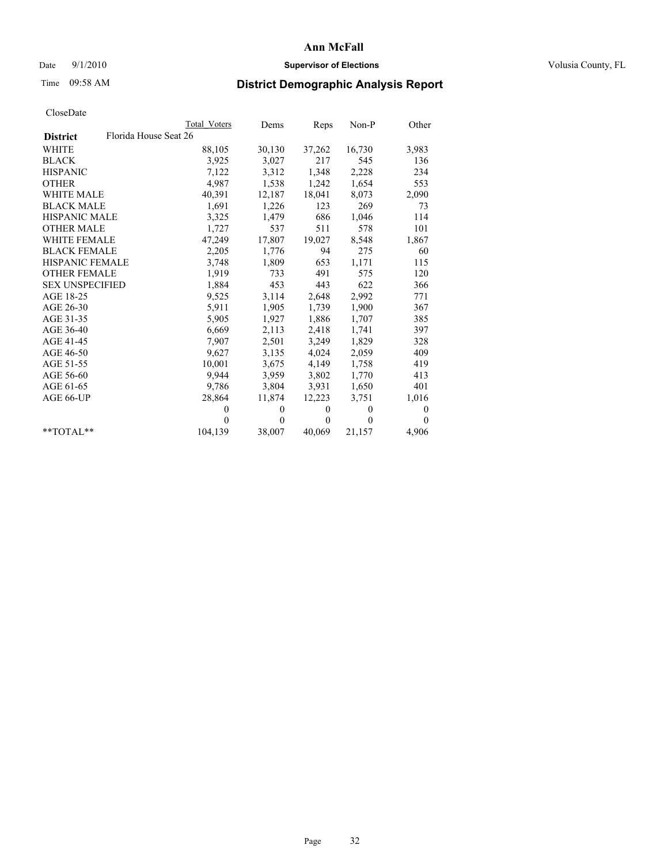## Date  $9/1/2010$  **Supervisor of Elections Supervisor of Elections** Volusia County, FL

# Time 09:58 AM **District Demographic Analysis Report**

|                                          | <b>Total Voters</b> | Dems         | Reps         | $Non-P$      | Other            |
|------------------------------------------|---------------------|--------------|--------------|--------------|------------------|
| Florida House Seat 26<br><b>District</b> |                     |              |              |              |                  |
| <b>WHITE</b>                             | 88,105              | 30,130       | 37,262       | 16,730       | 3,983            |
| <b>BLACK</b>                             | 3,925               | 3,027        | 217          | 545          | 136              |
| <b>HISPANIC</b>                          | 7,122               | 3,312        | 1,348        | 2,228        | 234              |
| <b>OTHER</b>                             | 4,987               | 1,538        | 1,242        | 1,654        | 553              |
| <b>WHITE MALE</b>                        | 40,391              | 12,187       | 18,041       | 8,073        | 2,090            |
| <b>BLACK MALE</b>                        | 1,691               | 1,226        | 123          | 269          | 73               |
| <b>HISPANIC MALE</b>                     | 3,325               | 1,479        | 686          | 1,046        | 114              |
| <b>OTHER MALE</b>                        | 1,727               | 537          | 511          | 578          | 101              |
| <b>WHITE FEMALE</b>                      | 47,249              | 17,807       | 19,027       | 8,548        | 1,867            |
| <b>BLACK FEMALE</b>                      | 2,205               | 1,776        | 94           | 275          | 60               |
| HISPANIC FEMALE                          | 3,748               | 1,809        | 653          | 1,171        | 115              |
| <b>OTHER FEMALE</b>                      | 1,919               | 733          | 491          | 575          | 120              |
| <b>SEX UNSPECIFIED</b>                   | 1,884               | 453          | 443          | 622          | 366              |
| AGE 18-25                                | 9,525               | 3,114        | 2,648        | 2,992        | 771              |
| AGE 26-30                                | 5,911               | 1,905        | 1,739        | 1,900        | 367              |
| AGE 31-35                                | 5,905               | 1,927        | 1,886        | 1,707        | 385              |
| AGE 36-40                                | 6,669               | 2,113        | 2,418        | 1,741        | 397              |
| AGE 41-45                                | 7,907               | 2,501        | 3,249        | 1,829        | 328              |
| AGE 46-50                                | 9,627               | 3,135        | 4,024        | 2,059        | 409              |
| AGE 51-55                                | 10,001              | 3,675        | 4,149        | 1,758        | 419              |
| AGE 56-60                                | 9,944               | 3,959        | 3,802        | 1,770        | 413              |
| AGE 61-65                                | 9,786               | 3,804        | 3,931        | 1,650        | 401              |
| AGE 66-UP                                | 28,864              | 11,874       | 12.223       | 3,751        | 1,016            |
|                                          | $\theta$            | $\mathbf{0}$ | $\mathbf{0}$ | $\mathbf{0}$ | $\boldsymbol{0}$ |
|                                          | $\Omega$            | $\theta$     | $\mathbf{0}$ | $\theta$     | $\Omega$         |
| $*$ $TOTAI.**$                           | 104,139             | 38,007       | 40,069       | 21,157       | 4,906            |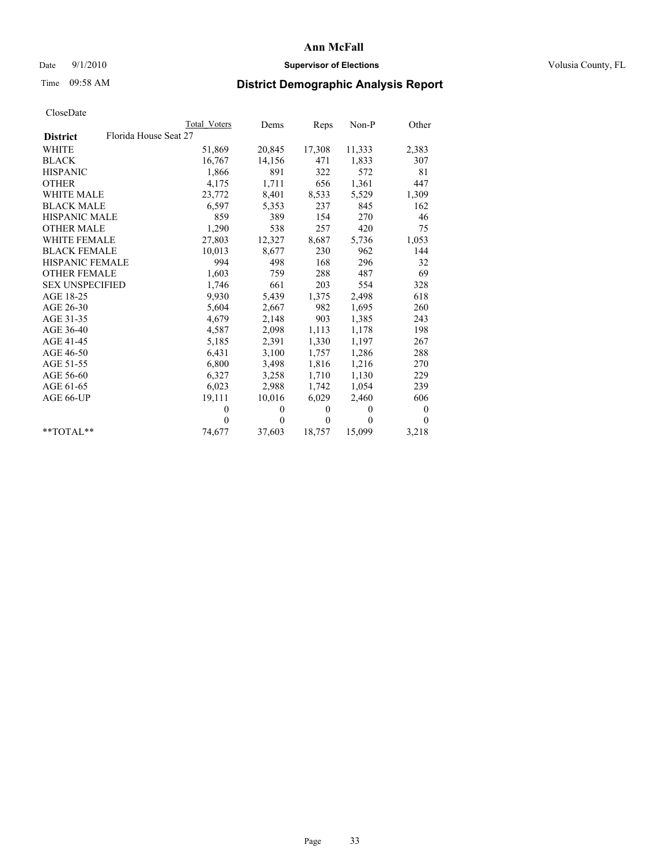## Date  $9/1/2010$  **Supervisor of Elections Supervisor of Elections** Volusia County, FL

# Time 09:58 AM **District Demographic Analysis Report**

|                                          | <b>Total Voters</b> | Dems         | Reps         | Non-P        | Other        |
|------------------------------------------|---------------------|--------------|--------------|--------------|--------------|
| Florida House Seat 27<br><b>District</b> |                     |              |              |              |              |
| <b>WHITE</b>                             | 51,869              | 20,845       | 17,308       | 11,333       | 2,383        |
| <b>BLACK</b>                             | 16,767              | 14,156       | 471          | 1,833        | 307          |
| <b>HISPANIC</b>                          | 1,866               | 891          | 322          | 572          | 81           |
| <b>OTHER</b>                             | 4,175               | 1,711        | 656          | 1,361        | 447          |
| <b>WHITE MALE</b>                        | 23,772              | 8,401        | 8,533        | 5,529        | 1,309        |
| <b>BLACK MALE</b>                        | 6,597               | 5,353        | 237          | 845          | 162          |
| <b>HISPANIC MALE</b>                     | 859                 | 389          | 154          | 270          | 46           |
| <b>OTHER MALE</b>                        | 1,290               | 538          | 257          | 420          | 75           |
| <b>WHITE FEMALE</b>                      | 27,803              | 12,327       | 8,687        | 5,736        | 1,053        |
| <b>BLACK FEMALE</b>                      | 10,013              | 8,677        | 230          | 962          | 144          |
| <b>HISPANIC FEMALE</b>                   | 994                 | 498          | 168          | 296          | 32           |
| <b>OTHER FEMALE</b>                      | 1,603               | 759          | 288          | 487          | 69           |
| <b>SEX UNSPECIFIED</b>                   | 1,746               | 661          | 203          | 554          | 328          |
| AGE 18-25                                | 9,930               | 5,439        | 1,375        | 2,498        | 618          |
| AGE 26-30                                | 5,604               | 2,667        | 982          | 1,695        | 260          |
| AGE 31-35                                | 4,679               | 2,148        | 903          | 1,385        | 243          |
| AGE 36-40                                | 4,587               | 2,098        | 1,113        | 1,178        | 198          |
| AGE 41-45                                | 5,185               | 2,391        | 1,330        | 1,197        | 267          |
| AGE 46-50                                | 6,431               | 3,100        | 1,757        | 1,286        | 288          |
| AGE 51-55                                | 6,800               | 3,498        | 1,816        | 1,216        | 270          |
| AGE 56-60                                | 6,327               | 3,258        | 1,710        | 1,130        | 229          |
| AGE 61-65                                | 6,023               | 2,988        | 1,742        | 1,054        | 239          |
| AGE 66-UP                                | 19,111              | 10,016       | 6,029        | 2,460        | 606          |
|                                          | $\theta$            | $\mathbf{0}$ | $\mathbf{0}$ | $\mathbf{0}$ | $\mathbf{0}$ |
|                                          | $\theta$            | $\theta$     | $\Omega$     | $\theta$     | $\theta$     |
| $*$ $TOTAI.**$                           | 74,677              | 37,603       | 18,757       | 15,099       | 3,218        |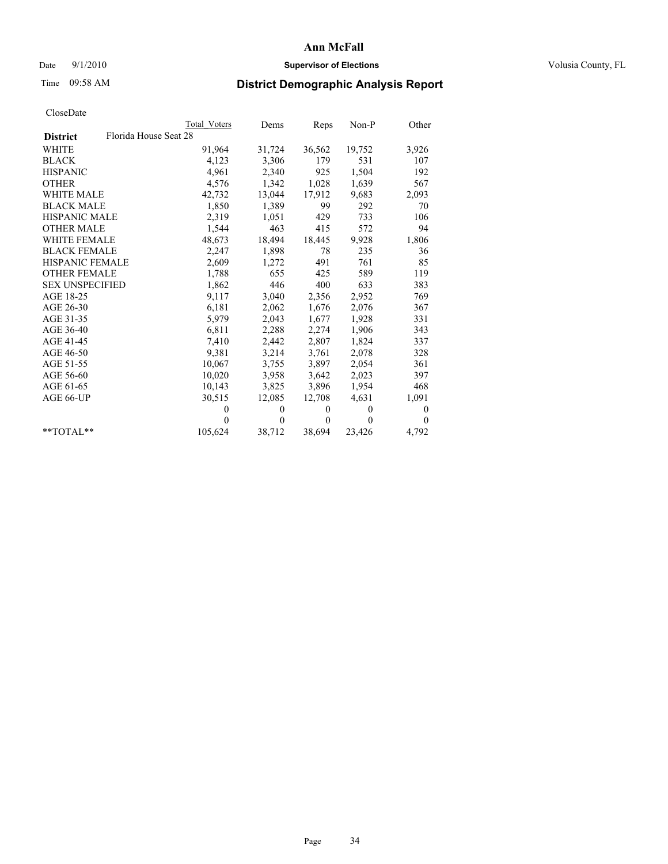## Date  $9/1/2010$  **Supervisor of Elections Supervisor of Elections** Volusia County, FL

# Time 09:58 AM **District Demographic Analysis Report**

|                                          | Total Voters | Dems     | Reps         | $Non-P$  | Other        |
|------------------------------------------|--------------|----------|--------------|----------|--------------|
| Florida House Seat 28<br><b>District</b> |              |          |              |          |              |
| WHITE                                    | 91,964       | 31,724   | 36,562       | 19,752   | 3,926        |
| <b>BLACK</b>                             | 4,123        | 3,306    | 179          | 531      | 107          |
| <b>HISPANIC</b>                          | 4,961        | 2,340    | 925          | 1,504    | 192          |
| <b>OTHER</b>                             | 4,576        | 1,342    | 1,028        | 1,639    | 567          |
| WHITE MALE                               | 42,732       | 13,044   | 17,912       | 9,683    | 2,093        |
| <b>BLACK MALE</b>                        | 1,850        | 1,389    | 99           | 292      | 70           |
| HISPANIC MALE                            | 2,319        | 1,051    | 429          | 733      | 106          |
| <b>OTHER MALE</b>                        | 1,544        | 463      | 415          | 572      | 94           |
| <b>WHITE FEMALE</b>                      | 48,673       | 18,494   | 18,445       | 9,928    | 1,806        |
| <b>BLACK FEMALE</b>                      | 2,247        | 1,898    | 78           | 235      | 36           |
| HISPANIC FEMALE                          | 2,609        | 1,272    | 491          | 761      | 85           |
| <b>OTHER FEMALE</b>                      | 1,788        | 655      | 425          | 589      | 119          |
| <b>SEX UNSPECIFIED</b>                   | 1,862        | 446      | 400          | 633      | 383          |
| AGE 18-25                                | 9,117        | 3,040    | 2,356        | 2,952    | 769          |
| AGE 26-30                                | 6,181        | 2,062    | 1,676        | 2,076    | 367          |
| AGE 31-35                                | 5,979        | 2,043    | 1,677        | 1,928    | 331          |
| AGE 36-40                                | 6,811        | 2,288    | 2,274        | 1,906    | 343          |
| AGE 41-45                                | 7,410        | 2,442    | 2,807        | 1,824    | 337          |
| AGE 46-50                                | 9,381        | 3,214    | 3,761        | 2,078    | 328          |
| AGE 51-55                                | 10,067       | 3,755    | 3,897        | 2,054    | 361          |
| AGE 56-60                                | 10,020       | 3,958    | 3,642        | 2,023    | 397          |
| AGE 61-65                                | 10,143       | 3,825    | 3,896        | 1,954    | 468          |
| AGE 66-UP                                | 30,515       | 12,085   | 12,708       | 4,631    | 1,091        |
|                                          | $\mathbf{0}$ | $\theta$ | $\mathbf{0}$ | $\theta$ | 0            |
|                                          | $\Omega$     | $\theta$ | $\mathbf{0}$ | $\theta$ | $\mathbf{0}$ |
| $*$ $TOTAI.**$                           | 105,624      | 38,712   | 38,694       | 23,426   | 4,792        |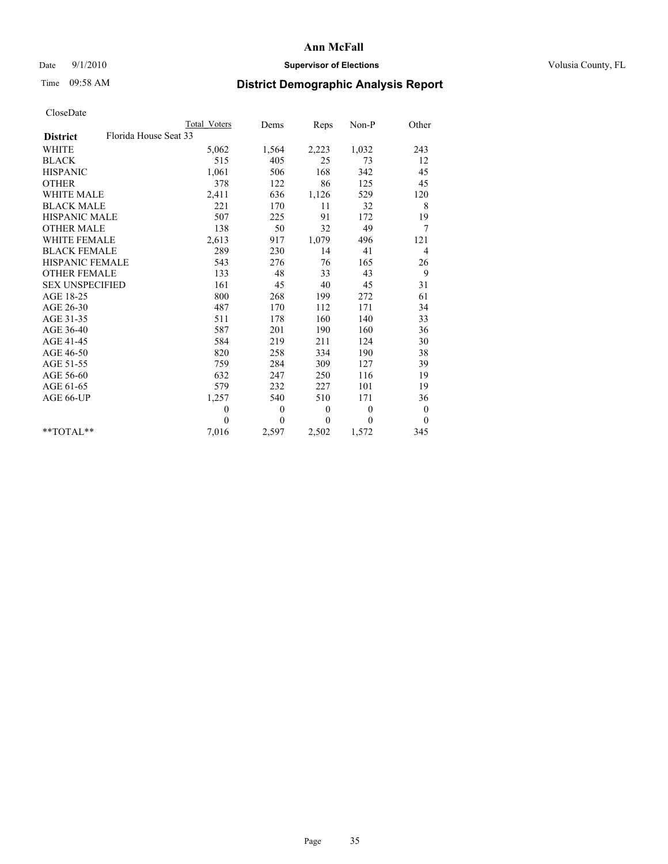## Date  $9/1/2010$  **Supervisor of Elections Supervisor of Elections** Volusia County, FL

# Time 09:58 AM **District Demographic Analysis Report**

|                                          | Total Voters | Dems             | Reps         | $Non-P$      | Other            |  |
|------------------------------------------|--------------|------------------|--------------|--------------|------------------|--|
| Florida House Seat 33<br><b>District</b> |              |                  |              |              |                  |  |
| <b>WHITE</b>                             | 5,062        | 1,564            | 2,223        | 1,032        | 243              |  |
| <b>BLACK</b>                             | 515          | 405              | 25           | 73           | 12               |  |
| <b>HISPANIC</b>                          | 1,061        | 506              | 168          | 342          | 45               |  |
| <b>OTHER</b>                             | 378          | 122              | 86           | 125          | 45               |  |
| <b>WHITE MALE</b>                        | 2,411        | 636              | 1,126        | 529          | 120              |  |
| <b>BLACK MALE</b>                        | 221          | 170              | 11           | 32           | 8                |  |
| <b>HISPANIC MALE</b>                     | 507          | 225              | 91           | 172          | 19               |  |
| <b>OTHER MALE</b>                        | 138          | 50               | 32           | 49           | 7                |  |
| <b>WHITE FEMALE</b>                      | 2,613        | 917              | 1,079        | 496          | 121              |  |
| <b>BLACK FEMALE</b>                      | 289          | 230              | 14           | 41           | $\overline{4}$   |  |
| HISPANIC FEMALE                          | 543          | 276              | 76           | 165          | 26               |  |
| <b>OTHER FEMALE</b>                      | 133          | 48               | 33           | 43           | 9                |  |
| <b>SEX UNSPECIFIED</b>                   | 161          | 45               | 40           | 45           | 31               |  |
| AGE 18-25                                | 800          | 268              | 199          | 272          | 61               |  |
| AGE 26-30                                | 487          | 170              | 112          | 171          | 34               |  |
| AGE 31-35                                | 511          | 178              | 160          | 140          | 33               |  |
| AGE 36-40                                | 587          | 201              | 190          | 160          | 36               |  |
| AGE 41-45                                | 584          | 219              | 211          | 124          | 30               |  |
| AGE 46-50                                | 820          | 258              | 334          | 190          | 38               |  |
| AGE 51-55                                | 759          | 284              | 309          | 127          | 39               |  |
| AGE 56-60                                | 632          | 247              | 250          | 116          | 19               |  |
| AGE 61-65                                | 579          | 232              | 227          | 101          | 19               |  |
| AGE 66-UP                                | 1,257        | 540              | 510          | 171          | 36               |  |
|                                          | $\mathbf{0}$ | $\boldsymbol{0}$ | $\mathbf{0}$ | $\mathbf{0}$ | $\boldsymbol{0}$ |  |
|                                          | $\theta$     | $\theta$         | $\theta$     | $\theta$     | $\theta$         |  |
| $*$ $TOTAI.**$                           | 7,016        | 2,597            | 2,502        | 1,572        | 345              |  |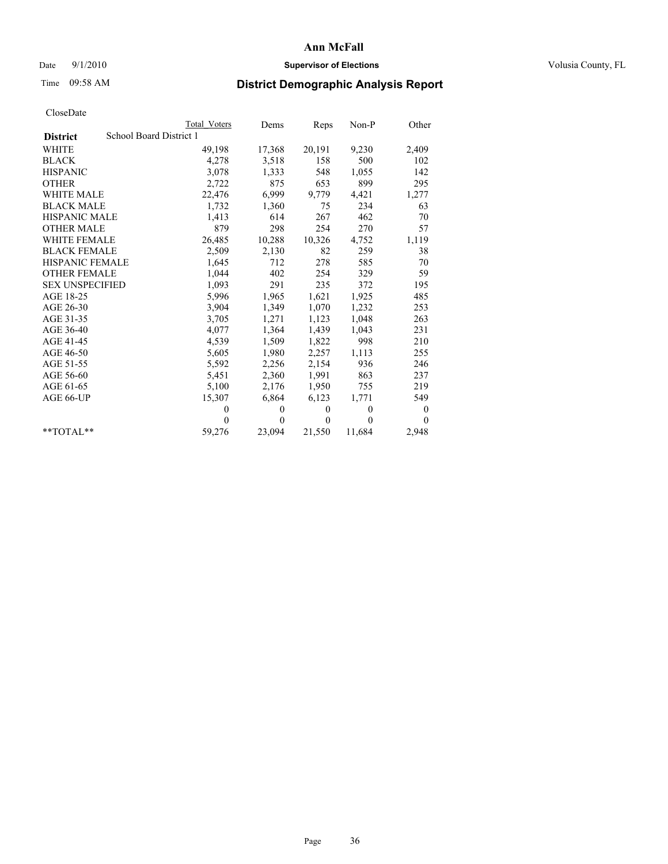## Date  $9/1/2010$  **Supervisor of Elections Supervisor of Elections** Volusia County, FL

# Time 09:58 AM **District Demographic Analysis Report**

|                                            | Total Voters | Dems     | Reps     | $Non-P$  | Other            |  |
|--------------------------------------------|--------------|----------|----------|----------|------------------|--|
| School Board District 1<br><b>District</b> |              |          |          |          |                  |  |
| <b>WHITE</b>                               | 49,198       | 17,368   | 20,191   | 9,230    | 2,409            |  |
| <b>BLACK</b>                               | 4,278        | 3,518    | 158      | 500      | 102              |  |
| <b>HISPANIC</b>                            | 3,078        | 1,333    | 548      | 1,055    | 142              |  |
| <b>OTHER</b>                               | 2,722        | 875      | 653      | 899      | 295              |  |
| <b>WHITE MALE</b>                          | 22,476       | 6,999    | 9,779    | 4,421    | 1,277            |  |
| <b>BLACK MALE</b>                          | 1,732        | 1,360    | 75       | 234      | 63               |  |
| HISPANIC MALE                              | 1,413        | 614      | 267      | 462      | 70               |  |
| <b>OTHER MALE</b>                          | 879          | 298      | 254      | 270      | 57               |  |
| <b>WHITE FEMALE</b>                        | 26,485       | 10,288   | 10,326   | 4,752    | 1,119            |  |
| <b>BLACK FEMALE</b>                        | 2,509        | 2,130    | 82       | 259      | 38               |  |
| HISPANIC FEMALE                            | 1,645        | 712      | 278      | 585      | 70               |  |
| <b>OTHER FEMALE</b>                        | 1,044        | 402      | 254      | 329      | 59               |  |
| <b>SEX UNSPECIFIED</b>                     | 1,093        | 291      | 235      | 372      | 195              |  |
| AGE 18-25                                  | 5,996        | 1,965    | 1,621    | 1,925    | 485              |  |
| AGE 26-30                                  | 3,904        | 1,349    | 1,070    | 1,232    | 253              |  |
| AGE 31-35                                  | 3,705        | 1,271    | 1,123    | 1,048    | 263              |  |
| AGE 36-40                                  | 4,077        | 1,364    | 1,439    | 1,043    | 231              |  |
| AGE 41-45                                  | 4,539        | 1,509    | 1,822    | 998      | 210              |  |
| AGE 46-50                                  | 5,605        | 1,980    | 2,257    | 1,113    | 255              |  |
| AGE 51-55                                  | 5,592        | 2,256    | 2,154    | 936      | 246              |  |
| AGE 56-60                                  | 5,451        | 2,360    | 1,991    | 863      | 237              |  |
| AGE 61-65                                  | 5,100        | 2,176    | 1,950    | 755      | 219              |  |
| AGE 66-UP                                  | 15,307       | 6,864    | 6,123    | 1,771    | 549              |  |
|                                            | $\Omega$     | $\theta$ | $\theta$ | $\theta$ | $\boldsymbol{0}$ |  |
|                                            | $\Omega$     | $\theta$ | $\theta$ | $\theta$ | $\theta$         |  |
| $*$ $TOTAI.**$                             | 59,276       | 23,094   | 21,550   | 11,684   | 2,948            |  |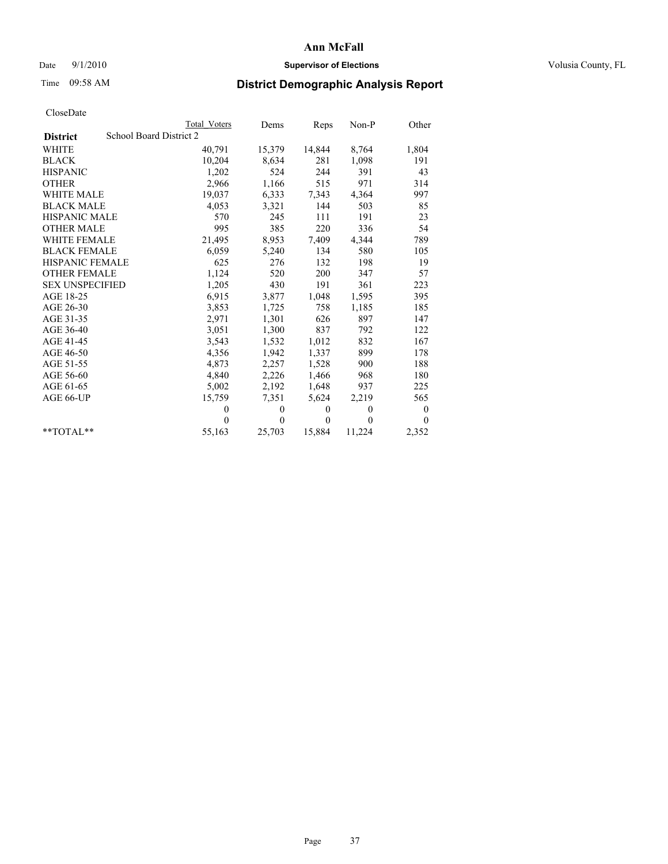## Date  $9/1/2010$  **Supervisor of Elections Supervisor of Elections** Volusia County, FL

# Time 09:58 AM **District Demographic Analysis Report**

|                        | <b>Total Voters</b>     | Dems     | Reps         | $Non-P$  | Other    |
|------------------------|-------------------------|----------|--------------|----------|----------|
| <b>District</b>        | School Board District 2 |          |              |          |          |
| <b>WHITE</b>           | 40,791                  | 15,379   | 14,844       | 8,764    | 1,804    |
| <b>BLACK</b>           | 10,204                  | 8,634    | 281          | 1,098    | 191      |
| <b>HISPANIC</b>        | 1,202                   | 524      | 244          | 391      | 43       |
| <b>OTHER</b>           | 2,966                   | 1,166    | 515          | 971      | 314      |
| <b>WHITE MALE</b>      | 19,037                  | 6,333    | 7,343        | 4,364    | 997      |
| <b>BLACK MALE</b>      | 4,053                   | 3,321    | 144          | 503      | 85       |
| <b>HISPANIC MALE</b>   | 570                     | 245      | 111          | 191      | 23       |
| <b>OTHER MALE</b>      | 995                     | 385      | 220          | 336      | 54       |
| WHITE FEMALE           | 21,495                  | 8,953    | 7,409        | 4,344    | 789      |
| <b>BLACK FEMALE</b>    | 6,059                   | 5,240    | 134          | 580      | 105      |
| HISPANIC FEMALE        | 625                     | 276      | 132          | 198      | 19       |
| <b>OTHER FEMALE</b>    | 1,124                   | 520      | 200          | 347      | 57       |
| <b>SEX UNSPECIFIED</b> | 1,205                   | 430      | 191          | 361      | 223      |
| AGE 18-25              | 6,915                   | 3,877    | 1,048        | 1,595    | 395      |
| AGE 26-30              | 3,853                   | 1,725    | 758          | 1,185    | 185      |
| AGE 31-35              | 2,971                   | 1,301    | 626          | 897      | 147      |
| AGE 36-40              | 3,051                   | 1,300    | 837          | 792      | 122      |
| AGE 41-45              | 3,543                   | 1,532    | 1,012        | 832      | 167      |
| AGE 46-50              | 4,356                   | 1,942    | 1,337        | 899      | 178      |
| AGE 51-55              | 4,873                   | 2,257    | 1,528        | 900      | 188      |
| AGE 56-60              | 4,840                   | 2,226    | 1,466        | 968      | 180      |
| AGE 61-65              | 5,002                   | 2,192    | 1,648        | 937      | 225      |
| AGE 66-UP              | 15,759                  | 7,351    | 5,624        | 2,219    | 565      |
|                        | $\Omega$                | $\theta$ | $\mathbf{0}$ | $\theta$ | 0        |
|                        | $\Omega$                | $\theta$ | $\theta$     | $\theta$ | $\theta$ |
| $*$ $TOTAI.**$         | 55,163                  | 25,703   | 15,884       | 11,224   | 2,352    |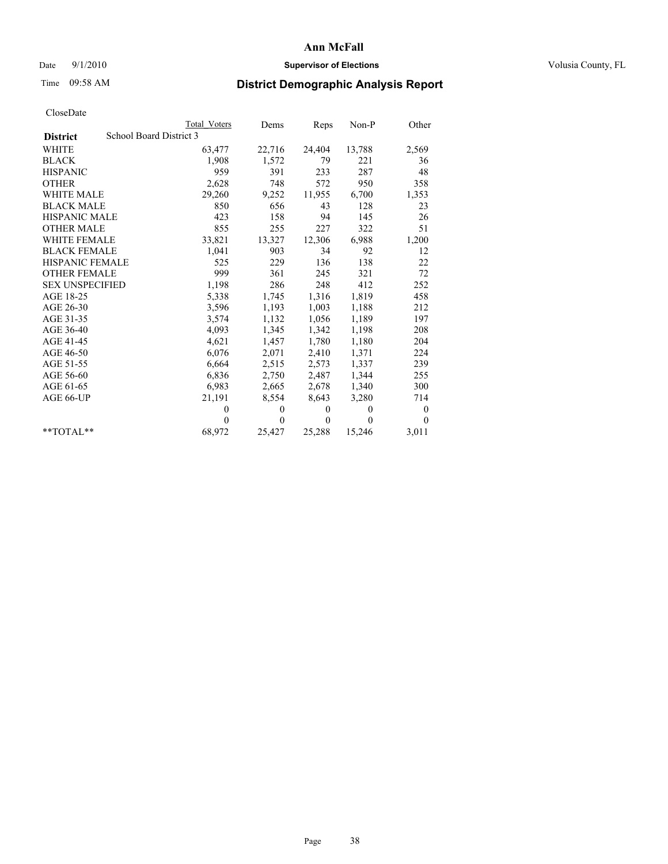## Date  $9/1/2010$  **Supervisor of Elections Supervisor of Elections** Volusia County, FL

# Time 09:58 AM **District Demographic Analysis Report**

|                        |                         | <b>Total Voters</b> | Dems         | <b>Reps</b>  | Non-P        | Other    |  |  |
|------------------------|-------------------------|---------------------|--------------|--------------|--------------|----------|--|--|
| <b>District</b>        | School Board District 3 |                     |              |              |              |          |  |  |
| WHITE                  |                         | 63,477              | 22,716       | 24,404       | 13,788       | 2,569    |  |  |
| <b>BLACK</b>           |                         | 1,908               | 1,572        | 79           | 221          | 36       |  |  |
| <b>HISPANIC</b>        |                         | 959                 | 391          | 233          | 287          | 48       |  |  |
| <b>OTHER</b>           |                         | 2,628               | 748          | 572          | 950          | 358      |  |  |
| <b>WHITE MALE</b>      |                         | 29,260              | 9,252        | 11,955       | 6,700        | 1,353    |  |  |
| <b>BLACK MALE</b>      |                         | 850                 | 656          | 43           | 128          | 23       |  |  |
| <b>HISPANIC MALE</b>   |                         | 423                 | 158          | 94           | 145          | 26       |  |  |
| <b>OTHER MALE</b>      |                         | 855                 | 255          | 227          | 322          | 51       |  |  |
| <b>WHITE FEMALE</b>    |                         | 33,821              | 13,327       | 12,306       | 6,988        | 1,200    |  |  |
| <b>BLACK FEMALE</b>    |                         | 1,041               | 903          | 34           | 92           | 12       |  |  |
| HISPANIC FEMALE        |                         | 525                 | 229          | 136          | 138          | 22       |  |  |
| <b>OTHER FEMALE</b>    |                         | 999                 | 361          | 245          | 321          | 72       |  |  |
| <b>SEX UNSPECIFIED</b> |                         | 1,198               | 286          | 248          | 412          | 252      |  |  |
| AGE 18-25              |                         | 5,338               | 1,745        | 1,316        | 1,819        | 458      |  |  |
| AGE 26-30              |                         | 3,596               | 1,193        | 1,003        | 1,188        | 212      |  |  |
| AGE 31-35              |                         | 3,574               | 1,132        | 1,056        | 1,189        | 197      |  |  |
| AGE 36-40              |                         | 4,093               | 1,345        | 1,342        | 1,198        | 208      |  |  |
| AGE 41-45              |                         | 4,621               | 1,457        | 1,780        | 1,180        | 204      |  |  |
| AGE 46-50              |                         | 6,076               | 2,071        | 2,410        | 1,371        | 224      |  |  |
| AGE 51-55              |                         | 6,664               | 2,515        | 2,573        | 1,337        | 239      |  |  |
| AGE 56-60              |                         | 6,836               | 2,750        | 2,487        | 1,344        | 255      |  |  |
| AGE 61-65              |                         | 6,983               | 2,665        | 2,678        | 1,340        | 300      |  |  |
| AGE 66-UP              |                         | 21,191              | 8,554        | 8,643        | 3,280        | 714      |  |  |
|                        |                         | $\theta$            | $\mathbf{0}$ | $\mathbf{0}$ | $\mathbf{0}$ | $\bf{0}$ |  |  |
|                        |                         | $\theta$            | $\theta$     | $\Omega$     | $\theta$     | $\theta$ |  |  |
| $*$ $TOTAI.**$         |                         | 68,972              | 25,427       | 25,288       | 15,246       | 3,011    |  |  |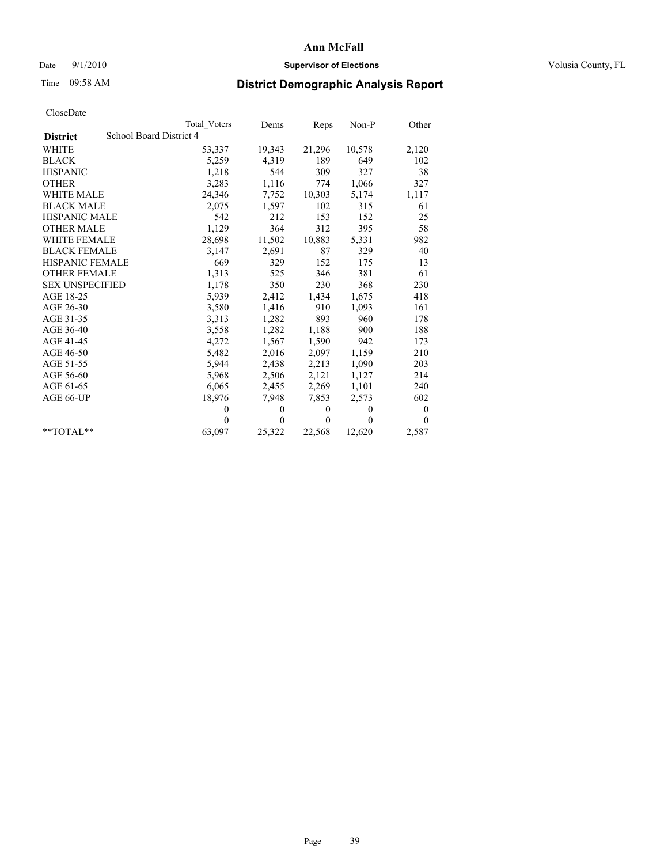## Date  $9/1/2010$  **Supervisor of Elections Supervisor of Elections** Volusia County, FL

# Time 09:58 AM **District Demographic Analysis Report**

|                                            | Total Voters | Dems         | Reps     | $Non-P$  | Other        |
|--------------------------------------------|--------------|--------------|----------|----------|--------------|
| School Board District 4<br><b>District</b> |              |              |          |          |              |
| WHITE                                      | 53,337       | 19,343       | 21,296   | 10,578   | 2,120        |
| <b>BLACK</b>                               | 5,259        | 4,319        | 189      | 649      | 102          |
| <b>HISPANIC</b>                            | 1,218        | 544          | 309      | 327      | 38           |
| <b>OTHER</b>                               | 3,283        | 1,116        | 774      | 1,066    | 327          |
| <b>WHITE MALE</b>                          | 24,346       | 7,752        | 10,303   | 5,174    | 1,117        |
| <b>BLACK MALE</b>                          | 2,075        | 1,597        | 102      | 315      | 61           |
| HISPANIC MALE                              | 542          | 212          | 153      | 152      | 25           |
| <b>OTHER MALE</b>                          | 1,129        | 364          | 312      | 395      | 58           |
| WHITE FEMALE                               | 28,698       | 11,502       | 10,883   | 5,331    | 982          |
| <b>BLACK FEMALE</b>                        | 3,147        | 2,691        | 87       | 329      | 40           |
| HISPANIC FEMALE                            | 669          | 329          | 152      | 175      | 13           |
| <b>OTHER FEMALE</b>                        | 1,313        | 525          | 346      | 381      | 61           |
| <b>SEX UNSPECIFIED</b>                     | 1,178        | 350          | 230      | 368      | 230          |
| AGE 18-25                                  | 5,939        | 2,412        | 1,434    | 1,675    | 418          |
| AGE 26-30                                  | 3,580        | 1,416        | 910      | 1,093    | 161          |
| AGE 31-35                                  | 3,313        | 1,282        | 893      | 960      | 178          |
| AGE 36-40                                  | 3,558        | 1,282        | 1,188    | 900      | 188          |
| AGE 41-45                                  | 4,272        | 1,567        | 1,590    | 942      | 173          |
| AGE 46-50                                  | 5,482        | 2,016        | 2,097    | 1,159    | 210          |
| AGE 51-55                                  | 5,944        | 2,438        | 2,213    | 1,090    | 203          |
| AGE 56-60                                  | 5,968        | 2,506        | 2,121    | 1,127    | 214          |
| AGE 61-65                                  | 6,065        | 2,455        | 2,269    | 1,101    | 240          |
| AGE 66-UP                                  | 18,976       | 7,948        | 7,853    | 2,573    | 602          |
|                                            | $\theta$     | $\theta$     | $\theta$ | $\theta$ | $\mathbf{0}$ |
|                                            | $\theta$     | $\mathbf{0}$ | $\theta$ | $\theta$ | $\theta$     |
| $*$ $TOTAI.**$                             | 63,097       | 25,322       | 22,568   | 12,620   | 2,587        |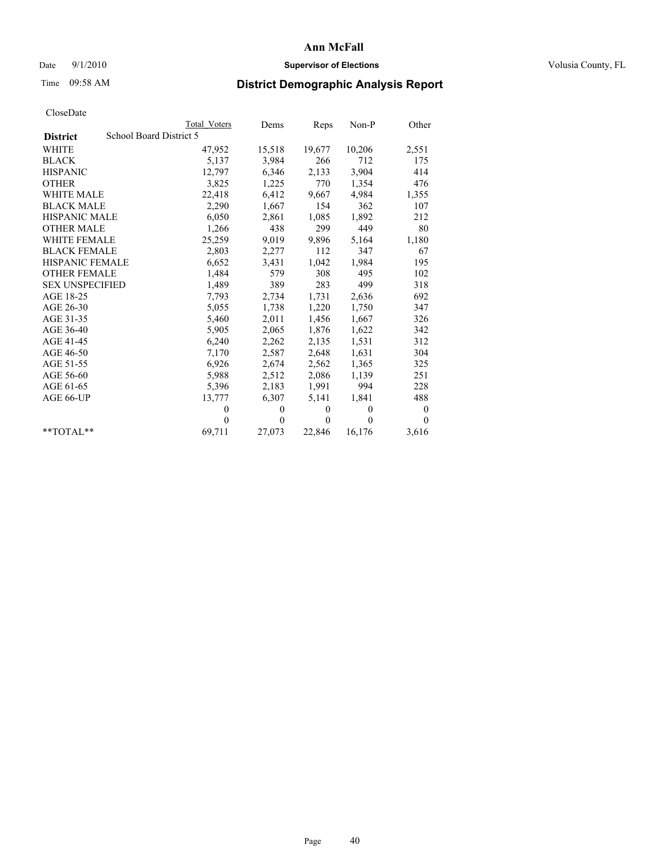## Date  $9/1/2010$  **Supervisor of Elections Supervisor of Elections** Volusia County, FL

# Time 09:58 AM **District Demographic Analysis Report**

|                                            | Total Voters | Dems     | Reps         | $Non-P$  | Other        |  |  |
|--------------------------------------------|--------------|----------|--------------|----------|--------------|--|--|
| School Board District 5<br><b>District</b> |              |          |              |          |              |  |  |
| <b>WHITE</b>                               | 47,952       | 15,518   | 19,677       | 10,206   | 2,551        |  |  |
| <b>BLACK</b>                               | 5,137        | 3,984    | 266          | 712      | 175          |  |  |
| <b>HISPANIC</b>                            | 12,797       | 6,346    | 2,133        | 3,904    | 414          |  |  |
| <b>OTHER</b>                               | 3,825        | 1,225    | 770          | 1,354    | 476          |  |  |
| <b>WHITE MALE</b>                          | 22,418       | 6,412    | 9,667        | 4,984    | 1,355        |  |  |
| <b>BLACK MALE</b>                          | 2,290        | 1,667    | 154          | 362      | 107          |  |  |
| <b>HISPANIC MALE</b>                       | 6,050        | 2,861    | 1,085        | 1,892    | 212          |  |  |
| <b>OTHER MALE</b>                          | 1,266        | 438      | 299          | 449      | 80           |  |  |
| <b>WHITE FEMALE</b>                        | 25,259       | 9,019    | 9,896        | 5,164    | 1,180        |  |  |
| <b>BLACK FEMALE</b>                        | 2,803        | 2,277    | 112          | 347      | 67           |  |  |
| <b>HISPANIC FEMALE</b>                     | 6,652        | 3,431    | 1,042        | 1,984    | 195          |  |  |
| <b>OTHER FEMALE</b>                        | 1,484        | 579      | 308          | 495      | 102          |  |  |
| <b>SEX UNSPECIFIED</b>                     | 1,489        | 389      | 283          | 499      | 318          |  |  |
| AGE 18-25                                  | 7,793        | 2,734    | 1,731        | 2,636    | 692          |  |  |
| AGE 26-30                                  | 5,055        | 1,738    | 1,220        | 1,750    | 347          |  |  |
| AGE 31-35                                  | 5,460        | 2,011    | 1,456        | 1,667    | 326          |  |  |
| AGE 36-40                                  | 5,905        | 2,065    | 1,876        | 1,622    | 342          |  |  |
| AGE 41-45                                  | 6,240        | 2,262    | 2,135        | 1,531    | 312          |  |  |
| AGE 46-50                                  | 7,170        | 2,587    | 2,648        | 1,631    | 304          |  |  |
| AGE 51-55                                  | 6,926        | 2,674    | 2,562        | 1,365    | 325          |  |  |
| AGE 56-60                                  | 5,988        | 2,512    | 2,086        | 1,139    | 251          |  |  |
| AGE 61-65                                  | 5,396        | 2,183    | 1,991        | 994      | 228          |  |  |
| AGE 66-UP                                  | 13,777       | 6,307    | 5,141        | 1,841    | 488          |  |  |
|                                            | $\mathbf{0}$ | $\theta$ | $\mathbf{0}$ | $\theta$ | $\mathbf{0}$ |  |  |
|                                            | $\theta$     | $\theta$ | $\mathbf{0}$ | $\theta$ | $\Omega$     |  |  |
| $*$ $TOTAI.**$                             | 69,711       | 27,073   | 22,846       | 16,176   | 3,616        |  |  |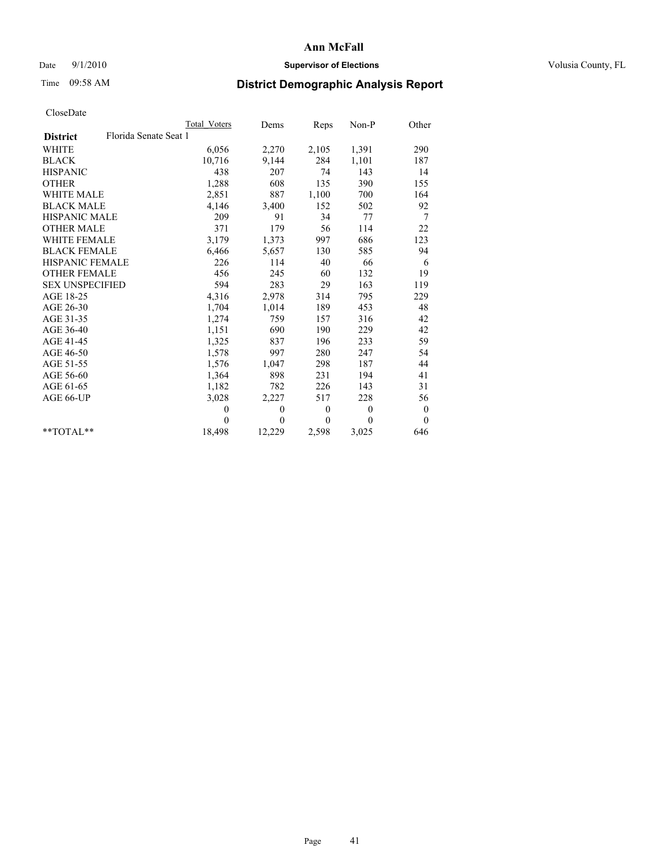## Date  $9/1/2010$  **Supervisor of Elections Supervisor of Elections** Volusia County, FL

# Time 09:58 AM **District Demographic Analysis Report**

|                                          | Total Voters | Dems         | Reps         | $Non-P$      | Other    |  |
|------------------------------------------|--------------|--------------|--------------|--------------|----------|--|
| Florida Senate Seat 1<br><b>District</b> |              |              |              |              |          |  |
| <b>WHITE</b>                             | 6,056        | 2,270        | 2,105        | 1,391        | 290      |  |
| <b>BLACK</b>                             | 10,716       | 9,144        | 284          | 1,101        | 187      |  |
| <b>HISPANIC</b>                          | 438          | 207          | 74           | 143          | 14       |  |
| <b>OTHER</b>                             | 1,288        | 608          | 135          | 390          | 155      |  |
| <b>WHITE MALE</b>                        | 2,851        | 887          | 1,100        | 700          | 164      |  |
| <b>BLACK MALE</b>                        | 4,146        | 3,400        | 152          | 502          | 92       |  |
| <b>HISPANIC MALE</b>                     | 209          | 91           | 34           | 77           | 7        |  |
| <b>OTHER MALE</b>                        | 371          | 179          | 56           | 114          | 22       |  |
| <b>WHITE FEMALE</b>                      | 3,179        | 1,373        | 997          | 686          | 123      |  |
| <b>BLACK FEMALE</b>                      | 6,466        | 5,657        | 130          | 585          | 94       |  |
| HISPANIC FEMALE                          | 226          | 114          | 40           | 66           | 6        |  |
| <b>OTHER FEMALE</b>                      | 456          | 245          | 60           | 132          | 19       |  |
| <b>SEX UNSPECIFIED</b>                   | 594          | 283          | 29           | 163          | 119      |  |
| AGE 18-25                                | 4,316        | 2,978        | 314          | 795          | 229      |  |
| AGE 26-30                                | 1,704        | 1,014        | 189          | 453          | 48       |  |
| AGE 31-35                                | 1,274        | 759          | 157          | 316          | 42       |  |
| AGE 36-40                                | 1,151        | 690          | 190          | 229          | 42       |  |
| AGE 41-45                                | 1,325        | 837          | 196          | 233          | 59       |  |
| AGE 46-50                                | 1,578        | 997          | 280          | 247          | 54       |  |
| AGE 51-55                                | 1,576        | 1,047        | 298          | 187          | 44       |  |
| AGE 56-60                                | 1,364        | 898          | 231          | 194          | 41       |  |
| AGE 61-65                                | 1,182        | 782          | 226          | 143          | 31       |  |
| AGE 66-UP                                | 3,028        | 2,227        | 517          | 228          | 56       |  |
|                                          | $\theta$     | $\theta$     | $\mathbf{0}$ | $\mathbf{0}$ | $\bf{0}$ |  |
|                                          | $\theta$     | $\mathbf{0}$ | $\Omega$     | $\theta$     | $\theta$ |  |
| $*$ $TOTAI.**$                           | 18,498       | 12,229       | 2,598        | 3,025        | 646      |  |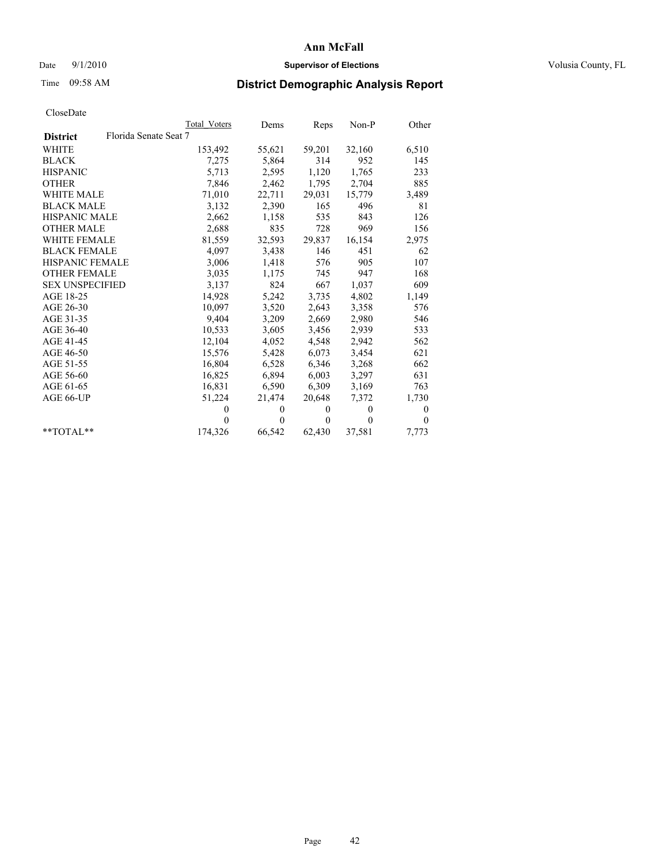## Date  $9/1/2010$  **Supervisor of Elections Supervisor of Elections** Volusia County, FL

# Time 09:58 AM **District Demographic Analysis Report**

|                                          | <b>Total Voters</b> | Dems         | Reps         | $Non-P$  | Other    |
|------------------------------------------|---------------------|--------------|--------------|----------|----------|
| Florida Senate Seat 7<br><b>District</b> |                     |              |              |          |          |
| <b>WHITE</b>                             | 153,492             | 55,621       | 59,201       | 32,160   | 6,510    |
| <b>BLACK</b>                             | 7,275               | 5,864        | 314          | 952      | 145      |
| <b>HISPANIC</b>                          | 5,713               | 2,595        | 1,120        | 1,765    | 233      |
| <b>OTHER</b>                             | 7,846               | 2,462        | 1,795        | 2,704    | 885      |
| <b>WHITE MALE</b>                        | 71,010              | 22,711       | 29,031       | 15,779   | 3,489    |
| <b>BLACK MALE</b>                        | 3,132               | 2,390        | 165          | 496      | 81       |
| <b>HISPANIC MALE</b>                     | 2,662               | 1,158        | 535          | 843      | 126      |
| <b>OTHER MALE</b>                        | 2,688               | 835          | 728          | 969      | 156      |
| <b>WHITE FEMALE</b>                      | 81,559              | 32,593       | 29,837       | 16,154   | 2,975    |
| <b>BLACK FEMALE</b>                      | 4,097               | 3,438        | 146          | 451      | 62       |
| HISPANIC FEMALE                          | 3,006               | 1,418        | 576          | 905      | 107      |
| <b>OTHER FEMALE</b>                      | 3,035               | 1,175        | 745          | 947      | 168      |
| <b>SEX UNSPECIFIED</b>                   | 3,137               | 824          | 667          | 1,037    | 609      |
| AGE 18-25                                | 14,928              | 5,242        | 3,735        | 4,802    | 1,149    |
| AGE 26-30                                | 10,097              | 3,520        | 2,643        | 3,358    | 576      |
| AGE 31-35                                | 9,404               | 3,209        | 2,669        | 2,980    | 546      |
| AGE 36-40                                | 10,533              | 3,605        | 3,456        | 2,939    | 533      |
| AGE 41-45                                | 12,104              | 4,052        | 4,548        | 2,942    | 562      |
| AGE 46-50                                | 15,576              | 5,428        | 6,073        | 3,454    | 621      |
| AGE 51-55                                | 16,804              | 6,528        | 6,346        | 3,268    | 662      |
| AGE 56-60                                | 16,825              | 6,894        | 6,003        | 3,297    | 631      |
| AGE 61-65                                | 16,831              | 6,590        | 6,309        | 3,169    | 763      |
| AGE 66-UP                                | 51,224              | 21,474       | 20,648       | 7,372    | 1,730    |
|                                          | $\theta$            | $\mathbf{0}$ | $\theta$     | $\theta$ | 0        |
|                                          | $\theta$            | $\Omega$     | $\mathbf{0}$ | $\theta$ | $\theta$ |
| $*$ $TOTAI.**$                           | 174,326             | 66,542       | 62,430       | 37,581   | 7,773    |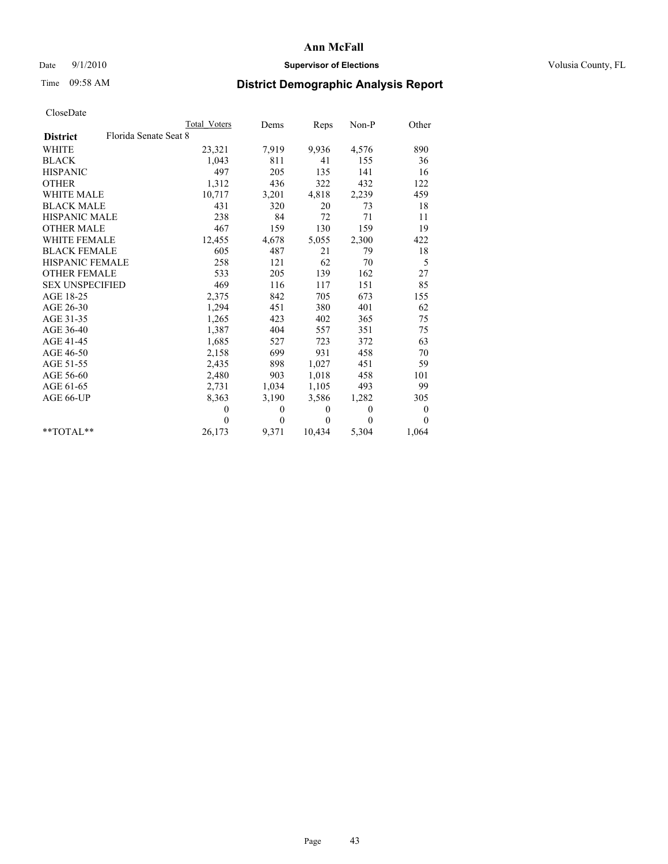## Date  $9/1/2010$  **Supervisor of Elections Supervisor of Elections** Volusia County, FL

# Time 09:58 AM **District Demographic Analysis Report**

|                        | Total Voters          | Dems         | Reps     | $Non-P$      | Other            |
|------------------------|-----------------------|--------------|----------|--------------|------------------|
| <b>District</b>        | Florida Senate Seat 8 |              |          |              |                  |
| <b>WHITE</b>           | 23,321                | 7,919        | 9,936    | 4,576        | 890              |
| <b>BLACK</b>           | 1,043                 | 811          | 41       | 155          | 36               |
| <b>HISPANIC</b>        | 497                   | 205          | 135      | 141          | 16               |
| <b>OTHER</b>           | 1,312                 | 436          | 322      | 432          | 122              |
| <b>WHITE MALE</b>      | 10,717                | 3,201        | 4,818    | 2,239        | 459              |
| <b>BLACK MALE</b>      | 431                   | 320          | 20       | 73           | 18               |
| <b>HISPANIC MALE</b>   | 238                   | 84           | 72       | 71           | 11               |
| <b>OTHER MALE</b>      | 467                   | 159          | 130      | 159          | 19               |
| <b>WHITE FEMALE</b>    | 12,455                | 4,678        | 5,055    | 2,300        | 422              |
| <b>BLACK FEMALE</b>    | 605                   | 487          | 21       | 79           | 18               |
| HISPANIC FEMALE        | 258                   | 121          | 62       | 70           | 5                |
| <b>OTHER FEMALE</b>    | 533                   | 205          | 139      | 162          | 27               |
| <b>SEX UNSPECIFIED</b> | 469                   | 116          | 117      | 151          | 85               |
| AGE 18-25              | 2,375                 | 842          | 705      | 673          | 155              |
| AGE 26-30              | 1,294                 | 451          | 380      | 401          | 62               |
| AGE 31-35              | 1,265                 | 423          | 402      | 365          | 75               |
| AGE 36-40              | 1,387                 | 404          | 557      | 351          | 75               |
| AGE 41-45              | 1,685                 | 527          | 723      | 372          | 63               |
| AGE 46-50              | 2,158                 | 699          | 931      | 458          | 70               |
| AGE 51-55              | 2,435                 | 898          | 1,027    | 451          | 59               |
| AGE 56-60              | 2,480                 | 903          | 1,018    | 458          | 101              |
| AGE 61-65              | 2,731                 | 1,034        | 1,105    | 493          | 99               |
| AGE 66-UP              | 8,363                 | 3,190        | 3,586    | 1,282        | 305              |
|                        | $\theta$              | 0            | $\theta$ | $\mathbf{0}$ | $\boldsymbol{0}$ |
|                        | $\Omega$              | $\mathbf{0}$ | $\theta$ | $\Omega$     | $\Omega$         |
| $*$ $TOTAI.**$         | 26,173                | 9,371        | 10,434   | 5,304        | 1,064            |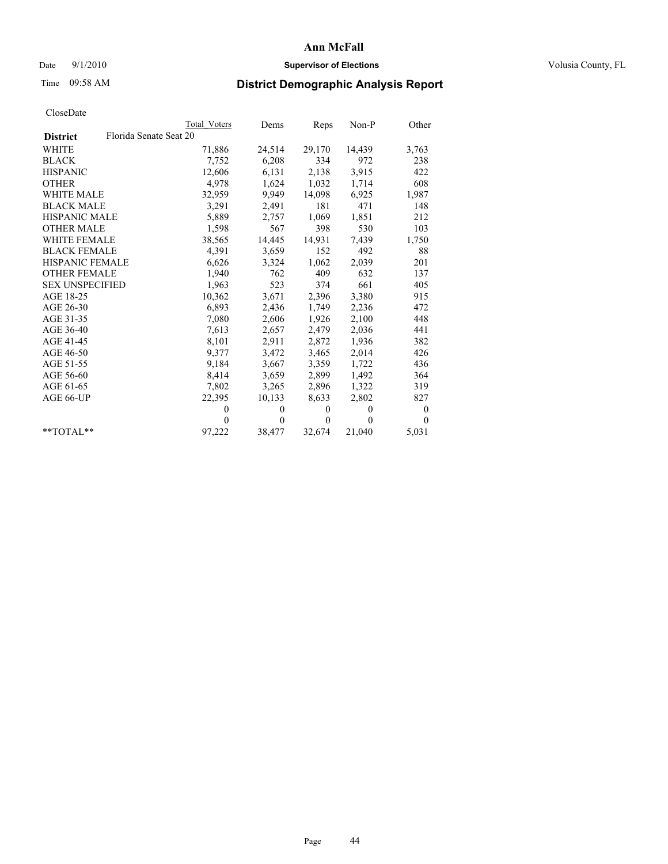## Date  $9/1/2010$  **Supervisor of Elections Supervisor of Elections** Volusia County, FL

# Time 09:58 AM **District Demographic Analysis Report**

|                                           | <b>Total Voters</b> | Dems         | Reps         | $Non-P$      | Other        |
|-------------------------------------------|---------------------|--------------|--------------|--------------|--------------|
| Florida Senate Seat 20<br><b>District</b> |                     |              |              |              |              |
| <b>WHITE</b>                              | 71,886              | 24,514       | 29,170       | 14,439       | 3,763        |
| <b>BLACK</b>                              | 7,752               | 6,208        | 334          | 972          | 238          |
| <b>HISPANIC</b>                           | 12,606              | 6,131        | 2,138        | 3,915        | 422          |
| <b>OTHER</b>                              | 4,978               | 1,624        | 1,032        | 1,714        | 608          |
| WHITE MALE                                | 32,959              | 9,949        | 14,098       | 6,925        | 1,987        |
| <b>BLACK MALE</b>                         | 3,291               | 2,491        | 181          | 471          | 148          |
| <b>HISPANIC MALE</b>                      | 5,889               | 2,757        | 1,069        | 1,851        | 212          |
| <b>OTHER MALE</b>                         | 1,598               | 567          | 398          | 530          | 103          |
| <b>WHITE FEMALE</b>                       | 38,565              | 14,445       | 14,931       | 7,439        | 1,750        |
| <b>BLACK FEMALE</b>                       | 4,391               | 3,659        | 152          | 492          | 88           |
| HISPANIC FEMALE                           | 6,626               | 3,324        | 1,062        | 2,039        | 201          |
| <b>OTHER FEMALE</b>                       | 1,940               | 762          | 409          | 632          | 137          |
| <b>SEX UNSPECIFIED</b>                    | 1,963               | 523          | 374          | 661          | 405          |
| AGE 18-25                                 | 10,362              | 3,671        | 2,396        | 3,380        | 915          |
| AGE 26-30                                 | 6,893               | 2,436        | 1,749        | 2,236        | 472          |
| AGE 31-35                                 | 7,080               | 2,606        | 1,926        | 2,100        | 448          |
| AGE 36-40                                 | 7,613               | 2,657        | 2,479        | 2,036        | 441          |
| AGE 41-45                                 | 8,101               | 2,911        | 2,872        | 1,936        | 382          |
| AGE 46-50                                 | 9,377               | 3,472        | 3,465        | 2,014        | 426          |
| AGE 51-55                                 | 9,184               | 3,667        | 3,359        | 1,722        | 436          |
| AGE 56-60                                 | 8,414               | 3,659        | 2,899        | 1,492        | 364          |
| AGE 61-65                                 | 7,802               | 3,265        | 2,896        | 1,322        | 319          |
| AGE 66-UP                                 | 22,395              | 10,133       | 8,633        | 2,802        | 827          |
|                                           | $\theta$            | $\mathbf{0}$ | $\mathbf{0}$ | $\mathbf{0}$ | $\mathbf{0}$ |
|                                           | $\theta$            | $\mathbf{0}$ | $\mathbf{0}$ | $\theta$     | $\theta$     |
| $*$ $TOTAI.**$                            | 97,222              | 38,477       | 32,674       | 21,040       | 5,031        |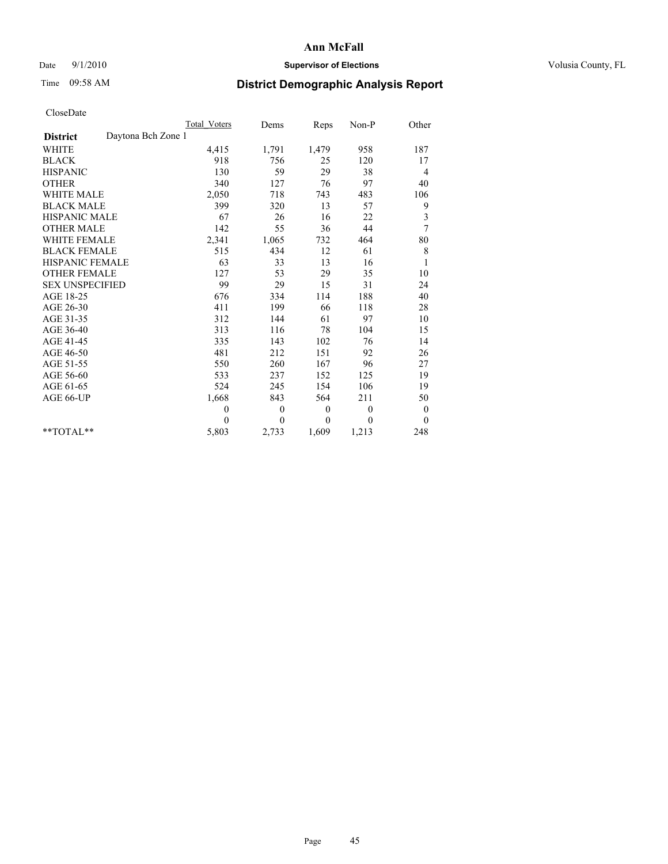## Date  $9/1/2010$  **Supervisor of Elections Supervisor of Elections** Volusia County, FL

# Time 09:58 AM **District Demographic Analysis Report**

|                                       | Total Voters | Dems             | Reps         | $Non-P$  | Other            |  |
|---------------------------------------|--------------|------------------|--------------|----------|------------------|--|
| Daytona Bch Zone 1<br><b>District</b> |              |                  |              |          |                  |  |
| <b>WHITE</b>                          | 4,415        | 1,791            | 1,479        | 958      | 187              |  |
| <b>BLACK</b>                          | 918          | 756              | 25           | 120      | 17               |  |
| <b>HISPANIC</b>                       | 130          | 59               | 29           | 38       | 4                |  |
| <b>OTHER</b>                          | 340          | 127              | 76           | 97       | 40               |  |
| <b>WHITE MALE</b>                     | 2,050        | 718              | 743          | 483      | 106              |  |
| <b>BLACK MALE</b>                     | 399          | 320              | 13           | 57       | 9                |  |
| <b>HISPANIC MALE</b>                  | 67           | 26               | 16           | 22       | 3                |  |
| <b>OTHER MALE</b>                     | 142          | 55               | 36           | 44       | 7                |  |
| <b>WHITE FEMALE</b>                   | 2,341        | 1,065            | 732          | 464      | $80\,$           |  |
| <b>BLACK FEMALE</b>                   | 515          | 434              | 12           | 61       | 8                |  |
| HISPANIC FEMALE                       | 63           | 33               | 13           | 16       | $\mathbf{1}$     |  |
| <b>OTHER FEMALE</b>                   | 127          | 53               | 29           | 35       | 10               |  |
| <b>SEX UNSPECIFIED</b>                | 99           | 29               | 15           | 31       | 24               |  |
| AGE 18-25                             | 676          | 334              | 114          | 188      | 40               |  |
| AGE 26-30                             | 411          | 199              | 66           | 118      | 28               |  |
| AGE 31-35                             | 312          | 144              | 61           | 97       | 10               |  |
| AGE 36-40                             | 313          | 116              | 78           | 104      | 15               |  |
| AGE 41-45                             | 335          | 143              | 102          | 76       | 14               |  |
| AGE 46-50                             | 481          | 212              | 151          | 92       | 26               |  |
| AGE 51-55                             | 550          | 260              | 167          | 96       | 27               |  |
| AGE 56-60                             | 533          | 237              | 152          | 125      | 19               |  |
| AGE 61-65                             | 524          | 245              | 154          | 106      | 19               |  |
| AGE 66-UP                             | 1,668        | 843              | 564          | 211      | 50               |  |
|                                       | $\mathbf{0}$ | $\boldsymbol{0}$ | $\mathbf{0}$ | $\theta$ | $\boldsymbol{0}$ |  |
|                                       | $\Omega$     | $\theta$         | $\theta$     | $\theta$ | $\theta$         |  |
| $*$ $TOTAI.**$                        | 5,803        | 2,733            | 1,609        | 1,213    | 248              |  |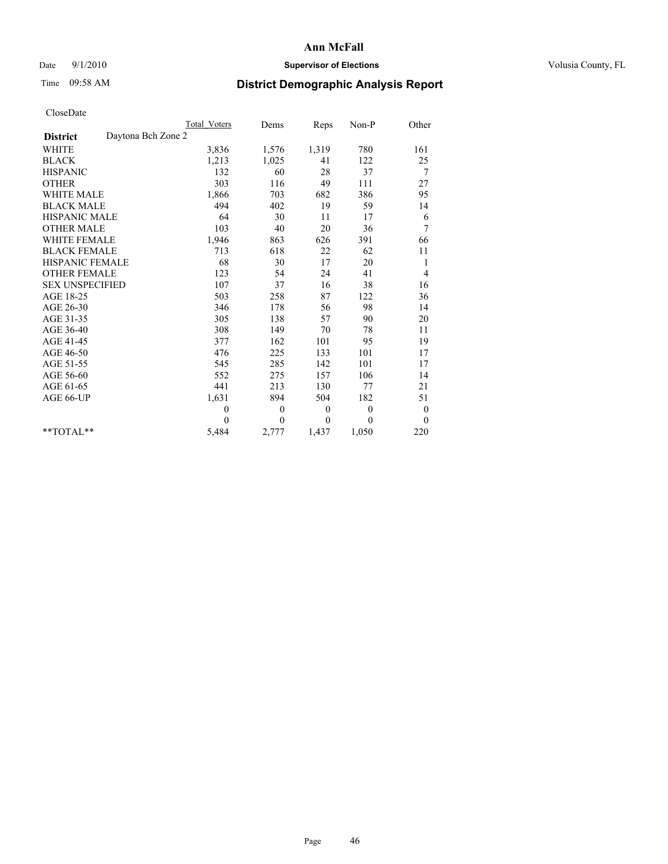## Date  $9/1/2010$  **Supervisor of Elections Supervisor of Elections** Volusia County, FL

# Time 09:58 AM **District Demographic Analysis Report**

|                                       | Total Voters   | Dems         | Reps     | $Non-P$      | Other            |
|---------------------------------------|----------------|--------------|----------|--------------|------------------|
| Daytona Bch Zone 2<br><b>District</b> |                |              |          |              |                  |
| <b>WHITE</b>                          | 3,836          | 1,576        | 1,319    | 780          | 161              |
| <b>BLACK</b>                          | 1,213          | 1,025        | 41       | 122          | 25               |
| <b>HISPANIC</b>                       | 132            | 60           | 28       | 37           | 7                |
| <b>OTHER</b>                          | 303            | 116          | 49       | 111          | 27               |
| <b>WHITE MALE</b>                     | 1,866          | 703          | 682      | 386          | 95               |
| <b>BLACK MALE</b>                     | 494            | 402          | 19       | 59           | 14               |
| <b>HISPANIC MALE</b>                  | 64             | 30           | 11       | 17           | 6                |
| <b>OTHER MALE</b>                     | 103            | 40           | 20       | 36           | 7                |
| WHITE FEMALE                          | 1,946          | 863          | 626      | 391          | 66               |
| <b>BLACK FEMALE</b>                   | 713            | 618          | 22       | 62           | 11               |
| HISPANIC FEMALE                       | 68             | 30           | 17       | 20           | 1                |
| <b>OTHER FEMALE</b>                   | 123            | 54           | 24       | 41           | 4                |
| <b>SEX UNSPECIFIED</b>                | 107            | 37           | 16       | 38           | 16               |
| AGE 18-25                             | 503            | 258          | 87       | 122          | 36               |
| AGE 26-30                             | 346            | 178          | 56       | 98           | 14               |
| AGE 31-35                             | 305            | 138          | 57       | 90           | 20               |
| AGE 36-40                             | 308            | 149          | 70       | 78           | 11               |
| AGE 41-45                             | 377            | 162          | 101      | 95           | 19               |
| AGE 46-50                             | 476            | 225          | 133      | 101          | 17               |
| AGE 51-55                             | 545            | 285          | 142      | 101          | 17               |
| AGE 56-60                             | 552            | 275          | 157      | 106          | 14               |
| AGE 61-65                             | 441            | 213          | 130      | 77           | 21               |
| AGE 66-UP                             | 1,631          | 894          | 504      | 182          | 51               |
|                                       | $\overline{0}$ | $\mathbf{0}$ | $\theta$ | $\mathbf{0}$ | $\boldsymbol{0}$ |
|                                       | $\theta$       | $\theta$     | $\Omega$ | $\theta$     | $\mathbf{0}$     |
| $*$ $TOTAI.**$                        | 5,484          | 2,777        | 1,437    | 1,050        | 220              |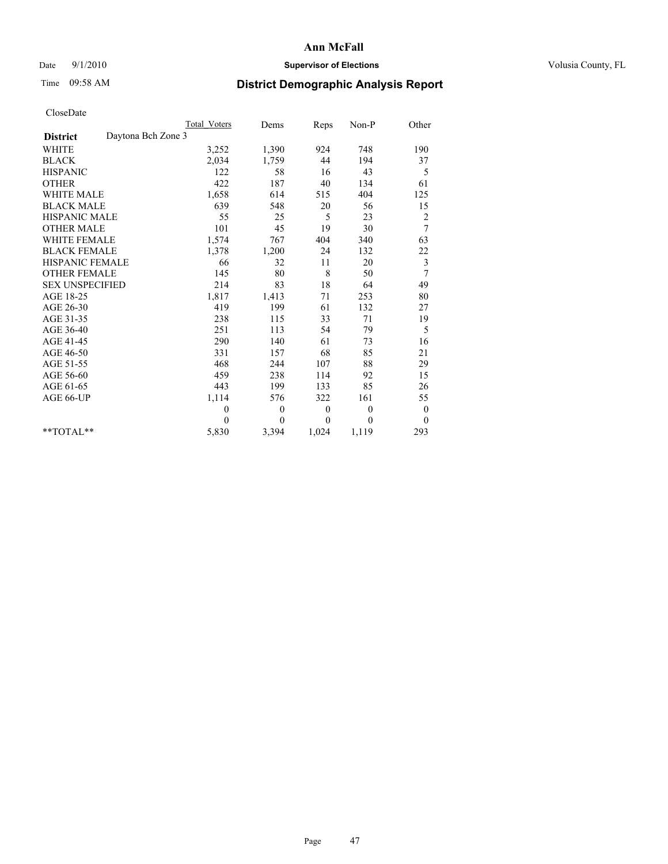## Date  $9/1/2010$  **Supervisor of Elections Supervisor of Elections** Volusia County, FL

## Time 09:58 AM **District Demographic Analysis Report**

|                                       | <b>Total Voters</b> | Dems         | Reps     | $Non-P$  | Other            |
|---------------------------------------|---------------------|--------------|----------|----------|------------------|
| Daytona Bch Zone 3<br><b>District</b> |                     |              |          |          |                  |
| WHITE                                 | 3,252               | 1,390        | 924      | 748      | 190              |
| <b>BLACK</b>                          | 2,034               | 1,759        | 44       | 194      | 37               |
| <b>HISPANIC</b>                       | 122                 | 58           | 16       | 43       | 5                |
| <b>OTHER</b>                          | 422                 | 187          | 40       | 134      | 61               |
| <b>WHITE MALE</b>                     | 1,658               | 614          | 515      | 404      | 125              |
| <b>BLACK MALE</b>                     | 639                 | 548          | 20       | 56       | 15               |
| <b>HISPANIC MALE</b>                  | 55                  | 25           | 5        | 23       | $\overline{c}$   |
| <b>OTHER MALE</b>                     | 101                 | 45           | 19       | 30       | 7                |
| WHITE FEMALE                          | 1,574               | 767          | 404      | 340      | 63               |
| <b>BLACK FEMALE</b>                   | 1,378               | 1,200        | 24       | 132      | 22               |
| HISPANIC FEMALE                       | 66                  | 32           | 11       | 20       | 3                |
| <b>OTHER FEMALE</b>                   | 145                 | 80           | 8        | 50       | 7                |
| <b>SEX UNSPECIFIED</b>                | 214                 | 83           | 18       | 64       | 49               |
| AGE 18-25                             | 1,817               | 1,413        | 71       | 253      | 80               |
| AGE 26-30                             | 419                 | 199          | 61       | 132      | 27               |
| AGE 31-35                             | 238                 | 115          | 33       | 71       | 19               |
| AGE 36-40                             | 251                 | 113          | 54       | 79       | 5                |
| AGE 41-45                             | 290                 | 140          | 61       | 73       | 16               |
| AGE 46-50                             | 331                 | 157          | 68       | 85       | 21               |
| AGE 51-55                             | 468                 | 244          | 107      | 88       | 29               |
| AGE 56-60                             | 459                 | 238          | 114      | 92       | 15               |
| AGE 61-65                             | 443                 | 199          | 133      | 85       | 26               |
| AGE 66-UP                             | 1,114               | 576          | 322      | 161      | 55               |
|                                       | $\mathbf{0}$        | $\mathbf{0}$ | $\theta$ | $\theta$ | $\boldsymbol{0}$ |
|                                       | $\Omega$            | $\theta$     | $\theta$ | $\theta$ | $\theta$         |
| $*$ TOTAL $*$                         | 5,830               | 3,394        | 1,024    | 1,119    | 293              |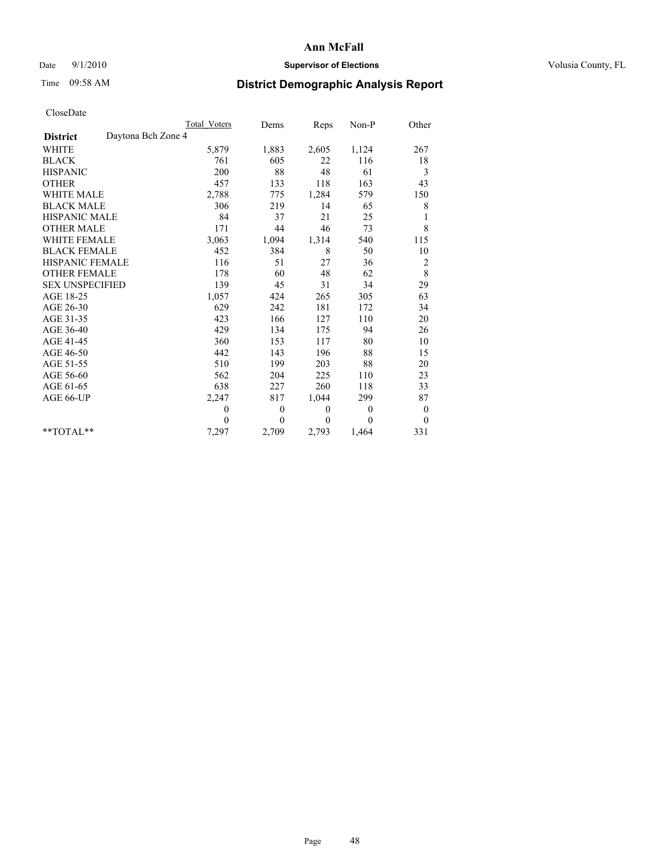## Date  $9/1/2010$  **Supervisor of Elections Supervisor of Elections** Volusia County, FL

## Time 09:58 AM **District Demographic Analysis Report**

|                                       | <b>Total Voters</b> | Dems         | Reps     | $Non-P$        | Other            |
|---------------------------------------|---------------------|--------------|----------|----------------|------------------|
| Daytona Bch Zone 4<br><b>District</b> |                     |              |          |                |                  |
| <b>WHITE</b>                          | 5,879               | 1,883        | 2,605    | 1,124          | 267              |
| <b>BLACK</b>                          | 761                 | 605          | 22       | 116            | 18               |
| <b>HISPANIC</b>                       | 200                 | 88           | 48       | 61             | 3                |
| <b>OTHER</b>                          | 457                 | 133          | 118      | 163            | 43               |
| <b>WHITE MALE</b>                     | 2,788               | 775          | 1,284    | 579            | 150              |
| <b>BLACK MALE</b>                     | 306                 | 219          | 14       | 65             | 8                |
| <b>HISPANIC MALE</b>                  | 84                  | 37           | 21       | 25             | 1                |
| <b>OTHER MALE</b>                     | 171                 | 44           | 46       | 73             | 8                |
| <b>WHITE FEMALE</b>                   | 3,063               | 1,094        | 1,314    | 540            | 115              |
| <b>BLACK FEMALE</b>                   | 452                 | 384          | $\,8\,$  | 50             | 10               |
| HISPANIC FEMALE                       | 116                 | 51           | 27       | 36             | $\overline{c}$   |
| <b>OTHER FEMALE</b>                   | 178                 | 60           | 48       | 62             | $\,$ 8 $\,$      |
| <b>SEX UNSPECIFIED</b>                | 139                 | 45           | 31       | 34             | 29               |
| AGE 18-25                             | 1,057               | 424          | 265      | 305            | 63               |
| AGE 26-30                             | 629                 | 242          | 181      | 172            | 34               |
| AGE 31-35                             | 423                 | 166          | 127      | 110            | 20               |
| AGE 36-40                             | 429                 | 134          | 175      | 94             | 26               |
| AGE 41-45                             | 360                 | 153          | 117      | 80             | 10               |
| AGE 46-50                             | 442                 | 143          | 196      | 88             | 15               |
| AGE 51-55                             | 510                 | 199          | 203      | 88             | 20               |
| AGE 56-60                             | 562                 | 204          | 225      | 110            | 23               |
| AGE 61-65                             | 638                 | 227          | 260      | 118            | 33               |
| AGE 66-UP                             | 2,247               | 817          | 1,044    | 299            | 87               |
|                                       | $\theta$            | $\mathbf{0}$ | $\theta$ | $\overline{0}$ | $\boldsymbol{0}$ |
|                                       | $\theta$            | $\theta$     | $\theta$ | $\theta$       | $\theta$         |
| $*$ TOTAL $*$                         | 7,297               | 2,709        | 2,793    | 1,464          | 331              |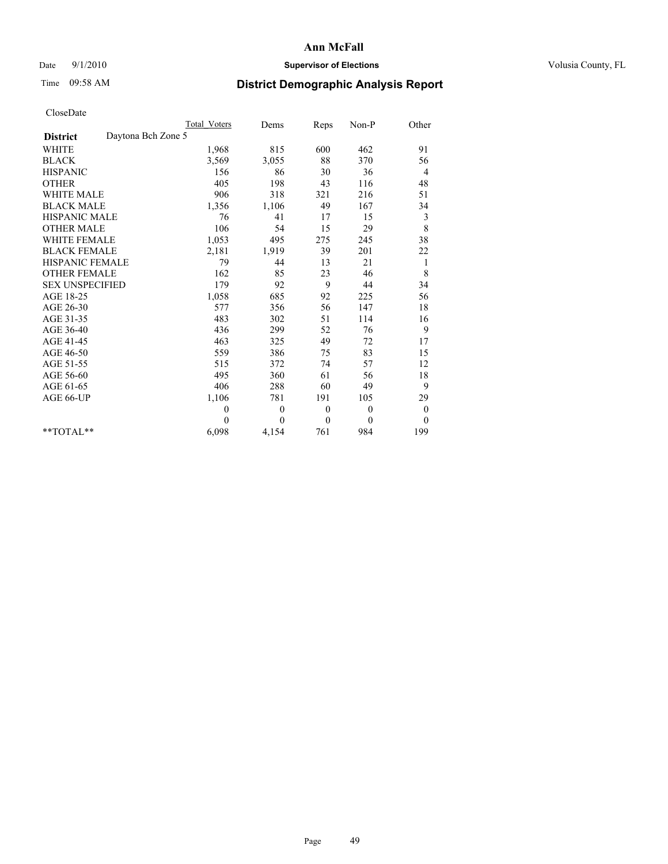## Date  $9/1/2010$  **Supervisor of Elections Supervisor of Elections** Volusia County, FL

# Time 09:58 AM **District Demographic Analysis Report**

|                                       | Total Voters | Dems     | Reps         | $Non-P$      | Other            |  |
|---------------------------------------|--------------|----------|--------------|--------------|------------------|--|
| Daytona Bch Zone 5<br><b>District</b> |              |          |              |              |                  |  |
| <b>WHITE</b>                          | 1,968        | 815      | 600          | 462          | 91               |  |
| <b>BLACK</b>                          | 3,569        | 3,055    | 88           | 370          | 56               |  |
| <b>HISPANIC</b>                       | 156          | 86       | 30           | 36           | 4                |  |
| <b>OTHER</b>                          | 405          | 198      | 43           | 116          | 48               |  |
| <b>WHITE MALE</b>                     | 906          | 318      | 321          | 216          | 51               |  |
| <b>BLACK MALE</b>                     | 1,356        | 1,106    | 49           | 167          | 34               |  |
| <b>HISPANIC MALE</b>                  | 76           | 41       | 17           | 15           | 3                |  |
| <b>OTHER MALE</b>                     | 106          | 54       | 15           | 29           | 8                |  |
| WHITE FEMALE                          | 1,053        | 495      | 275          | 245          | 38               |  |
| <b>BLACK FEMALE</b>                   | 2,181        | 1,919    | 39           | 201          | 22               |  |
| HISPANIC FEMALE                       | 79           | 44       | 13           | 21           | 1                |  |
| <b>OTHER FEMALE</b>                   | 162          | 85       | 23           | 46           | 8                |  |
| <b>SEX UNSPECIFIED</b>                | 179          | 92       | 9            | 44           | 34               |  |
| AGE 18-25                             | 1,058        | 685      | 92           | 225          | 56               |  |
| AGE 26-30                             | 577          | 356      | 56           | 147          | 18               |  |
| AGE 31-35                             | 483          | 302      | 51           | 114          | 16               |  |
| AGE 36-40                             | 436          | 299      | 52           | 76           | 9                |  |
| AGE 41-45                             | 463          | 325      | 49           | 72           | 17               |  |
| AGE 46-50                             | 559          | 386      | 75           | 83           | 15               |  |
| AGE 51-55                             | 515          | 372      | 74           | 57           | 12               |  |
| AGE 56-60                             | 495          | 360      | 61           | 56           | $18\,$           |  |
| AGE 61-65                             | 406          | 288      | 60           | 49           | 9                |  |
| AGE 66-UP                             | 1,106        | 781      | 191          | 105          | 29               |  |
|                                       | $\mathbf{0}$ | $\theta$ | $\mathbf{0}$ | $\theta$     | $\boldsymbol{0}$ |  |
|                                       | $\Omega$     | $\theta$ | $\mathbf{0}$ | $\mathbf{0}$ | $\mathbf{0}$     |  |
| $*$ $TOTAI.**$                        | 6,098        | 4,154    | 761          | 984          | 199              |  |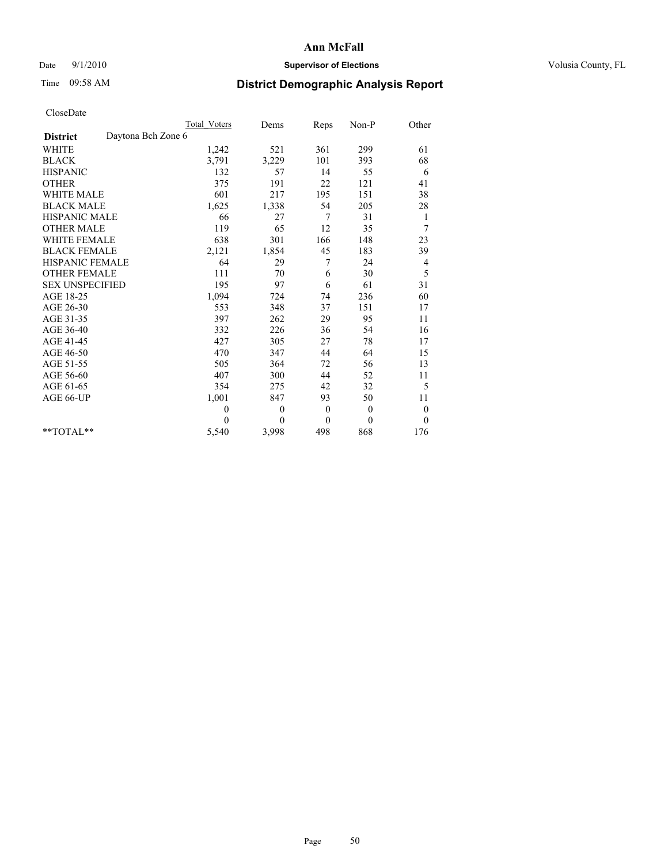## Date  $9/1/2010$  **Supervisor of Elections Supervisor of Elections** Volusia County, FL

# Time 09:58 AM **District Demographic Analysis Report**

|                        | Total Voters       | Dems             | Reps         | $Non-P$      | Other            |  |
|------------------------|--------------------|------------------|--------------|--------------|------------------|--|
| <b>District</b>        | Daytona Bch Zone 6 |                  |              |              |                  |  |
| <b>WHITE</b>           | 1,242              | 521              | 361          | 299          | 61               |  |
| <b>BLACK</b>           | 3,791              | 3,229            | 101          | 393          | 68               |  |
| <b>HISPANIC</b>        | 132                | 57               | 14           | 55           | 6                |  |
| <b>OTHER</b>           | 375                | 191              | 22           | 121          | 41               |  |
| <b>WHITE MALE</b>      | 601                | 217              | 195          | 151          | 38               |  |
| <b>BLACK MALE</b>      | 1,625              | 1,338            | 54           | 205          | 28               |  |
| <b>HISPANIC MALE</b>   | 66                 | 27               | 7            | 31           | 1                |  |
| <b>OTHER MALE</b>      | 119                | 65               | 12           | 35           | 7                |  |
| <b>WHITE FEMALE</b>    | 638                | 301              | 166          | 148          | 23               |  |
| <b>BLACK FEMALE</b>    | 2,121              | 1,854            | 45           | 183          | 39               |  |
| HISPANIC FEMALE        | 64                 | 29               | 7            | 24           | 4                |  |
| <b>OTHER FEMALE</b>    | 111                | 70               | 6            | 30           | 5                |  |
| <b>SEX UNSPECIFIED</b> | 195                | 97               | 6            | 61           | 31               |  |
| AGE 18-25              | 1,094              | 724              | 74           | 236          | 60               |  |
| AGE 26-30              | 553                | 348              | 37           | 151          | 17               |  |
| AGE 31-35              | 397                | 262              | 29           | 95           | 11               |  |
| AGE 36-40              | 332                | 226              | 36           | 54           | 16               |  |
| AGE 41-45              | 427                | 305              | 27           | 78           | 17               |  |
| AGE 46-50              | 470                | 347              | 44           | 64           | 15               |  |
| AGE 51-55              | 505                | 364              | 72           | 56           | 13               |  |
| AGE 56-60              | 407                | 300              | 44           | 52           | 11               |  |
| AGE 61-65              | 354                | 275              | 42           | 32           | 5                |  |
| AGE 66-UP              | 1,001              | 847              | 93           | 50           | 11               |  |
|                        | $\theta$           | $\boldsymbol{0}$ | $\bf{0}$     | $\mathbf{0}$ | $\boldsymbol{0}$ |  |
|                        | $\Omega$           | $\theta$         | $\mathbf{0}$ | $\theta$     | $\theta$         |  |
| $*$ $TOTAI.**$         | 5,540              | 3,998            | 498          | 868          | 176              |  |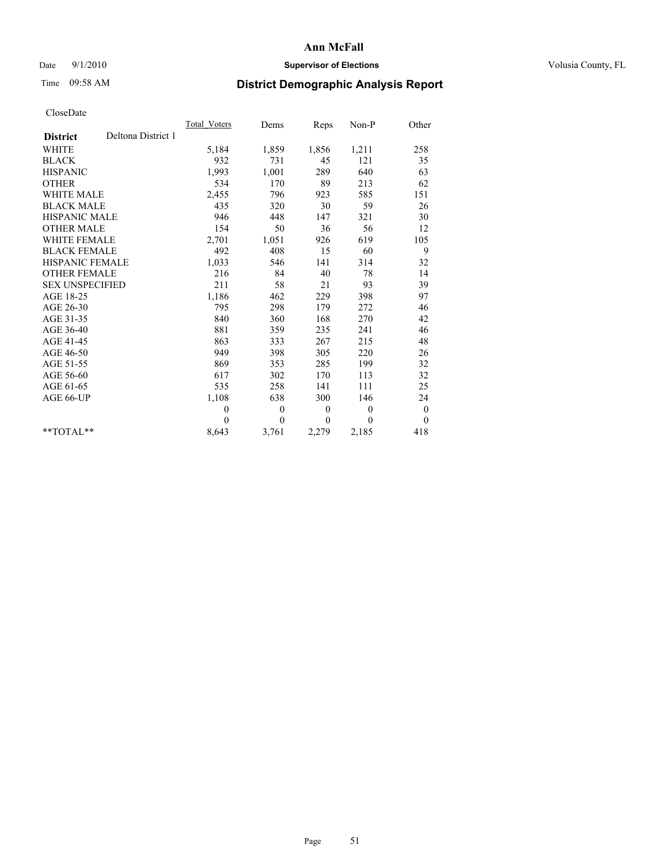## Date  $9/1/2010$  **Supervisor of Elections Supervisor of Elections** Volusia County, FL

# Time 09:58 AM **District Demographic Analysis Report**

|                        |                    | <b>Total Voters</b> | Dems             | Reps     | Non-P    | Other            |  |
|------------------------|--------------------|---------------------|------------------|----------|----------|------------------|--|
| <b>District</b>        | Deltona District 1 |                     |                  |          |          |                  |  |
| <b>WHITE</b>           |                    | 5,184               | 1,859            | 1,856    | 1,211    | 258              |  |
| <b>BLACK</b>           |                    | 932                 | 731              | 45       | 121      | 35               |  |
| <b>HISPANIC</b>        |                    | 1,993               | 1,001            | 289      | 640      | 63               |  |
| <b>OTHER</b>           |                    | 534                 | 170              | 89       | 213      | 62               |  |
| <b>WHITE MALE</b>      |                    | 2,455               | 796              | 923      | 585      | 151              |  |
| <b>BLACK MALE</b>      |                    | 435                 | 320              | 30       | 59       | 26               |  |
| <b>HISPANIC MALE</b>   |                    | 946                 | 448              | 147      | 321      | 30               |  |
| <b>OTHER MALE</b>      |                    | 154                 | 50               | 36       | 56       | 12               |  |
| <b>WHITE FEMALE</b>    |                    | 2,701               | 1,051            | 926      | 619      | 105              |  |
| <b>BLACK FEMALE</b>    |                    | 492                 | 408              | 15       | 60       | 9                |  |
| <b>HISPANIC FEMALE</b> |                    | 1,033               | 546              | 141      | 314      | 32               |  |
| <b>OTHER FEMALE</b>    |                    | 216                 | 84               | 40       | 78       | 14               |  |
| <b>SEX UNSPECIFIED</b> |                    | 211                 | 58               | 21       | 93       | 39               |  |
| AGE 18-25              |                    | 1,186               | 462              | 229      | 398      | 97               |  |
| AGE 26-30              |                    | 795                 | 298              | 179      | 272      | 46               |  |
| AGE 31-35              |                    | 840                 | 360              | 168      | 270      | 42               |  |
| AGE 36-40              |                    | 881                 | 359              | 235      | 241      | 46               |  |
| AGE 41-45              |                    | 863                 | 333              | 267      | 215      | 48               |  |
| AGE 46-50              |                    | 949                 | 398              | 305      | 220      | 26               |  |
| AGE 51-55              |                    | 869                 | 353              | 285      | 199      | 32               |  |
| AGE 56-60              |                    | 617                 | 302              | 170      | 113      | 32               |  |
| AGE 61-65              |                    | 535                 | 258              | 141      | 111      | 25               |  |
| AGE 66-UP              |                    | 1,108               | 638              | 300      | 146      | 24               |  |
|                        |                    | $\theta$            | $\boldsymbol{0}$ | $\theta$ | $\theta$ | $\boldsymbol{0}$ |  |
|                        |                    | $\Omega$            | $\theta$         | $\theta$ | $\theta$ | $\theta$         |  |
| $*$ $TOTAI.**$         |                    | 8,643               | 3,761            | 2,279    | 2,185    | 418              |  |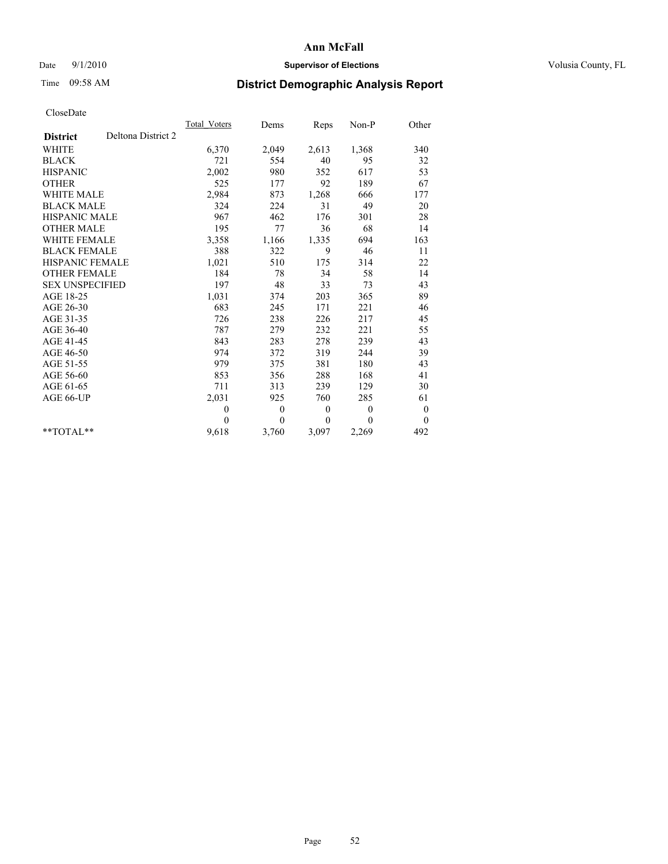## Date  $9/1/2010$  **Supervisor of Elections Supervisor of Elections** Volusia County, FL

# Time 09:58 AM **District Demographic Analysis Report**

|                                       | <b>Total Voters</b> | Dems           | Reps         | Non-P            | Other            |
|---------------------------------------|---------------------|----------------|--------------|------------------|------------------|
| Deltona District 2<br><b>District</b> |                     |                |              |                  |                  |
| <b>WHITE</b>                          | 6,370               | 2,049          | 2,613        | 1,368            | 340              |
| <b>BLACK</b>                          | 721                 | 554            | 40           | 95               | 32               |
| <b>HISPANIC</b>                       | 2,002               | 980            | 352          | 617              | 53               |
| <b>OTHER</b>                          | 525                 | 177            | 92           | 189              | 67               |
| <b>WHITE MALE</b>                     | 2,984               | 873            | 1,268        | 666              | 177              |
| <b>BLACK MALE</b>                     | 324                 | 224            | 31           | 49               | 20               |
| HISPANIC MALE                         | 967                 | 462            | 176          | 301              | 28               |
| <b>OTHER MALE</b>                     | 195                 | 77             | 36           | 68               | 14               |
| WHITE FEMALE                          | 3,358               | 1,166          | 1,335        | 694              | 163              |
| <b>BLACK FEMALE</b>                   | 388                 | 322            | 9            | 46               | 11               |
| HISPANIC FEMALE                       | 1,021               | 510            | 175          | 314              | 22               |
| <b>OTHER FEMALE</b>                   | 184                 | 78             | 34           | 58               | 14               |
| <b>SEX UNSPECIFIED</b>                | 197                 | 48             | 33           | 73               | 43               |
| AGE 18-25                             | 1,031               | 374            | 203          | 365              | 89               |
| AGE 26-30                             | 683                 | 245            | 171          | 221              | 46               |
| AGE 31-35                             | 726                 | 238            | 226          | 217              | 45               |
| AGE 36-40                             | 787                 | 279            | 232          | 221              | 55               |
| AGE 41-45                             | 843                 | 283            | 278          | 239              | 43               |
| AGE 46-50                             | 974                 | 372            | 319          | 244              | 39               |
| AGE 51-55                             | 979                 | 375            | 381          | 180              | 43               |
| AGE 56-60                             | 853                 | 356            | 288          | 168              | 41               |
| AGE 61-65                             | 711                 | 313            | 239          | 129              | 30               |
| AGE 66-UP                             | 2,031               | 925            | 760          | 285              | 61               |
|                                       | $\theta$            | $\overline{0}$ | $\mathbf{0}$ | $\theta$         | $\boldsymbol{0}$ |
|                                       | $\theta$            | $\theta$       | $\mathbf{0}$ | $\boldsymbol{0}$ | $\overline{0}$   |
| $*$ $TOTAI$                           | 9,618               | 3,760          | 3,097        | 2,269            | 492              |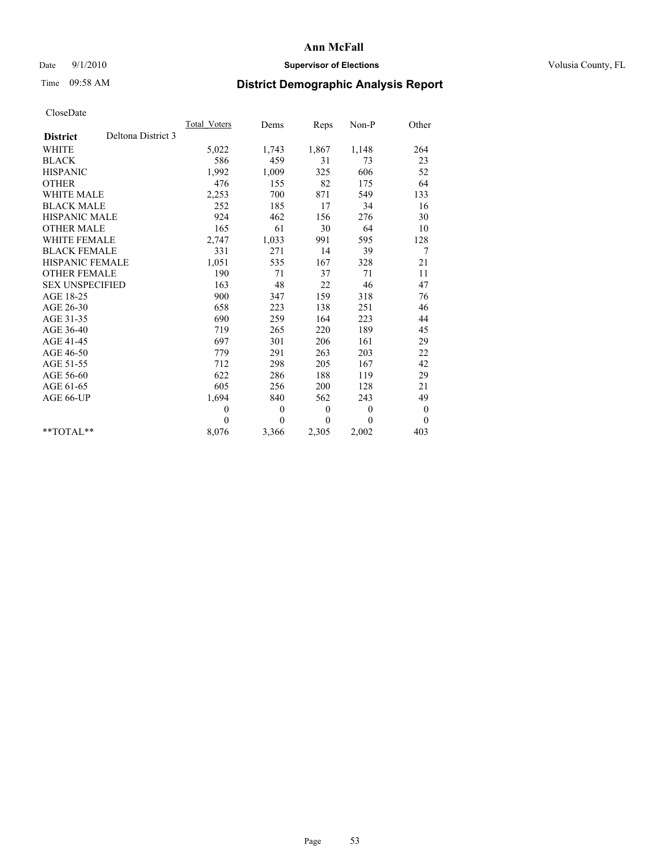## Date  $9/1/2010$  **Supervisor of Elections Supervisor of Elections** Volusia County, FL

# Time 09:58 AM **District Demographic Analysis Report**

|                        |                    | <b>Total Voters</b> | Dems         | Reps             | Non-P    | Other            |  |
|------------------------|--------------------|---------------------|--------------|------------------|----------|------------------|--|
| <b>District</b>        | Deltona District 3 |                     |              |                  |          |                  |  |
| <b>WHITE</b>           |                    | 5,022               | 1,743        | 1,867            | 1,148    | 264              |  |
| <b>BLACK</b>           |                    | 586                 | 459          | 31               | 73       | 23               |  |
| <b>HISPANIC</b>        |                    | 1,992               | 1,009        | 325              | 606      | 52               |  |
| <b>OTHER</b>           |                    | 476                 | 155          | 82               | 175      | 64               |  |
| <b>WHITE MALE</b>      |                    | 2,253               | 700          | 871              | 549      | 133              |  |
| <b>BLACK MALE</b>      |                    | 252                 | 185          | 17               | 34       | 16               |  |
| <b>HISPANIC MALE</b>   |                    | 924                 | 462          | 156              | 276      | 30               |  |
| <b>OTHER MALE</b>      |                    | 165                 | 61           | 30               | 64       | 10               |  |
| <b>WHITE FEMALE</b>    |                    | 2,747               | 1,033        | 991              | 595      | 128              |  |
| <b>BLACK FEMALE</b>    |                    | 331                 | 271          | 14               | 39       | 7                |  |
| <b>HISPANIC FEMALE</b> |                    | 1,051               | 535          | 167              | 328      | 21               |  |
| <b>OTHER FEMALE</b>    |                    | 190                 | 71           | 37               | 71       | 11               |  |
| <b>SEX UNSPECIFIED</b> |                    | 163                 | 48           | 22               | 46       | 47               |  |
| AGE 18-25              |                    | 900                 | 347          | 159              | 318      | 76               |  |
| AGE 26-30              |                    | 658                 | 223          | 138              | 251      | 46               |  |
| AGE 31-35              |                    | 690                 | 259          | 164              | 223      | 44               |  |
| AGE 36-40              |                    | 719                 | 265          | 220              | 189      | 45               |  |
| AGE 41-45              |                    | 697                 | 301          | 206              | 161      | 29               |  |
| AGE 46-50              |                    | 779                 | 291          | 263              | 203      | 22               |  |
| AGE 51-55              |                    | 712                 | 298          | 205              | 167      | 42               |  |
| AGE 56-60              |                    | 622                 | 286          | 188              | 119      | 29               |  |
| AGE 61-65              |                    | 605                 | 256          | 200              | 128      | 21               |  |
| AGE 66-UP              |                    | 1,694               | 840          | 562              | 243      | 49               |  |
|                        |                    | $\theta$            | $\mathbf{0}$ | $\boldsymbol{0}$ | $\theta$ | $\boldsymbol{0}$ |  |
|                        |                    | $\Omega$            | $\theta$     | $\theta$         | $\theta$ | $\overline{0}$   |  |
| $*$ $TOTAI.**$         |                    | 8,076               | 3,366        | 2,305            | 2,002    | 403              |  |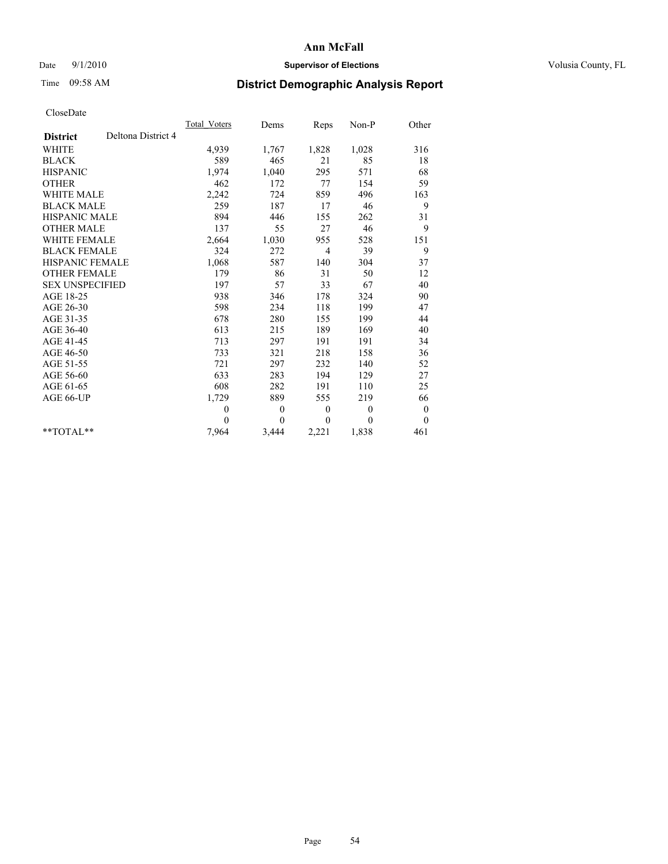## Date  $9/1/2010$  **Supervisor of Elections Supervisor of Elections** Volusia County, FL

# Time 09:58 AM **District Demographic Analysis Report**

|                        |                    | <b>Total Voters</b> | Dems     | Reps           | $Non-P$      | Other            |
|------------------------|--------------------|---------------------|----------|----------------|--------------|------------------|
| <b>District</b>        | Deltona District 4 |                     |          |                |              |                  |
| <b>WHITE</b>           |                    | 4,939               | 1,767    | 1,828          | 1,028        | 316              |
| <b>BLACK</b>           |                    | 589                 | 465      | 21             | 85           | 18               |
| <b>HISPANIC</b>        |                    | 1,974               | 1,040    | 295            | 571          | 68               |
| <b>OTHER</b>           |                    | 462                 | 172      | 77             | 154          | 59               |
| <b>WHITE MALE</b>      |                    | 2,242               | 724      | 859            | 496          | 163              |
| <b>BLACK MALE</b>      |                    | 259                 | 187      | 17             | 46           | 9                |
| <b>HISPANIC MALE</b>   |                    | 894                 | 446      | 155            | 262          | 31               |
| <b>OTHER MALE</b>      |                    | 137                 | 55       | 27             | 46           | 9                |
| WHITE FEMALE           |                    | 2,664               | 1,030    | 955            | 528          | 151              |
| <b>BLACK FEMALE</b>    |                    | 324                 | 272      | $\overline{4}$ | 39           | 9                |
| HISPANIC FEMALE        |                    | 1,068               | 587      | 140            | 304          | 37               |
| <b>OTHER FEMALE</b>    |                    | 179                 | 86       | 31             | 50           | 12               |
| <b>SEX UNSPECIFIED</b> |                    | 197                 | 57       | 33             | 67           | 40               |
| AGE 18-25              |                    | 938                 | 346      | 178            | 324          | 90               |
| AGE 26-30              |                    | 598                 | 234      | 118            | 199          | 47               |
| AGE 31-35              |                    | 678                 | 280      | 155            | 199          | 44               |
| AGE 36-40              |                    | 613                 | 215      | 189            | 169          | 40               |
| AGE 41-45              |                    | 713                 | 297      | 191            | 191          | 34               |
| AGE 46-50              |                    | 733                 | 321      | 218            | 158          | 36               |
| AGE 51-55              |                    | 721                 | 297      | 232            | 140          | 52               |
| AGE 56-60              |                    | 633                 | 283      | 194            | 129          | 27               |
| AGE 61-65              |                    | 608                 | 282      | 191            | 110          | 25               |
| AGE 66-UP              |                    | 1,729               | 889      | 555            | 219          | 66               |
|                        |                    | $\theta$            | $\theta$ | $\mathbf{0}$   | $\mathbf{0}$ | $\boldsymbol{0}$ |
|                        |                    | $\theta$            | $\theta$ | $\theta$       | $\theta$     | $\theta$         |
| $*$ $TOTAI.**$         |                    | 7,964               | 3,444    | 2,221          | 1,838        | 461              |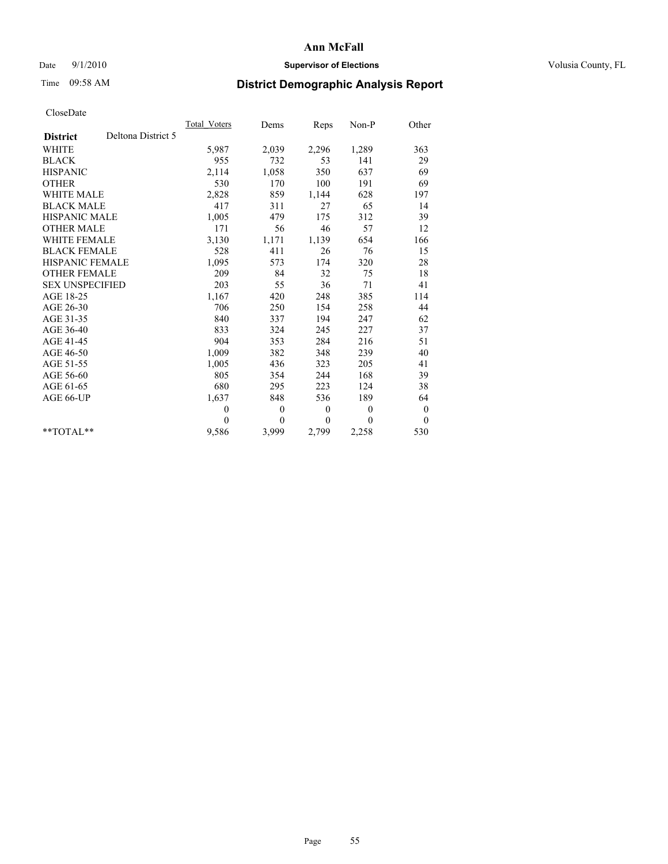## Date  $9/1/2010$  **Supervisor of Elections Supervisor of Elections** Volusia County, FL

# Time 09:58 AM **District Demographic Analysis Report**

|                                       | <b>Total Voters</b> | Dems     | Reps             | Non-P        | Other            |
|---------------------------------------|---------------------|----------|------------------|--------------|------------------|
| Deltona District 5<br><b>District</b> |                     |          |                  |              |                  |
| <b>WHITE</b>                          | 5,987               | 2,039    | 2,296            | 1,289        | 363              |
| <b>BLACK</b>                          | 955                 | 732      | 53               | 141          | 29               |
| <b>HISPANIC</b>                       | 2,114               | 1,058    | 350              | 637          | 69               |
| <b>OTHER</b>                          | 530                 | 170      | 100              | 191          | 69               |
| <b>WHITE MALE</b>                     | 2,828               | 859      | 1,144            | 628          | 197              |
| <b>BLACK MALE</b>                     | 417                 | 311      | 27               | 65           | 14               |
| <b>HISPANIC MALE</b>                  | 1,005               | 479      | 175              | 312          | 39               |
| <b>OTHER MALE</b>                     | 171                 | 56       | 46               | 57           | 12               |
| <b>WHITE FEMALE</b>                   | 3,130               | 1,171    | 1,139            | 654          | 166              |
| <b>BLACK FEMALE</b>                   | 528                 | 411      | 26               | 76           | 15               |
| HISPANIC FEMALE                       | 1,095               | 573      | 174              | 320          | 28               |
| <b>OTHER FEMALE</b>                   | 209                 | 84       | 32               | 75           | 18               |
| <b>SEX UNSPECIFIED</b>                | 203                 | 55       | 36               | 71           | 41               |
| AGE 18-25                             | 1,167               | 420      | 248              | 385          | 114              |
| AGE 26-30                             | 706                 | 250      | 154              | 258          | 44               |
| AGE 31-35                             | 840                 | 337      | 194              | 247          | 62               |
| AGE 36-40                             | 833                 | 324      | 245              | 227          | 37               |
| AGE 41-45                             | 904                 | 353      | 284              | 216          | 51               |
| AGE 46-50                             | 1,009               | 382      | 348              | 239          | 40               |
| AGE 51-55                             | 1,005               | 436      | 323              | 205          | 41               |
| AGE 56-60                             | 805                 | 354      | 244              | 168          | 39               |
| AGE 61-65                             | 680                 | 295      | 223              | 124          | 38               |
| AGE 66-UP                             | 1,637               | 848      | 536              | 189          | 64               |
|                                       | $\mathbf{0}$        | $\theta$ | $\boldsymbol{0}$ | $\mathbf{0}$ | $\boldsymbol{0}$ |
|                                       | $\theta$            | $\theta$ | $\mathbf{0}$     | $\theta$     | $\theta$         |
| $*$ TOTAL $*$                         | 9,586               | 3,999    | 2,799            | 2,258        | 530              |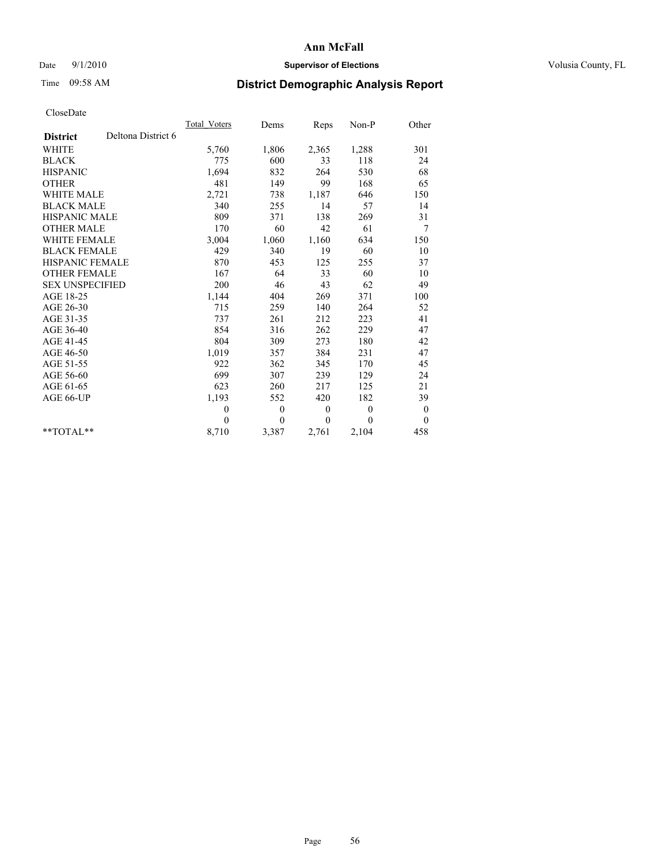## Date  $9/1/2010$  **Supervisor of Elections Supervisor of Elections** Volusia County, FL

## Time 09:58 AM **District Demographic Analysis Report**

|                                       | Total Voters | Dems         | Reps         | $Non-P$      | Other            |  |
|---------------------------------------|--------------|--------------|--------------|--------------|------------------|--|
| Deltona District 6<br><b>District</b> |              |              |              |              |                  |  |
| <b>WHITE</b>                          | 5,760        | 1,806        | 2,365        | 1,288        | 301              |  |
| <b>BLACK</b>                          | 775          | 600          | 33           | 118          | 24               |  |
| <b>HISPANIC</b>                       | 1,694        | 832          | 264          | 530          | 68               |  |
| <b>OTHER</b>                          | 481          | 149          | 99           | 168          | 65               |  |
| <b>WHITE MALE</b>                     | 2,721        | 738          | 1,187        | 646          | 150              |  |
| <b>BLACK MALE</b>                     | 340          | 255          | 14           | 57           | 14               |  |
| <b>HISPANIC MALE</b>                  | 809          | 371          | 138          | 269          | 31               |  |
| <b>OTHER MALE</b>                     | 170          | 60           | 42           | 61           | 7                |  |
| <b>WHITE FEMALE</b>                   | 3,004        | 1,060        | 1,160        | 634          | 150              |  |
| <b>BLACK FEMALE</b>                   | 429          | 340          | 19           | 60           | 10               |  |
| HISPANIC FEMALE                       | 870          | 453          | 125          | 255          | 37               |  |
| <b>OTHER FEMALE</b>                   | 167          | 64           | 33           | 60           | 10               |  |
| <b>SEX UNSPECIFIED</b>                | 200          | 46           | 43           | 62           | 49               |  |
| AGE 18-25                             | 1,144        | 404          | 269          | 371          | 100              |  |
| AGE 26-30                             | 715          | 259          | 140          | 264          | 52               |  |
| AGE 31-35                             | 737          | 261          | 212          | 223          | 41               |  |
| AGE 36-40                             | 854          | 316          | 262          | 229          | 47               |  |
| AGE 41-45                             | 804          | 309          | 273          | 180          | 42               |  |
| AGE 46-50                             | 1,019        | 357          | 384          | 231          | 47               |  |
| AGE 51-55                             | 922          | 362          | 345          | 170          | 45               |  |
| AGE 56-60                             | 699          | 307          | 239          | 129          | 24               |  |
| AGE 61-65                             | 623          | 260          | 217          | 125          | 21               |  |
| AGE 66-UP                             | 1,193        | 552          | 420          | 182          | 39               |  |
|                                       | $\mathbf{0}$ | $\mathbf{0}$ | $\mathbf{0}$ | $\mathbf{0}$ | $\boldsymbol{0}$ |  |
|                                       | $\theta$     | $\theta$     | $\mathbf{0}$ | $\theta$     | $\theta$         |  |
| $*$ $TOTAI.**$                        | 8,710        | 3,387        | 2,761        | 2,104        | 458              |  |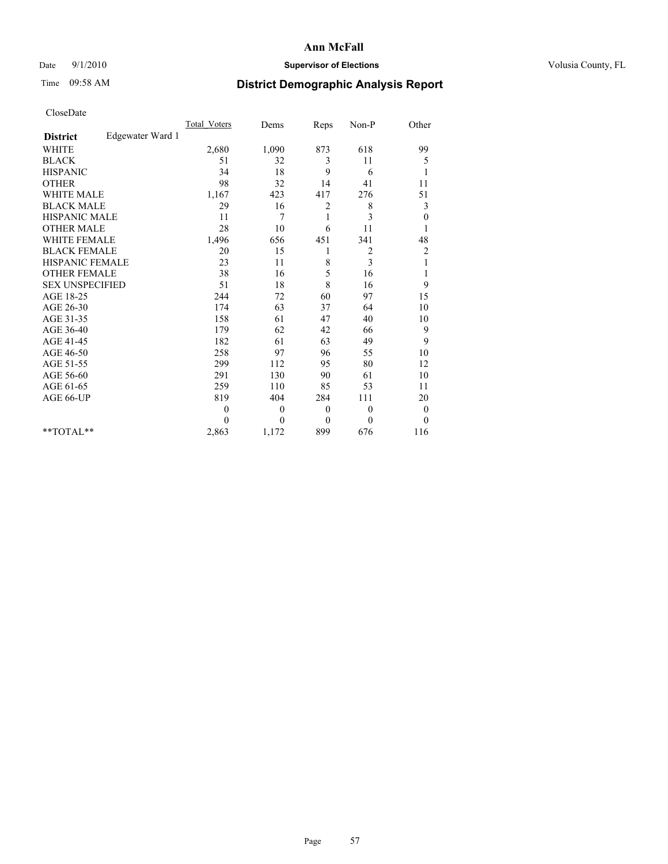## Date  $9/1/2010$  **Supervisor of Elections Supervisor of Elections** Volusia County, FL

## Time 09:58 AM **District Demographic Analysis Report**

|                                     | <b>Total Voters</b> | Dems     | Reps             | Non-P            | Other            |
|-------------------------------------|---------------------|----------|------------------|------------------|------------------|
| Edgewater Ward 1<br><b>District</b> |                     |          |                  |                  |                  |
| <b>WHITE</b>                        | 2,680               | 1,090    | 873              | 618              | 99               |
| <b>BLACK</b>                        | 51                  | 32       | 3                | 11               | 5                |
| <b>HISPANIC</b>                     | 34                  | 18       | 9                | 6                | 1                |
| <b>OTHER</b>                        | 98                  | 32       | 14               | 41               | 11               |
| <b>WHITE MALE</b>                   | 1,167               | 423      | 417              | 276              | 51               |
| <b>BLACK MALE</b>                   | 29                  | 16       | $\overline{c}$   | 8                | 3                |
| HISPANIC MALE                       | 11                  | 7        | 1                | 3                | $\boldsymbol{0}$ |
| <b>OTHER MALE</b>                   | 28                  | 10       | 6                | 11               |                  |
| <b>WHITE FEMALE</b>                 | 1,496               | 656      | 451              | 341              | 48               |
| <b>BLACK FEMALE</b>                 | 20                  | 15       | 1                | 2                | $\overline{c}$   |
| HISPANIC FEMALE                     | 23                  | 11       | 8                | 3                | 1                |
| <b>OTHER FEMALE</b>                 | 38                  | 16       | 5                | 16               | 1                |
| <b>SEX UNSPECIFIED</b>              | 51                  | 18       | 8                | 16               | 9                |
| AGE 18-25                           | 244                 | 72       | 60               | 97               | 15               |
| AGE 26-30                           | 174                 | 63       | 37               | 64               | 10               |
| AGE 31-35                           | 158                 | 61       | 47               | 40               | 10               |
| AGE 36-40                           | 179                 | 62       | 42               | 66               | 9                |
| AGE 41-45                           | 182                 | 61       | 63               | 49               | 9                |
| AGE 46-50                           | 258                 | 97       | 96               | 55               | 10               |
| AGE 51-55                           | 299                 | 112      | 95               | 80               | 12               |
| AGE 56-60                           | 291                 | 130      | 90               | 61               | 10               |
| AGE 61-65                           | 259                 | 110      | 85               | 53               | 11               |
| AGE 66-UP                           | 819                 | 404      | 284              | 111              | 20               |
|                                     | $\boldsymbol{0}$    | 0        | $\boldsymbol{0}$ | $\boldsymbol{0}$ | $\boldsymbol{0}$ |
|                                     | 0                   | $\theta$ | $\theta$         | $\theta$         | $\theta$         |
| $*$ $TOTAI.**$                      | 2,863               | 1,172    | 899              | 676              | 116              |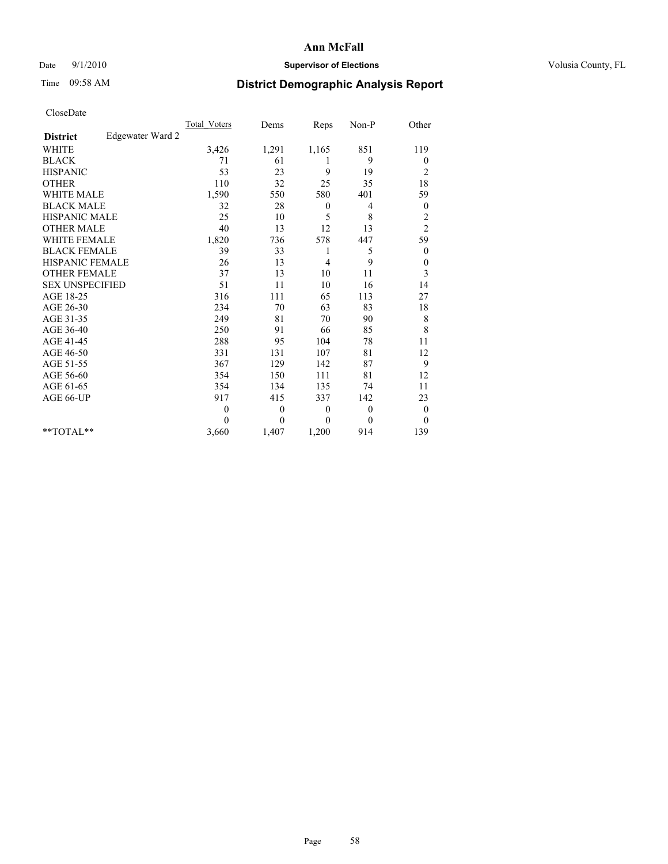## Date  $9/1/2010$  **Supervisor of Elections Supervisor of Elections** Volusia County, FL

## Time 09:58 AM **District Demographic Analysis Report**

|                                     | <b>Total Voters</b> | Dems         | Reps             | Non-P    | Other            |
|-------------------------------------|---------------------|--------------|------------------|----------|------------------|
| Edgewater Ward 2<br><b>District</b> |                     |              |                  |          |                  |
| <b>WHITE</b>                        | 3,426               | 1,291        | 1,165            | 851      | 119              |
| <b>BLACK</b>                        | 71                  | 61           | 1                | 9        | $\boldsymbol{0}$ |
| <b>HISPANIC</b>                     | 53                  | 23           | 9                | 19       | $\overline{c}$   |
| <b>OTHER</b>                        | 110                 | 32           | 25               | 35       | 18               |
| <b>WHITE MALE</b>                   | 1,590               | 550          | 580              | 401      | 59               |
| <b>BLACK MALE</b>                   | 32                  | 28           | $\mathbf{0}$     | 4        | $\boldsymbol{0}$ |
| HISPANIC MALE                       | 25                  | 10           | 5                | 8        | $\overline{c}$   |
| <b>OTHER MALE</b>                   | 40                  | 13           | 12               | 13       | $\overline{c}$   |
| <b>WHITE FEMALE</b>                 | 1,820               | 736          | 578              | 447      | 59               |
| <b>BLACK FEMALE</b>                 | 39                  | 33           | 1                | 5        | $\boldsymbol{0}$ |
| HISPANIC FEMALE                     | 26                  | 13           | $\overline{4}$   | 9        | $\boldsymbol{0}$ |
| <b>OTHER FEMALE</b>                 | 37                  | 13           | 10               | 11       | 3                |
| <b>SEX UNSPECIFIED</b>              | 51                  | 11           | 10               | 16       | 14               |
| AGE 18-25                           | 316                 | 111          | 65               | 113      | 27               |
| AGE 26-30                           | 234                 | 70           | 63               | 83       | 18               |
| AGE 31-35                           | 249                 | 81           | 70               | 90       | $\,$ $\,$        |
| AGE 36-40                           | 250                 | 91           | 66               | 85       | 8                |
| AGE 41-45                           | 288                 | 95           | 104              | 78       | 11               |
| AGE 46-50                           | 331                 | 131          | 107              | 81       | 12               |
| AGE 51-55                           | 367                 | 129          | 142              | 87       | 9                |
| AGE 56-60                           | 354                 | 150          | 111              | 81       | 12               |
| AGE 61-65                           | 354                 | 134          | 135              | 74       | 11               |
| AGE 66-UP                           | 917                 | 415          | 337              | 142      | 23               |
|                                     | $\theta$            | $\mathbf{0}$ | $\boldsymbol{0}$ | $\theta$ | $\boldsymbol{0}$ |
|                                     | $\Omega$            | $\theta$     | $\theta$         | $\theta$ | $\theta$         |
| $*$ TOTAL $*$                       | 3,660               | 1,407        | 1,200            | 914      | 139              |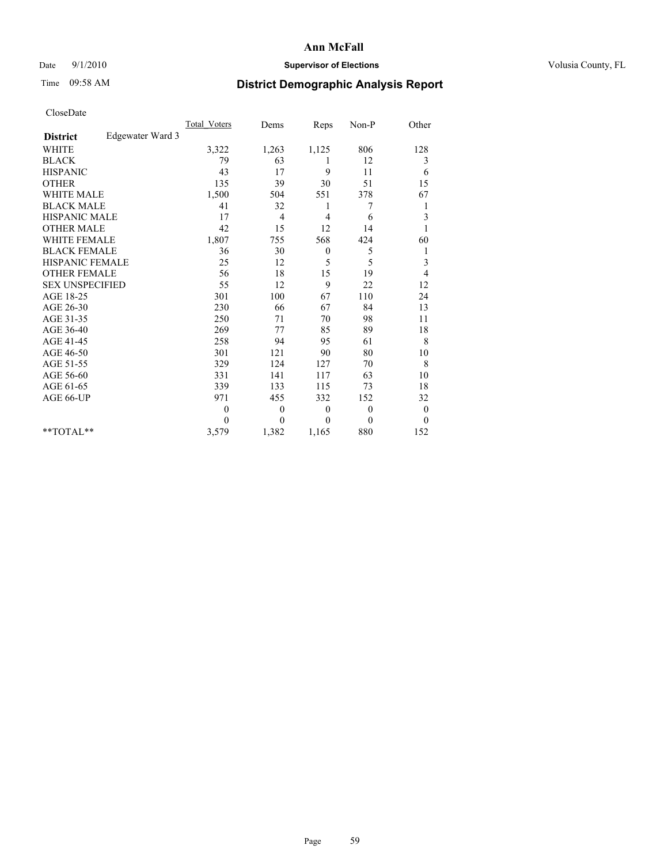## Date  $9/1/2010$  **Supervisor of Elections Supervisor of Elections** Volusia County, FL

## Time 09:58 AM **District Demographic Analysis Report**

|                                     | <b>Total Voters</b> | Dems             | Reps         | $Non-P$  | Other            |
|-------------------------------------|---------------------|------------------|--------------|----------|------------------|
| Edgewater Ward 3<br><b>District</b> |                     |                  |              |          |                  |
| <b>WHITE</b>                        | 3,322               | 1,263            | 1,125        | 806      | 128              |
| <b>BLACK</b>                        | 79                  | 63               |              | 12       | 3                |
| <b>HISPANIC</b>                     | 43                  | 17               | 9            | 11       | 6                |
| <b>OTHER</b>                        | 135                 | 39               | 30           | 51       | 15               |
| <b>WHITE MALE</b>                   | 1,500               | 504              | 551          | 378      | 67               |
| <b>BLACK MALE</b>                   | 41                  | 32               | 1            | 7        | 1                |
| <b>HISPANIC MALE</b>                | 17                  | 4                | 4            | 6        | 3                |
| <b>OTHER MALE</b>                   | 42                  | 15               | 12           | 14       |                  |
| <b>WHITE FEMALE</b>                 | 1,807               | 755              | 568          | 424      | 60               |
| <b>BLACK FEMALE</b>                 | 36                  | 30               | $\mathbf{0}$ | 5        | 1                |
| HISPANIC FEMALE                     | 25                  | 12               | 5            | 5        | 3                |
| <b>OTHER FEMALE</b>                 | 56                  | 18               | 15           | 19       | 4                |
| <b>SEX UNSPECIFIED</b>              | 55                  | 12               | 9            | 22       | 12               |
| AGE 18-25                           | 301                 | 100              | 67           | 110      | 24               |
| AGE 26-30                           | 230                 | 66               | 67           | 84       | 13               |
| AGE 31-35                           | 250                 | 71               | 70           | 98       | 11               |
| AGE 36-40                           | 269                 | 77               | 85           | 89       | 18               |
| AGE 41-45                           | 258                 | 94               | 95           | 61       | 8                |
| AGE 46-50                           | 301                 | 121              | 90           | 80       | 10               |
| AGE 51-55                           | 329                 | 124              | 127          | 70       | 8                |
| AGE 56-60                           | 331                 | 141              | 117          | 63       | 10               |
| AGE 61-65                           | 339                 | 133              | 115          | 73       | 18               |
| AGE 66-UP                           | 971                 | 455              | 332          | 152      | 32               |
|                                     | $\mathbf{0}$        | $\boldsymbol{0}$ | $\theta$     | $\theta$ | $\boldsymbol{0}$ |
|                                     | $\Omega$            | $\theta$         | $\mathbf{0}$ | $\theta$ | $\mathbf{0}$     |
| $*$ $TOTAI.**$                      | 3,579               | 1,382            | 1,165        | 880      | 152              |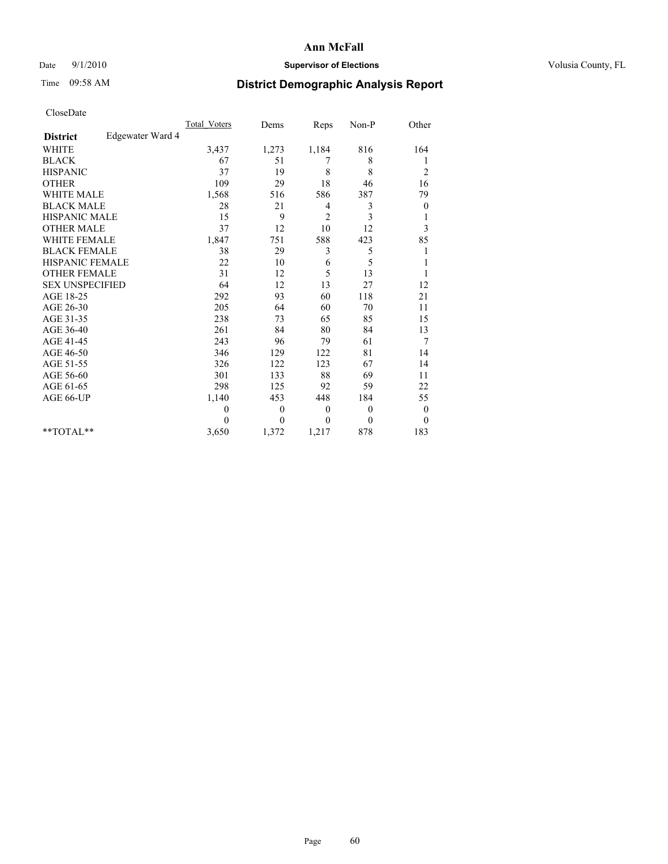### Date 9/1/2010 **Supervisor of Elections Supervisor of Elections** Volusia County, FL

## Time 09:58 AM **District Demographic Analysis Report**

|                                     | <b>Total Voters</b> | Dems         | Reps             | Non-P            | Other            |
|-------------------------------------|---------------------|--------------|------------------|------------------|------------------|
| Edgewater Ward 4<br><b>District</b> |                     |              |                  |                  |                  |
| <b>WHITE</b>                        | 3,437               | 1,273        | 1,184            | 816              | 164              |
| <b>BLACK</b>                        | 67                  | 51           | 7                | 8                | 1                |
| <b>HISPANIC</b>                     | 37                  | 19           | 8                | 8                | $\overline{c}$   |
| <b>OTHER</b>                        | 109                 | 29           | 18               | 46               | 16               |
| <b>WHITE MALE</b>                   | 1,568               | 516          | 586              | 387              | 79               |
| <b>BLACK MALE</b>                   | 28                  | 21           | 4                | 3                | $\boldsymbol{0}$ |
| HISPANIC MALE                       | 15                  | 9            | $\overline{2}$   | 3                | 1                |
| <b>OTHER MALE</b>                   | 37                  | 12           | 10               | 12               | 3                |
| <b>WHITE FEMALE</b>                 | 1,847               | 751          | 588              | 423              | 85               |
| <b>BLACK FEMALE</b>                 | 38                  | 29           | 3                | 5                | 1                |
| HISPANIC FEMALE                     | 22                  | 10           | 6                | 5                |                  |
| <b>OTHER FEMALE</b>                 | 31                  | 12           | 5                | 13               |                  |
| <b>SEX UNSPECIFIED</b>              | 64                  | 12           | 13               | 27               | 12               |
| AGE 18-25                           | 292                 | 93           | 60               | 118              | 21               |
| AGE 26-30                           | 205                 | 64           | 60               | 70               | 11               |
| AGE 31-35                           | 238                 | 73           | 65               | 85               | 15               |
| AGE 36-40                           | 261                 | 84           | 80               | 84               | 13               |
| AGE 41-45                           | 243                 | 96           | 79               | 61               | 7                |
| AGE 46-50                           | 346                 | 129          | 122              | 81               | 14               |
| AGE 51-55                           | 326                 | 122          | 123              | 67               | 14               |
| AGE 56-60                           | 301                 | 133          | 88               | 69               | 11               |
| AGE 61-65                           | 298                 | 125          | 92               | 59               | 22               |
| AGE 66-UP                           | 1,140               | 453          | 448              | 184              | 55               |
|                                     | 0                   | $\mathbf{0}$ | $\boldsymbol{0}$ | $\boldsymbol{0}$ | $\boldsymbol{0}$ |
|                                     | 0                   | $\theta$     | $\Omega$         | $\Omega$         | $\theta$         |
| $*$ $TOTAI.**$                      | 3,650               | 1,372        | 1,217            | 878              | 183              |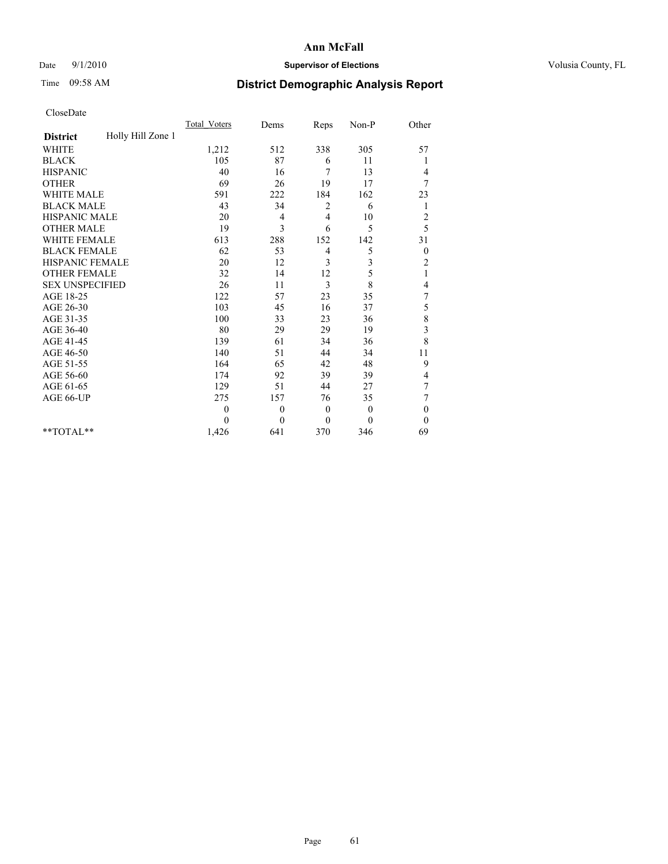## Date  $9/1/2010$  **Supervisor of Elections Supervisor of Elections** Volusia County, FL

## Time 09:58 AM **District Demographic Analysis Report**

|                                      | <b>Total Voters</b> | Dems         | Reps           | Non-P        | Other            |  |
|--------------------------------------|---------------------|--------------|----------------|--------------|------------------|--|
| Holly Hill Zone 1<br><b>District</b> |                     |              |                |              |                  |  |
| <b>WHITE</b>                         | 1,212               | 512          | 338            | 305          | 57               |  |
| <b>BLACK</b>                         | 105                 | 87           | 6              | 11           |                  |  |
| <b>HISPANIC</b>                      | 40                  | 16           | 7              | 13           | 4                |  |
| <b>OTHER</b>                         | 69                  | 26           | 19             | 17           | 7                |  |
| <b>WHITE MALE</b>                    | 591                 | 222          | 184            | 162          | 23               |  |
| <b>BLACK MALE</b>                    | 43                  | 34           | 2              | 6            | 1                |  |
| HISPANIC MALE                        | 20                  | 4            | $\overline{4}$ | 10           | $\overline{c}$   |  |
| <b>OTHER MALE</b>                    | 19                  | 3            | 6              | 5            | 5                |  |
| <b>WHITE FEMALE</b>                  | 613                 | 288          | 152            | 142          | 31               |  |
| <b>BLACK FEMALE</b>                  | 62                  | 53           | 4              | 5            | $\boldsymbol{0}$ |  |
| HISPANIC FEMALE                      | 20                  | 12           | 3              | 3            | $\overline{c}$   |  |
| <b>OTHER FEMALE</b>                  | 32                  | 14           | 12             | 5            | 1                |  |
| <b>SEX UNSPECIFIED</b>               | 26                  | 11           | 3              | 8            | 4                |  |
| AGE 18-25                            | 122                 | 57           | 23             | 35           | 7                |  |
| AGE 26-30                            | 103                 | 45           | 16             | 37           | 5                |  |
| AGE 31-35                            | 100                 | 33           | 23             | 36           | 8                |  |
| AGE 36-40                            | 80                  | 29           | 29             | 19           | 3                |  |
| AGE 41-45                            | 139                 | 61           | 34             | 36           | $\,8\,$          |  |
| AGE 46-50                            | 140                 | 51           | 44             | 34           | 11               |  |
| AGE 51-55                            | 164                 | 65           | 42             | 48           | 9                |  |
| AGE 56-60                            | 174                 | 92           | 39             | 39           | 4                |  |
| AGE 61-65                            | 129                 | 51           | 44             | 27           | 7                |  |
| AGE 66-UP                            | 275                 | 157          | 76             | 35           | 7                |  |
|                                      | $\theta$            | $\mathbf{0}$ | $\mathbf{0}$   | $\mathbf{0}$ | $\boldsymbol{0}$ |  |
|                                      | $\theta$            | $\theta$     | $\theta$       | $\theta$     | $\theta$         |  |
| $*$ TOTAL $*$                        | 1,426               | 641          | 370            | 346          | 69               |  |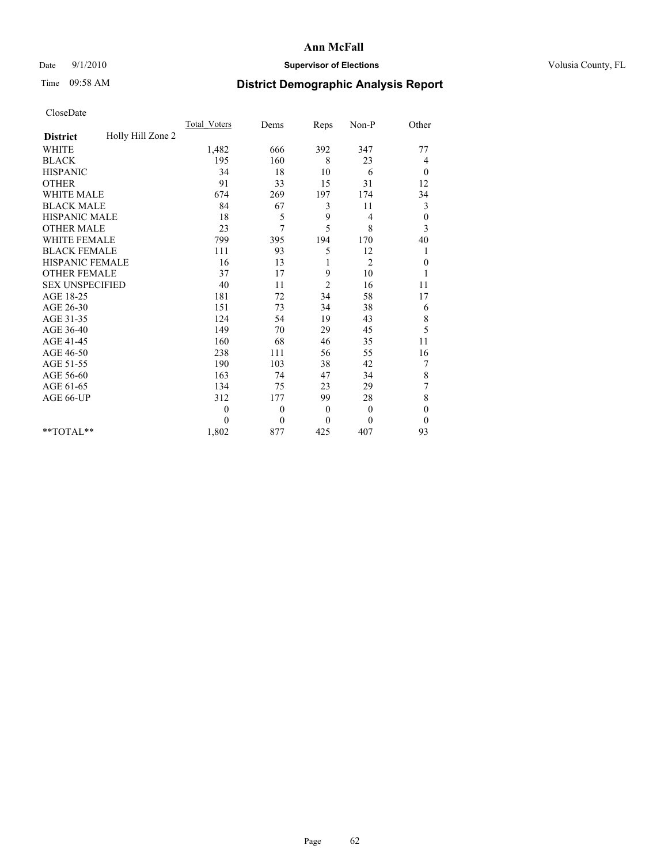## Date  $9/1/2010$  **Supervisor of Elections Supervisor of Elections** Volusia County, FL

# Time 09:58 AM **District Demographic Analysis Report**

|                                      | <b>Total Voters</b> | Dems         | Reps           | Non-P          | Other            |  |
|--------------------------------------|---------------------|--------------|----------------|----------------|------------------|--|
| Holly Hill Zone 2<br><b>District</b> |                     |              |                |                |                  |  |
| <b>WHITE</b>                         | 1,482               | 666          | 392            | 347            | 77               |  |
| <b>BLACK</b>                         | 195                 | 160          | 8              | 23             | 4                |  |
| <b>HISPANIC</b>                      | 34                  | 18           | 10             | 6              | $\mathbf{0}$     |  |
| <b>OTHER</b>                         | 91                  | 33           | 15             | 31             | 12               |  |
| <b>WHITE MALE</b>                    | 674                 | 269          | 197            | 174            | 34               |  |
| <b>BLACK MALE</b>                    | 84                  | 67           | 3              | 11             | 3                |  |
| HISPANIC MALE                        | 18                  | 5            | 9              | 4              | $\boldsymbol{0}$ |  |
| <b>OTHER MALE</b>                    | 23                  | 7            | 5              | 8              | 3                |  |
| <b>WHITE FEMALE</b>                  | 799                 | 395          | 194            | 170            | 40               |  |
| <b>BLACK FEMALE</b>                  | 111                 | 93           | 5              | 12             | 1                |  |
| HISPANIC FEMALE                      | 16                  | 13           |                | $\overline{2}$ | $\boldsymbol{0}$ |  |
| <b>OTHER FEMALE</b>                  | 37                  | 17           | 9              | 10             |                  |  |
| <b>SEX UNSPECIFIED</b>               | 40                  | 11           | $\overline{2}$ | 16             | 11               |  |
| AGE 18-25                            | 181                 | 72           | 34             | 58             | 17               |  |
| AGE 26-30                            | 151                 | 73           | 34             | 38             | 6                |  |
| AGE 31-35                            | 124                 | 54           | 19             | 43             | $\,$ $\,$        |  |
| AGE 36-40                            | 149                 | 70           | 29             | 45             | 5                |  |
| AGE 41-45                            | 160                 | 68           | 46             | 35             | 11               |  |
| AGE 46-50                            | 238                 | 111          | 56             | 55             | 16               |  |
| AGE 51-55                            | 190                 | 103          | 38             | 42             | 7                |  |
| AGE 56-60                            | 163                 | 74           | 47             | 34             | $\,$ $\,$        |  |
| AGE 61-65                            | 134                 | 75           | 23             | 29             | 7                |  |
| AGE 66-UP                            | 312                 | 177          | 99             | 28             | 8                |  |
|                                      | $\overline{0}$      | $\mathbf{0}$ | $\mathbf{0}$   | $\mathbf{0}$   | $\theta$         |  |
|                                      | $\theta$            | $\mathbf{0}$ | $\mathbf{0}$   | $\theta$       | $\theta$         |  |
| $*$ $TOTAI.**$                       | 1,802               | 877          | 425            | 407            | 93               |  |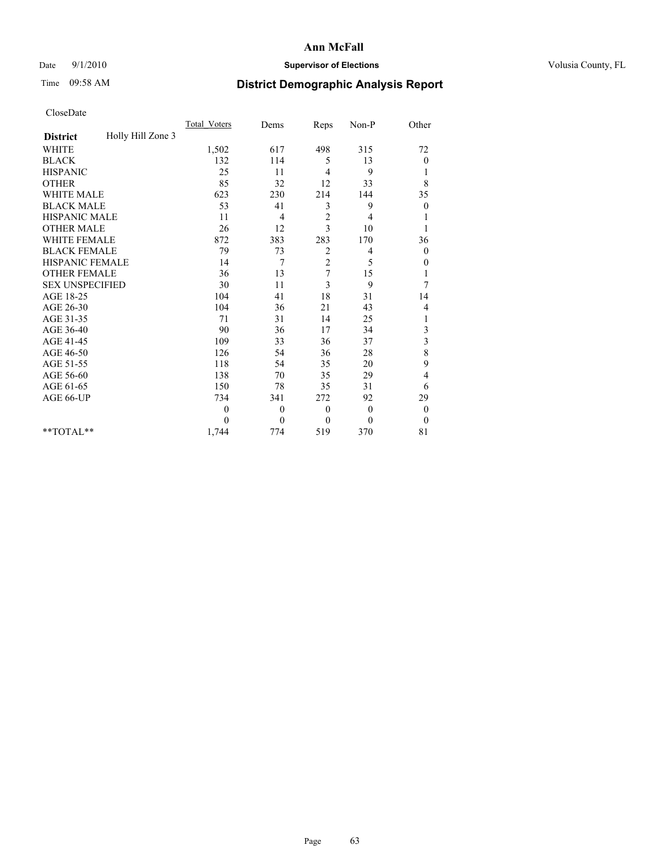## Date  $9/1/2010$  **Supervisor of Elections Supervisor of Elections** Volusia County, FL

## Time 09:58 AM **District Demographic Analysis Report**

|                                      | <b>Total Voters</b> | Dems         | Reps           | Non-P        | Other            |
|--------------------------------------|---------------------|--------------|----------------|--------------|------------------|
| Holly Hill Zone 3<br><b>District</b> |                     |              |                |              |                  |
| <b>WHITE</b>                         | 1,502               | 617          | 498            | 315          | 72               |
| <b>BLACK</b>                         | 132                 | 114          | 5              | 13           | 0                |
| <b>HISPANIC</b>                      | 25                  | 11           | $\overline{4}$ | 9            | 1                |
| <b>OTHER</b>                         | 85                  | 32           | 12             | 33           | 8                |
| <b>WHITE MALE</b>                    | 623                 | 230          | 214            | 144          | 35               |
| <b>BLACK MALE</b>                    | 53                  | 41           | 3              | 9            | $\mathbf{0}$     |
| HISPANIC MALE                        | 11                  | 4            | $\sqrt{2}$     | 4            |                  |
| <b>OTHER MALE</b>                    | 26                  | 12           | 3              | 10           |                  |
| <b>WHITE FEMALE</b>                  | 872                 | 383          | 283            | 170          | 36               |
| <b>BLACK FEMALE</b>                  | 79                  | 73           | 2              | 4            | $\boldsymbol{0}$ |
| HISPANIC FEMALE                      | 14                  | 7            | $\overline{c}$ | 5            | 0                |
| <b>OTHER FEMALE</b>                  | 36                  | 13           | 7              | 15           | 1                |
| <b>SEX UNSPECIFIED</b>               | 30                  | 11           | 3              | 9            | 7                |
| AGE 18-25                            | 104                 | 41           | 18             | 31           | 14               |
| AGE 26-30                            | 104                 | 36           | 21             | 43           | 4                |
| AGE 31-35                            | 71                  | 31           | 14             | 25           | 1                |
| AGE 36-40                            | 90                  | 36           | 17             | 34           | 3                |
| AGE 41-45                            | 109                 | 33           | 36             | 37           | $\mathfrak{Z}$   |
| AGE 46-50                            | 126                 | 54           | 36             | 28           | 8                |
| AGE 51-55                            | 118                 | 54           | 35             | 20           | 9                |
| AGE 56-60                            | 138                 | 70           | 35             | 29           | 4                |
| AGE 61-65                            | 150                 | 78           | 35             | 31           | 6                |
| AGE 66-UP                            | 734                 | 341          | 272            | 92           | 29               |
|                                      | $\theta$            | $\mathbf{0}$ | $\theta$       | $\mathbf{0}$ | $\boldsymbol{0}$ |
|                                      | $\theta$            | $\theta$     | $\mathbf{0}$   | $\theta$     | $\boldsymbol{0}$ |
| $*$ TOTAL $*$                        | 1,744               | 774          | 519            | 370          | 81               |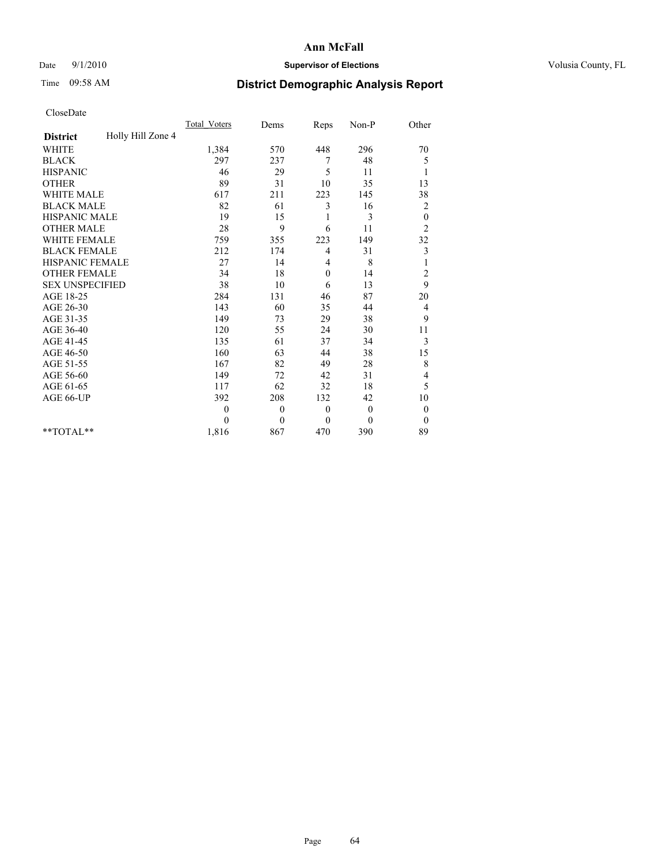## Date  $9/1/2010$  **Supervisor of Elections Supervisor of Elections** Volusia County, FL

# Time 09:58 AM **District Demographic Analysis Report**

|                                      | <b>Total Voters</b> | Dems     | Reps             | Non-P        | Other                   |
|--------------------------------------|---------------------|----------|------------------|--------------|-------------------------|
| Holly Hill Zone 4<br><b>District</b> |                     |          |                  |              |                         |
| <b>WHITE</b>                         | 1,384               | 570      | 448              | 296          | 70                      |
| <b>BLACK</b>                         | 297                 | 237      | 7                | 48           | 5                       |
| <b>HISPANIC</b>                      | 46                  | 29       | 5                | 11           | 1                       |
| <b>OTHER</b>                         | 89                  | 31       | 10               | 35           | 13                      |
| <b>WHITE MALE</b>                    | 617                 | 211      | 223              | 145          | 38                      |
| <b>BLACK MALE</b>                    | 82                  | 61       | 3                | 16           | $\overline{\mathbf{c}}$ |
| <b>HISPANIC MALE</b>                 | 19                  | 15       | 1                | 3            | $\boldsymbol{0}$        |
| <b>OTHER MALE</b>                    | 28                  | 9        | 6                | 11           | $\overline{c}$          |
| <b>WHITE FEMALE</b>                  | 759                 | 355      | 223              | 149          | 32                      |
| <b>BLACK FEMALE</b>                  | 212                 | 174      | 4                | 31           | $\mathfrak{Z}$          |
| HISPANIC FEMALE                      | 27                  | 14       | 4                | 8            |                         |
| <b>OTHER FEMALE</b>                  | 34                  | 18       | $\mathbf{0}$     | 14           | $\overline{c}$          |
| <b>SEX UNSPECIFIED</b>               | 38                  | 10       | 6                | 13           | 9                       |
| AGE 18-25                            | 284                 | 131      | 46               | 87           | 20                      |
| AGE 26-30                            | 143                 | 60       | 35               | 44           | 4                       |
| AGE 31-35                            | 149                 | 73       | 29               | 38           | 9                       |
| AGE 36-40                            | 120                 | 55       | 24               | 30           | 11                      |
| AGE 41-45                            | 135                 | 61       | 37               | 34           | 3                       |
| AGE 46-50                            | 160                 | 63       | 44               | 38           | 15                      |
| AGE 51-55                            | 167                 | 82       | 49               | 28           | 8                       |
| AGE 56-60                            | 149                 | 72       | 42               | 31           | 4                       |
| AGE 61-65                            | 117                 | 62       | 32               | 18           | 5                       |
| AGE 66-UP                            | 392                 | 208      | 132              | 42           | 10                      |
|                                      | $\mathbf{0}$        | $\theta$ | $\boldsymbol{0}$ | $\mathbf{0}$ | $\boldsymbol{0}$        |
|                                      | $\theta$            | $\theta$ | $\mathbf{0}$     | $\mathbf{0}$ | $\theta$                |
| $*$ TOTAL $*$                        | 1,816               | 867      | 470              | 390          | 89                      |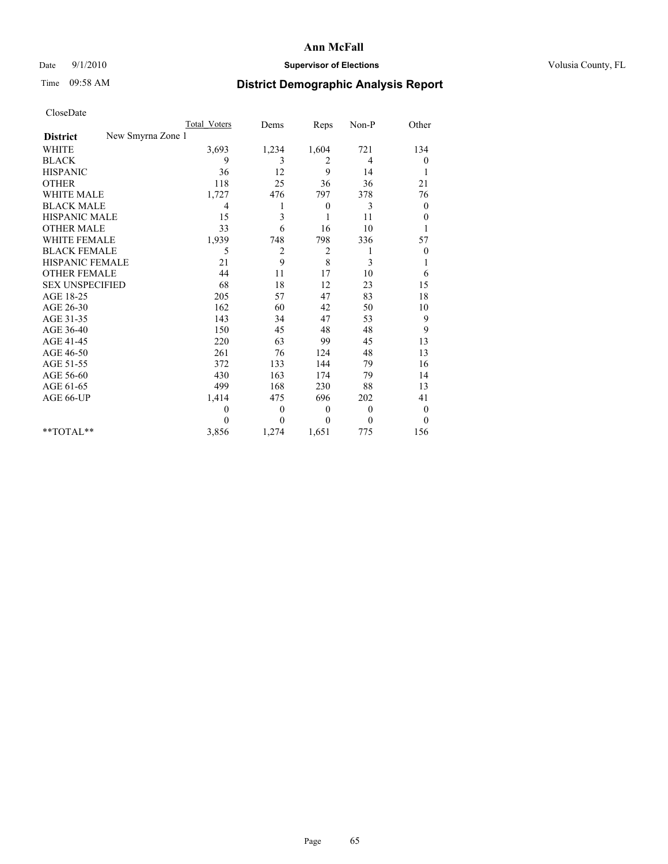## Date  $9/1/2010$  **Supervisor of Elections Supervisor of Elections** Volusia County, FL

# Time 09:58 AM **District Demographic Analysis Report**

|                                      | Total Voters | Dems           | Reps           | Non-P    | Other            |
|--------------------------------------|--------------|----------------|----------------|----------|------------------|
| New Smyrna Zone 1<br><b>District</b> |              |                |                |          |                  |
| <b>WHITE</b>                         | 3,693        | 1,234          | 1,604          | 721      | 134              |
| <b>BLACK</b>                         | 9            | 3              | 2              | 4        | $\boldsymbol{0}$ |
| <b>HISPANIC</b>                      | 36           | 12             | 9              | 14       |                  |
| <b>OTHER</b>                         | 118          | 25             | 36             | 36       | 21               |
| <b>WHITE MALE</b>                    | 1,727        | 476            | 797            | 378      | 76               |
| <b>BLACK MALE</b>                    | 4            | 1              | $\theta$       | 3        | $\mathbf{0}$     |
| HISPANIC MALE                        | 15           | 3              | 1              | 11       | $\theta$         |
| <b>OTHER MALE</b>                    | 33           | 6              | 16             | 10       |                  |
| <b>WHITE FEMALE</b>                  | 1,939        | 748            | 798            | 336      | 57               |
| <b>BLACK FEMALE</b>                  | 5            | $\overline{c}$ | $\overline{c}$ | 1        | $\boldsymbol{0}$ |
| HISPANIC FEMALE                      | 21           | 9              | 8              | 3        |                  |
| <b>OTHER FEMALE</b>                  | 44           | 11             | 17             | 10       | 6                |
| <b>SEX UNSPECIFIED</b>               | 68           | 18             | 12             | 23       | 15               |
| AGE 18-25                            | 205          | 57             | 47             | 83       | 18               |
| AGE 26-30                            | 162          | 60             | 42             | 50       | $10\,$           |
| AGE 31-35                            | 143          | 34             | 47             | 53       | 9                |
| AGE 36-40                            | 150          | 45             | 48             | 48       | 9                |
| AGE 41-45                            | 220          | 63             | 99             | 45       | 13               |
| AGE 46-50                            | 261          | 76             | 124            | 48       | 13               |
| AGE 51-55                            | 372          | 133            | 144            | 79       | 16               |
| AGE 56-60                            | 430          | 163            | 174            | 79       | 14               |
| AGE 61-65                            | 499          | 168            | 230            | 88       | 13               |
| AGE 66-UP                            | 1,414        | 475            | 696            | 202      | 41               |
|                                      | $\theta$     | $\theta$       | $\mathbf{0}$   | $\theta$ | $\mathbf{0}$     |
|                                      | $\theta$     | $\theta$       | $\Omega$       | $\Omega$ | $\mathbf{0}$     |
| $*$ $TOTAI.**$                       | 3,856        | 1,274          | 1,651          | 775      | 156              |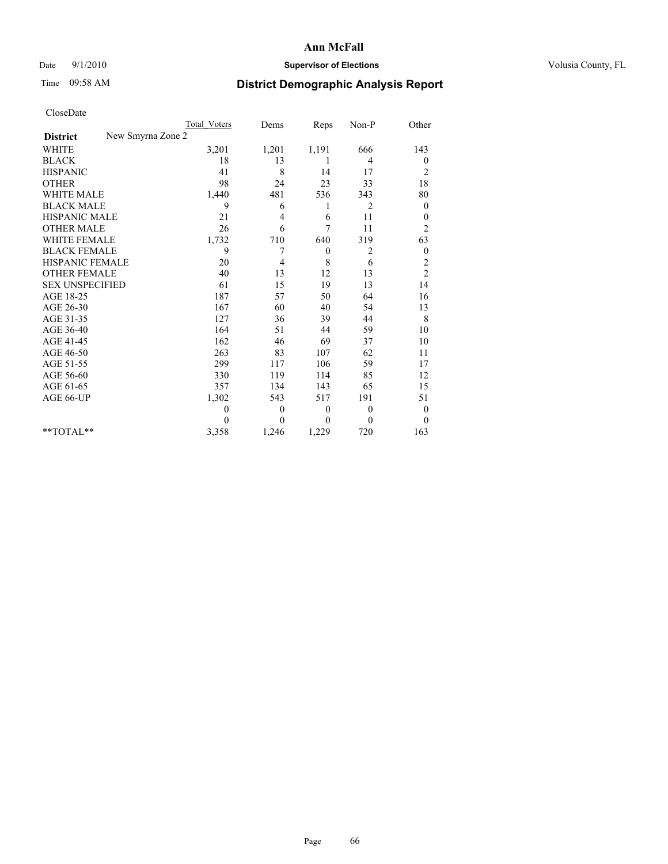## Date  $9/1/2010$  **Supervisor of Elections Supervisor of Elections** Volusia County, FL

# Time 09:58 AM **District Demographic Analysis Report**

|                                      | <b>Total Voters</b> | Dems     | Reps             | Non-P          | Other            |
|--------------------------------------|---------------------|----------|------------------|----------------|------------------|
| New Smyrna Zone 2<br><b>District</b> |                     |          |                  |                |                  |
| <b>WHITE</b>                         | 3,201               | 1,201    | 1,191            | 666            | 143              |
| <b>BLACK</b>                         | 18                  | 13       | 1                | 4              | $\boldsymbol{0}$ |
| <b>HISPANIC</b>                      | 41                  | 8        | 14               | 17             | $\overline{c}$   |
| <b>OTHER</b>                         | 98                  | 24       | 23               | 33             | 18               |
| <b>WHITE MALE</b>                    | 1,440               | 481      | 536              | 343            | 80               |
| <b>BLACK MALE</b>                    | 9                   | 6        | 1                | $\overline{c}$ | $\overline{0}$   |
| HISPANIC MALE                        | 21                  | 4        | 6                | 11             | $\boldsymbol{0}$ |
| <b>OTHER MALE</b>                    | 26                  | 6        | 7                | 11             | $\overline{c}$   |
| <b>WHITE FEMALE</b>                  | 1,732               | 710      | 640              | 319            | 63               |
| <b>BLACK FEMALE</b>                  | 9                   | 7        | $\boldsymbol{0}$ | 2              | $\boldsymbol{0}$ |
| <b>HISPANIC FEMALE</b>               | 20                  | 4        | 8                | 6              | $\overline{c}$   |
| <b>OTHER FEMALE</b>                  | 40                  | 13       | 12               | 13             | $\overline{c}$   |
| <b>SEX UNSPECIFIED</b>               | 61                  | 15       | 19               | 13             | 14               |
| AGE 18-25                            | 187                 | 57       | 50               | 64             | 16               |
| AGE 26-30                            | 167                 | 60       | 40               | 54             | 13               |
| AGE 31-35                            | 127                 | 36       | 39               | 44             | 8                |
| AGE 36-40                            | 164                 | 51       | 44               | 59             | 10               |
| AGE 41-45                            | 162                 | 46       | 69               | 37             | 10               |
| AGE 46-50                            | 263                 | 83       | 107              | 62             | 11               |
| AGE 51-55                            | 299                 | 117      | 106              | 59             | 17               |
| AGE 56-60                            | 330                 | 119      | 114              | 85             | 12               |
| AGE 61-65                            | 357                 | 134      | 143              | 65             | 15               |
| AGE 66-UP                            | 1,302               | 543      | 517              | 191            | 51               |
|                                      | $\mathbf{0}$        | $\theta$ | $\boldsymbol{0}$ | $\mathbf{0}$   | $\boldsymbol{0}$ |
|                                      | 0                   | $\theta$ | $\mathbf{0}$     | $\theta$       | $\theta$         |
| $*$ $TOTAI.**$                       | 3,358               | 1,246    | 1,229            | 720            | 163              |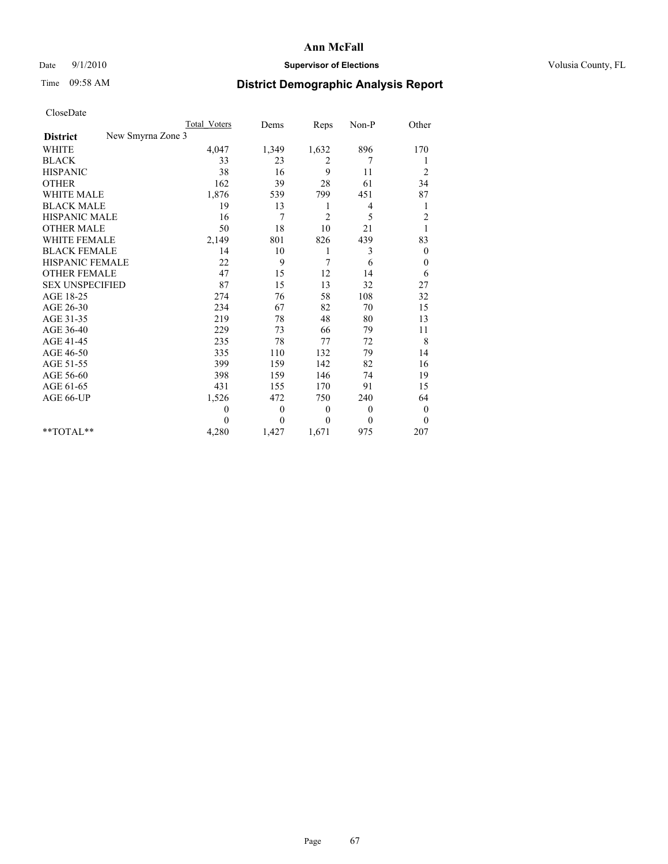## Date  $9/1/2010$  **Supervisor of Elections Supervisor of Elections** Volusia County, FL

# Time 09:58 AM **District Demographic Analysis Report**

|                                      | <b>Total Voters</b> | Dems           | Reps             | Non-P        | Other            |
|--------------------------------------|---------------------|----------------|------------------|--------------|------------------|
| New Smyrna Zone 3<br><b>District</b> |                     |                |                  |              |                  |
| <b>WHITE</b>                         | 4,047               | 1,349          | 1,632            | 896          | 170              |
| <b>BLACK</b>                         | 33                  | 23             | 2                | 7            |                  |
| <b>HISPANIC</b>                      | 38                  | 16             | 9                | 11           | $\overline{c}$   |
| <b>OTHER</b>                         | 162                 | 39             | $28\,$           | 61           | 34               |
| <b>WHITE MALE</b>                    | 1,876               | 539            | 799              | 451          | 87               |
| <b>BLACK MALE</b>                    | 19                  | 13             | 1                | 4            | 1                |
| HISPANIC MALE                        | 16                  | 7              | $\overline{c}$   | 5            | $\overline{c}$   |
| <b>OTHER MALE</b>                    | 50                  | 18             | 10               | 21           |                  |
| <b>WHITE FEMALE</b>                  | 2,149               | 801            | 826              | 439          | 83               |
| <b>BLACK FEMALE</b>                  | 14                  | 10             | 1                | 3            | $\boldsymbol{0}$ |
| <b>HISPANIC FEMALE</b>               | 22                  | 9              | 7                | 6            | 0                |
| <b>OTHER FEMALE</b>                  | 47                  | 15             | 12               | 14           | 6                |
| <b>SEX UNSPECIFIED</b>               | 87                  | 15             | 13               | 32           | 27               |
| AGE 18-25                            | 274                 | 76             | 58               | 108          | 32               |
| AGE 26-30                            | 234                 | 67             | 82               | 70           | 15               |
| AGE 31-35                            | 219                 | 78             | 48               | 80           | 13               |
| AGE 36-40                            | 229                 | 73             | 66               | 79           | 11               |
| AGE 41-45                            | 235                 | 78             | 77               | 72           | 8                |
| AGE 46-50                            | 335                 | 110            | 132              | 79           | 14               |
| AGE 51-55                            | 399                 | 159            | 142              | 82           | 16               |
| AGE 56-60                            | 398                 | 159            | 146              | 74           | 19               |
| AGE 61-65                            | 431                 | 155            | 170              | 91           | 15               |
| AGE 66-UP                            | 1,526               | 472            | 750              | 240          | 64               |
|                                      | $\boldsymbol{0}$    | $\overline{0}$ | $\boldsymbol{0}$ | $\mathbf{0}$ | $\boldsymbol{0}$ |
|                                      | 0                   | $\theta$       | $\overline{0}$   | $\theta$     | $\theta$         |
| $*$ $TOTAI.**$                       | 4,280               | 1,427          | 1,671            | 975          | 207              |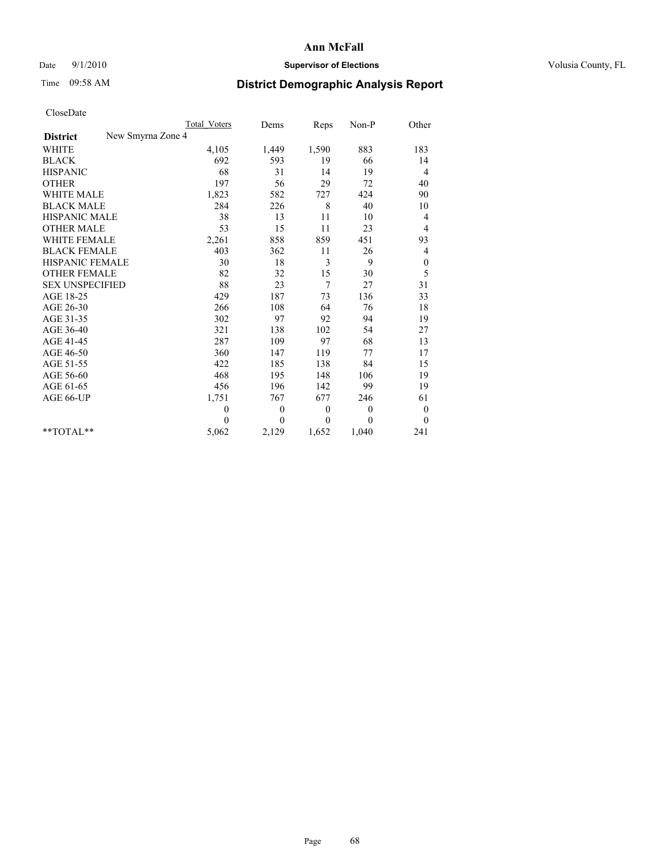### Date 9/1/2010 **Supervisor of Elections Supervisor of Elections** Volusia County, FL

## Time 09:58 AM **District Demographic Analysis Report**

|                                      | Total Voters | Dems           | Reps         | Non-P        | Other            |
|--------------------------------------|--------------|----------------|--------------|--------------|------------------|
| New Smyrna Zone 4<br><b>District</b> |              |                |              |              |                  |
| <b>WHITE</b>                         | 4,105        | 1,449          | 1,590        | 883          | 183              |
| <b>BLACK</b>                         | 692          | 593            | 19           | 66           | 14               |
| <b>HISPANIC</b>                      | 68           | 31             | 14           | 19           | 4                |
| <b>OTHER</b>                         | 197          | 56             | 29           | 72           | 40               |
| <b>WHITE MALE</b>                    | 1,823        | 582            | 727          | 424          | 90               |
| <b>BLACK MALE</b>                    | 284          | 226            | 8            | 40           | 10               |
| <b>HISPANIC MALE</b>                 | 38           | 13             | 11           | 10           | 4                |
| <b>OTHER MALE</b>                    | 53           | 15             | 11           | 23           | 4                |
| <b>WHITE FEMALE</b>                  | 2,261        | 858            | 859          | 451          | 93               |
| <b>BLACK FEMALE</b>                  | 403          | 362            | 11           | 26           | 4                |
| HISPANIC FEMALE                      | 30           | 18             | 3            | 9            | $\boldsymbol{0}$ |
| <b>OTHER FEMALE</b>                  | 82           | 32             | 15           | 30           | 5                |
| <b>SEX UNSPECIFIED</b>               | 88           | 23             | 7            | 27           | 31               |
| AGE 18-25                            | 429          | 187            | 73           | 136          | 33               |
| AGE 26-30                            | 266          | 108            | 64           | 76           | 18               |
| AGE 31-35                            | 302          | 97             | 92           | 94           | 19               |
| AGE 36-40                            | 321          | 138            | 102          | 54           | 27               |
| AGE 41-45                            | 287          | 109            | 97           | 68           | 13               |
| AGE 46-50                            | 360          | 147            | 119          | 77           | 17               |
| AGE 51-55                            | 422          | 185            | 138          | 84           | 15               |
| AGE 56-60                            | 468          | 195            | 148          | 106          | 19               |
| AGE 61-65                            | 456          | 196            | 142          | 99           | 19               |
| AGE 66-UP                            | 1,751        | 767            | 677          | 246          | 61               |
|                                      | $\mathbf{0}$ | $\overline{0}$ | $\theta$     | $\theta$     | $\boldsymbol{0}$ |
|                                      | $\theta$     | $\theta$       | $\mathbf{0}$ | $\mathbf{0}$ | $\overline{0}$   |
| $*$ TOTAL $*$                        | 5,062        | 2,129          | 1,652        | 1,040        | 241              |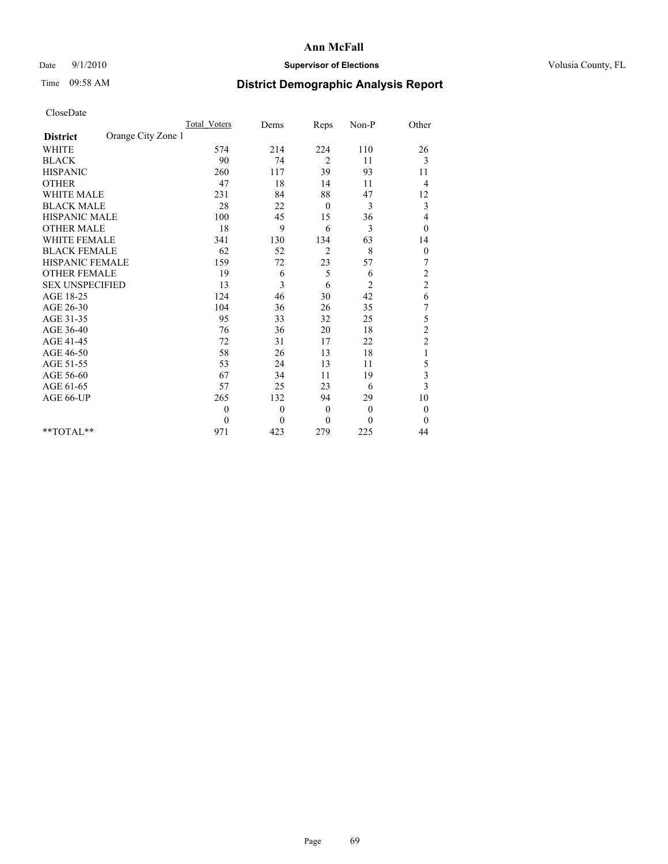## Date  $9/1/2010$  **Supervisor of Elections Supervisor of Elections** Volusia County, FL

## Time 09:58 AM **District Demographic Analysis Report**

|                                       | <b>Total Voters</b> | Dems     | Reps           | $Non-P$        | Other            |  |
|---------------------------------------|---------------------|----------|----------------|----------------|------------------|--|
| Orange City Zone 1<br><b>District</b> |                     |          |                |                |                  |  |
| <b>WHITE</b>                          | 574                 | 214      | 224            | 110            | 26               |  |
| <b>BLACK</b>                          | 90                  | 74       | $\overline{2}$ | 11             | 3                |  |
| <b>HISPANIC</b>                       | 260                 | 117      | 39             | 93             | 11               |  |
| <b>OTHER</b>                          | 47                  | 18       | 14             | 11             | 4                |  |
| <b>WHITE MALE</b>                     | 231                 | 84       | 88             | 47             | 12               |  |
| <b>BLACK MALE</b>                     | 28                  | 22       | $\mathbf{0}$   | 3              | 3                |  |
| HISPANIC MALE                         | 100                 | 45       | 15             | 36             | 4                |  |
| <b>OTHER MALE</b>                     | 18                  | 9        | 6              | 3              | $\mathbf{0}$     |  |
| <b>WHITE FEMALE</b>                   | 341                 | 130      | 134            | 63             | 14               |  |
| <b>BLACK FEMALE</b>                   | 62                  | 52       | $\overline{c}$ | 8              | $\boldsymbol{0}$ |  |
| HISPANIC FEMALE                       | 159                 | 72       | 23             | 57             | 7                |  |
| <b>OTHER FEMALE</b>                   | 19                  | 6        | 5              | 6              | $\overline{c}$   |  |
| <b>SEX UNSPECIFIED</b>                | 13                  | 3        | 6              | $\overline{c}$ | $\overline{c}$   |  |
| AGE 18-25                             | 124                 | 46       | 30             | 42             | 6                |  |
| AGE 26-30                             | 104                 | 36       | 26             | 35             | 7                |  |
| AGE 31-35                             | 95                  | 33       | 32             | 25             | 5                |  |
| AGE 36-40                             | 76                  | 36       | 20             | 18             | $\overline{c}$   |  |
| AGE 41-45                             | 72                  | 31       | 17             | 22             | $\overline{c}$   |  |
| AGE 46-50                             | 58                  | 26       | 13             | 18             | $\mathbf{1}$     |  |
| AGE 51-55                             | 53                  | 24       | 13             | 11             | 5                |  |
| AGE 56-60                             | 67                  | 34       | 11             | 19             | 3                |  |
| AGE 61-65                             | 57                  | 25       | 23             | 6              | 3                |  |
| AGE 66-UP                             | 265                 | 132      | 94             | 29             | 10               |  |
|                                       | $\theta$            | $\theta$ | $\mathbf{0}$   | $\mathbf{0}$   | $\boldsymbol{0}$ |  |
|                                       | $\mathbf{0}$        | $\theta$ | $\mathbf{0}$   | $\mathbf{0}$   | $\mathbf{0}$     |  |
| $**TOTAL**$                           | 971                 | 423      | 279            | 225            | 44               |  |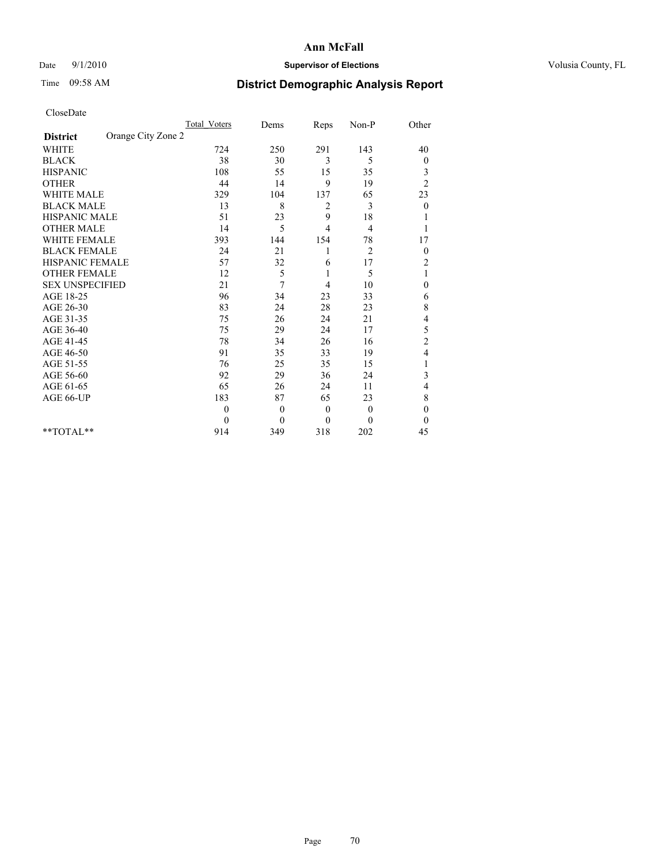### Date 9/1/2010 **Supervisor of Elections Supervisor of Elections** Volusia County, FL

## Time 09:58 AM **District Demographic Analysis Report**

|                                       | <b>Total Voters</b> | Dems     | Reps           | Non-P          | Other            |  |
|---------------------------------------|---------------------|----------|----------------|----------------|------------------|--|
| Orange City Zone 2<br><b>District</b> |                     |          |                |                |                  |  |
| <b>WHITE</b>                          | 724                 | 250      | 291            | 143            | 40               |  |
| <b>BLACK</b>                          | 38                  | 30       | 3              | 5              | 0                |  |
| <b>HISPANIC</b>                       | 108                 | 55       | 15             | 35             | 3                |  |
| <b>OTHER</b>                          | 44                  | 14       | 9              | 19             | $\overline{2}$   |  |
| <b>WHITE MALE</b>                     | 329                 | 104      | 137            | 65             | 23               |  |
| <b>BLACK MALE</b>                     | 13                  | 8        | 2              | 3              | $\theta$         |  |
| <b>HISPANIC MALE</b>                  | 51                  | 23       | 9              | 18             |                  |  |
| <b>OTHER MALE</b>                     | 14                  | 5        | $\overline{4}$ | 4              |                  |  |
| <b>WHITE FEMALE</b>                   | 393                 | 144      | 154            | 78             | 17               |  |
| <b>BLACK FEMALE</b>                   | 24                  | 21       | 1              | $\overline{2}$ | $\boldsymbol{0}$ |  |
| HISPANIC FEMALE                       | 57                  | 32       | 6              | 17             | $\overline{c}$   |  |
| <b>OTHER FEMALE</b>                   | 12                  | 5        | 1              | 5              | 1                |  |
| <b>SEX UNSPECIFIED</b>                | 21                  | 7        | 4              | 10             | $\mathbf{0}$     |  |
| AGE 18-25                             | 96                  | 34       | 23             | 33             | 6                |  |
| AGE 26-30                             | 83                  | 24       | 28             | 23             | 8                |  |
| AGE 31-35                             | 75                  | 26       | 24             | 21             | 4                |  |
| AGE 36-40                             | 75                  | 29       | 24             | 17             | 5                |  |
| AGE 41-45                             | 78                  | 34       | 26             | 16             | $\overline{c}$   |  |
| AGE 46-50                             | 91                  | 35       | 33             | 19             | 4                |  |
| AGE 51-55                             | 76                  | 25       | 35             | 15             |                  |  |
| AGE 56-60                             | 92                  | 29       | 36             | 24             | 3                |  |
| AGE 61-65                             | 65                  | 26       | 24             | 11             | 4                |  |
| AGE 66-UP                             | 183                 | 87       | 65             | 23             | 8                |  |
|                                       | $\mathbf{0}$        | $\theta$ | $\mathbf{0}$   | $\mathbf{0}$   | $\boldsymbol{0}$ |  |
|                                       | $\theta$            | $\theta$ | $\mathbf{0}$   | $\Omega$       | $\boldsymbol{0}$ |  |
| $*$ TOTAL $*$                         | 914                 | 349      | 318            | 202            | 45               |  |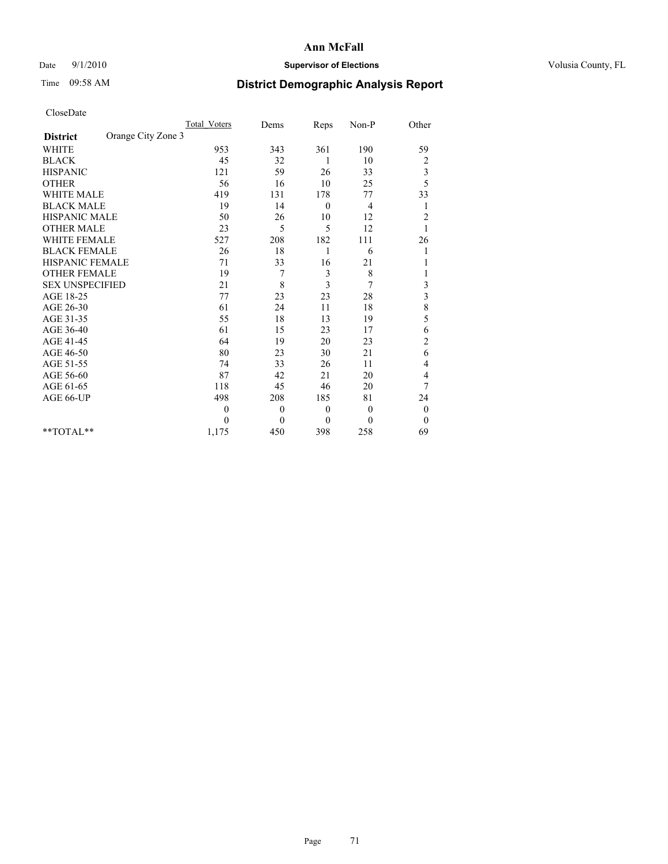## Date  $9/1/2010$  **Supervisor of Elections Supervisor of Elections** Volusia County, FL

# Time 09:58 AM **District Demographic Analysis Report**

|                                       | Total Voters | Dems     | Reps         | Non-P        | Other                   |  |
|---------------------------------------|--------------|----------|--------------|--------------|-------------------------|--|
| Orange City Zone 3<br><b>District</b> |              |          |              |              |                         |  |
| <b>WHITE</b>                          | 953          | 343      | 361          | 190          | 59                      |  |
| <b>BLACK</b>                          | 45           | 32       | 1            | 10           | $\overline{\mathbf{c}}$ |  |
| <b>HISPANIC</b>                       | 121          | 59       | 26           | 33           | 3                       |  |
| <b>OTHER</b>                          | 56           | 16       | 10           | 25           | 5                       |  |
| <b>WHITE MALE</b>                     | 419          | 131      | 178          | 77           | 33                      |  |
| <b>BLACK MALE</b>                     | 19           | 14       | $\mathbf{0}$ | 4            | 1                       |  |
| HISPANIC MALE                         | 50           | 26       | 10           | 12           | $\overline{c}$          |  |
| <b>OTHER MALE</b>                     | 23           | 5        | 5            | 12           |                         |  |
| <b>WHITE FEMALE</b>                   | 527          | 208      | 182          | 111          | 26                      |  |
| <b>BLACK FEMALE</b>                   | 26           | 18       | 1            | 6            | 1                       |  |
| HISPANIC FEMALE                       | 71           | 33       | 16           | 21           |                         |  |
| <b>OTHER FEMALE</b>                   | 19           | 7        | 3            | 8            |                         |  |
| <b>SEX UNSPECIFIED</b>                | 21           | 8        | 3            | 7            | 3                       |  |
| AGE 18-25                             | 77           | 23       | 23           | 28           | $\overline{3}$          |  |
| AGE 26-30                             | 61           | 24       | 11           | 18           | 8                       |  |
| AGE 31-35                             | 55           | 18       | 13           | 19           | 5                       |  |
| AGE 36-40                             | 61           | 15       | 23           | 17           | 6                       |  |
| AGE 41-45                             | 64           | 19       | 20           | 23           | $\overline{c}$          |  |
| AGE 46-50                             | 80           | 23       | 30           | 21           | 6                       |  |
| AGE 51-55                             | 74           | 33       | 26           | 11           | 4                       |  |
| AGE 56-60                             | 87           | 42       | 21           | 20           | 4                       |  |
| AGE 61-65                             | 118          | 45       | 46           | 20           | 7                       |  |
| AGE 66-UP                             | 498          | 208      | 185          | 81           | 24                      |  |
|                                       | $\theta$     | $\theta$ | $\mathbf{0}$ | $\theta$     | $\boldsymbol{0}$        |  |
|                                       | $\theta$     | $\theta$ | $\mathbf{0}$ | $\mathbf{0}$ | $\overline{0}$          |  |
| **TOTAL**                             | 1,175        | 450      | 398          | 258          | 69                      |  |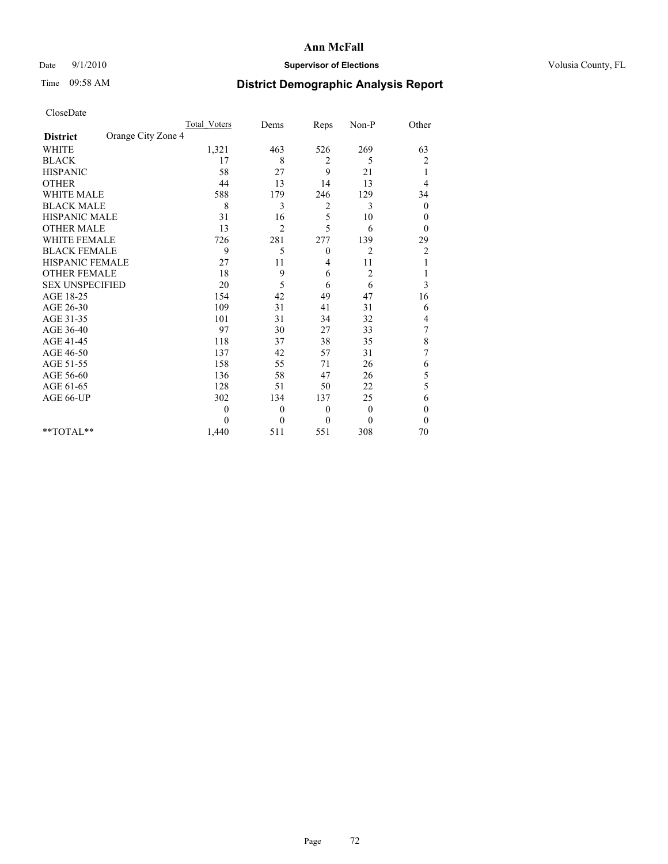## Date  $9/1/2010$  **Supervisor of Elections Supervisor of Elections** Volusia County, FL

## Time 09:58 AM **District Demographic Analysis Report**

|                                       | <b>Total Voters</b> | Dems     | Reps         | Non-P          | Other            |
|---------------------------------------|---------------------|----------|--------------|----------------|------------------|
| Orange City Zone 4<br><b>District</b> |                     |          |              |                |                  |
| <b>WHITE</b>                          | 1,321               | 463      | 526          | 269            | 63               |
| <b>BLACK</b>                          | 17                  | 8        | 2            | 5              | 2                |
| <b>HISPANIC</b>                       | 58                  | 27       | 9            | 21             | 1                |
| <b>OTHER</b>                          | 44                  | 13       | 14           | 13             | 4                |
| <b>WHITE MALE</b>                     | 588                 | 179      | 246          | 129            | 34               |
| <b>BLACK MALE</b>                     | 8                   | 3        | 2            | 3              | $\boldsymbol{0}$ |
| HISPANIC MALE                         | 31                  | 16       | 5            | 10             | $\boldsymbol{0}$ |
| <b>OTHER MALE</b>                     | 13                  | 2        | 5            | 6              | $\theta$         |
| <b>WHITE FEMALE</b>                   | 726                 | 281      | 277          | 139            | 29               |
| <b>BLACK FEMALE</b>                   | 9                   | 5        | $\theta$     | $\overline{2}$ | $\overline{c}$   |
| HISPANIC FEMALE                       | 27                  | 11       | 4            | 11             |                  |
| <b>OTHER FEMALE</b>                   | 18                  | 9        | 6            | $\overline{c}$ |                  |
| <b>SEX UNSPECIFIED</b>                | 20                  | 5        | 6            | 6              | 3                |
| AGE 18-25                             | 154                 | 42       | 49           | 47             | 16               |
| AGE 26-30                             | 109                 | 31       | 41           | 31             | 6                |
| AGE 31-35                             | 101                 | 31       | 34           | 32             | 4                |
| AGE 36-40                             | 97                  | 30       | 27           | 33             | 7                |
| AGE 41-45                             | 118                 | 37       | 38           | 35             | 8                |
| AGE 46-50                             | 137                 | 42       | 57           | 31             | 7                |
| AGE 51-55                             | 158                 | 55       | 71           | 26             | 6                |
| AGE 56-60                             | 136                 | 58       | 47           | 26             | 5                |
| AGE 61-65                             | 128                 | 51       | 50           | 22             | 5                |
| AGE 66-UP                             | 302                 | 134      | 137          | 25             | 6                |
|                                       | $\theta$            | $\theta$ | $\mathbf{0}$ | $\overline{0}$ | $\theta$         |
|                                       | $\Omega$            | $\theta$ | $\mathbf{0}$ | $\theta$       | $\theta$         |
| **TOTAL**                             | 1,440               | 511      | 551          | 308            | 70               |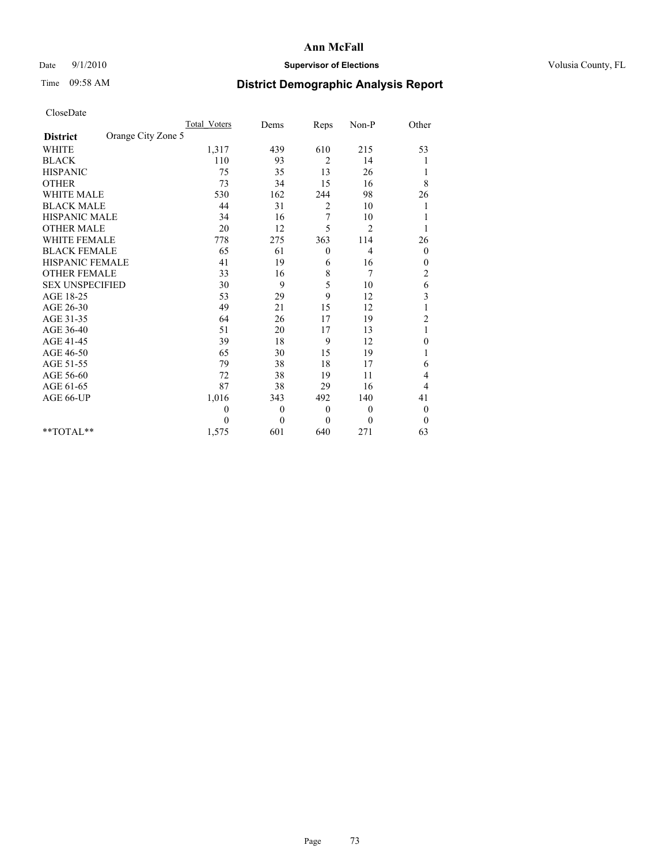# Date  $9/1/2010$  **Supervisor of Elections Supervisor of Elections** Volusia County, FL

# Time 09:58 AM **District Demographic Analysis Report**

|                                       | <b>Total Voters</b> | Dems     | Reps         | Non-P          | Other            |
|---------------------------------------|---------------------|----------|--------------|----------------|------------------|
| Orange City Zone 5<br><b>District</b> |                     |          |              |                |                  |
| <b>WHITE</b>                          | 1,317               | 439      | 610          | 215            | 53               |
| <b>BLACK</b>                          | 110                 | 93       | 2            | 14             |                  |
| <b>HISPANIC</b>                       | 75                  | 35       | 13           | 26             | 1                |
| <b>OTHER</b>                          | 73                  | 34       | 15           | 16             | 8                |
| <b>WHITE MALE</b>                     | 530                 | 162      | 244          | 98             | 26               |
| <b>BLACK MALE</b>                     | 44                  | 31       | 2            | 10             |                  |
| <b>HISPANIC MALE</b>                  | 34                  | 16       | 7            | 10             |                  |
| <b>OTHER MALE</b>                     | 20                  | 12       | 5            | $\overline{2}$ |                  |
| <b>WHITE FEMALE</b>                   | 778                 | 275      | 363          | 114            | 26               |
| <b>BLACK FEMALE</b>                   | 65                  | 61       | $\mathbf{0}$ | 4              | $\boldsymbol{0}$ |
| HISPANIC FEMALE                       | 41                  | 19       | 6            | 16             | 0                |
| <b>OTHER FEMALE</b>                   | 33                  | 16       | 8            | 7              | $\overline{c}$   |
| <b>SEX UNSPECIFIED</b>                | 30                  | 9        | 5            | 10             | 6                |
| AGE 18-25                             | 53                  | 29       | 9            | 12             | 3                |
| AGE 26-30                             | 49                  | 21       | 15           | 12             |                  |
| AGE 31-35                             | 64                  | 26       | 17           | 19             | $\overline{c}$   |
| AGE 36-40                             | 51                  | 20       | 17           | 13             |                  |
| AGE 41-45                             | 39                  | 18       | 9            | 12             | $\boldsymbol{0}$ |
| AGE 46-50                             | 65                  | 30       | 15           | 19             |                  |
| AGE 51-55                             | 79                  | 38       | 18           | 17             | 6                |
| AGE 56-60                             | 72                  | 38       | 19           | 11             | 4                |
| AGE 61-65                             | 87                  | 38       | 29           | 16             | 4                |
| AGE 66-UP                             | 1,016               | 343      | 492          | 140            | 41               |
|                                       | 0                   | $\theta$ | $\mathbf{0}$ | $\mathbf{0}$   | $\boldsymbol{0}$ |
|                                       | $\theta$            | $\theta$ | $\mathbf{0}$ | $\mathbf{0}$   | $\mathbf{0}$     |
| **TOTAL**                             | 1,575               | 601      | 640          | 271            | 63               |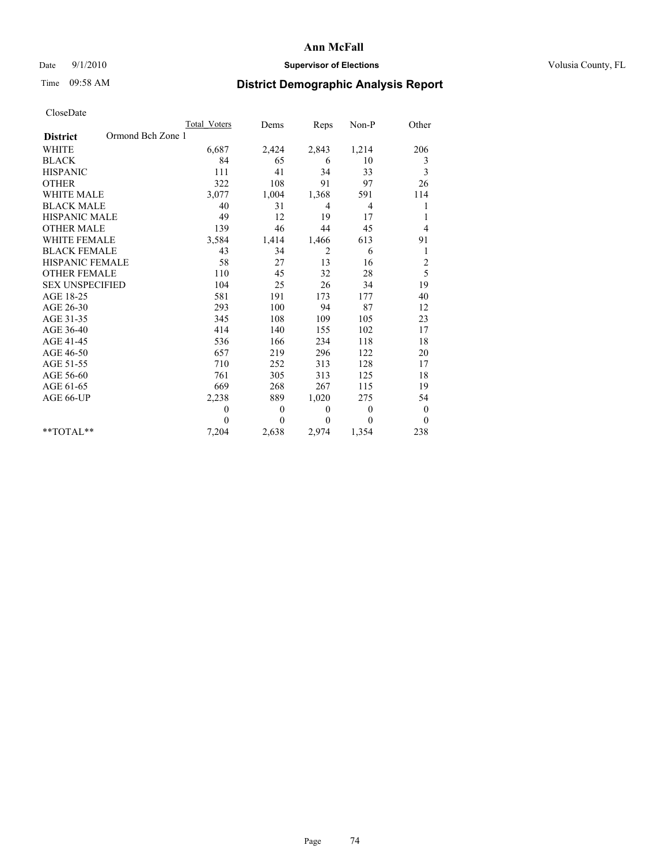# Date  $9/1/2010$  **Supervisor of Elections Supervisor of Elections** Volusia County, FL

# Time 09:58 AM **District Demographic Analysis Report**

|                                      | Total Voters | Dems         | <b>Reps</b>    | Non-P          | Other          |
|--------------------------------------|--------------|--------------|----------------|----------------|----------------|
| Ormond Bch Zone 1<br><b>District</b> |              |              |                |                |                |
| <b>WHITE</b>                         | 6,687        | 2,424        | 2,843          | 1,214          | 206            |
| <b>BLACK</b>                         | 84           | 65           | 6              | 10             | 3              |
| <b>HISPANIC</b>                      | 111          | 41           | 34             | 33             | 3              |
| <b>OTHER</b>                         | 322          | 108          | 91             | 97             | 26             |
| WHITE MALE                           | 3,077        | 1,004        | 1,368          | 591            | 114            |
| <b>BLACK MALE</b>                    | 40           | 31           | 4              | $\overline{4}$ | 1              |
| <b>HISPANIC MALE</b>                 | 49           | 12           | 19             | 17             | 1              |
| <b>OTHER MALE</b>                    | 139          | 46           | 44             | 45             | 4              |
| <b>WHITE FEMALE</b>                  | 3,584        | 1,414        | 1,466          | 613            | 91             |
| <b>BLACK FEMALE</b>                  | 43           | 34           | $\overline{c}$ | 6              | $\mathbf{1}$   |
| <b>HISPANIC FEMALE</b>               | 58           | 27           | 13             | 16             | $\overline{c}$ |
| <b>OTHER FEMALE</b>                  | 110          | 45           | 32             | 28             | 5              |
| <b>SEX UNSPECIFIED</b>               | 104          | 25           | 26             | 34             | 19             |
| AGE 18-25                            | 581          | 191          | 173            | 177            | 40             |
| AGE 26-30                            | 293          | 100          | 94             | 87             | 12             |
| AGE 31-35                            | 345          | 108          | 109            | 105            | 23             |
| AGE 36-40                            | 414          | 140          | 155            | 102            | 17             |
| AGE 41-45                            | 536          | 166          | 234            | 118            | 18             |
| AGE 46-50                            | 657          | 219          | 296            | 122            | 20             |
| AGE 51-55                            | 710          | 252          | 313            | 128            | 17             |
| AGE 56-60                            | 761          | 305          | 313            | 125            | 18             |
| AGE 61-65                            | 669          | 268          | 267            | 115            | 19             |
| AGE 66-UP                            | 2,238        | 889          | 1,020          | 275            | 54             |
|                                      | $\theta$     | $\mathbf{0}$ | $\mathbf{0}$   | $\theta$       | $\mathbf{0}$   |
|                                      | $\theta$     | $\theta$     | $\Omega$       | $\theta$       | $\mathbf{0}$   |
| $*$ $TOTAI.**$                       | 7,204        | 2,638        | 2,974          | 1,354          | 238            |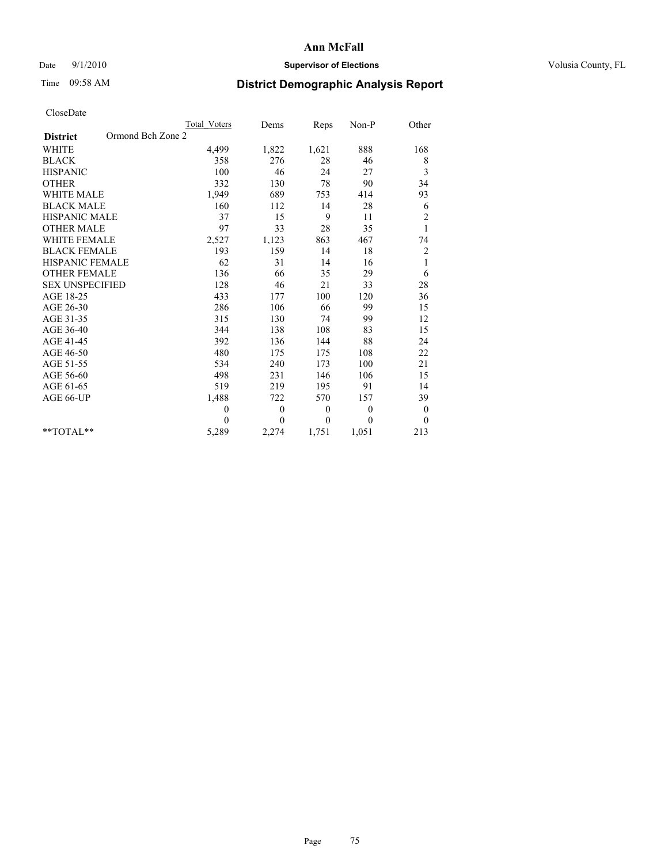# Date  $9/1/2010$  **Supervisor of Elections Supervisor of Elections** Volusia County, FL

# Time 09:58 AM **District Demographic Analysis Report**

|                                      | Total Voters | Dems     | Reps     | Non-P    | Other          |
|--------------------------------------|--------------|----------|----------|----------|----------------|
| Ormond Bch Zone 2<br><b>District</b> |              |          |          |          |                |
| <b>WHITE</b>                         | 4,499        | 1,822    | 1,621    | 888      | 168            |
| <b>BLACK</b>                         | 358          | 276      | 28       | 46       | 8              |
| <b>HISPANIC</b>                      | 100          | 46       | 24       | 27       | 3              |
| <b>OTHER</b>                         | 332          | 130      | 78       | 90       | 34             |
| <b>WHITE MALE</b>                    | 1,949        | 689      | 753      | 414      | 93             |
| <b>BLACK MALE</b>                    | 160          | 112      | 14       | 28       | 6              |
| <b>HISPANIC MALE</b>                 | 37           | 15       | 9        | 11       | $\overline{c}$ |
| <b>OTHER MALE</b>                    | 97           | 33       | 28       | 35       | $\mathbf{1}$   |
| <b>WHITE FEMALE</b>                  | 2,527        | 1,123    | 863      | 467      | 74             |
| <b>BLACK FEMALE</b>                  | 193          | 159      | 14       | 18       | $\overline{c}$ |
| HISPANIC FEMALE                      | 62           | 31       | 14       | 16       | $\mathbf{1}$   |
| <b>OTHER FEMALE</b>                  | 136          | 66       | 35       | 29       | 6              |
| <b>SEX UNSPECIFIED</b>               | 128          | 46       | 21       | 33       | 28             |
| AGE 18-25                            | 433          | 177      | 100      | 120      | 36             |
| AGE 26-30                            | 286          | 106      | 66       | 99       | 15             |
| AGE 31-35                            | 315          | 130      | 74       | 99       | 12             |
| AGE 36-40                            | 344          | 138      | 108      | 83       | 15             |
| AGE 41-45                            | 392          | 136      | 144      | 88       | 24             |
| AGE 46-50                            | 480          | 175      | 175      | 108      | 22             |
| AGE 51-55                            | 534          | 240      | 173      | 100      | 21             |
| AGE 56-60                            | 498          | 231      | 146      | 106      | 15             |
| AGE 61-65                            | 519          | 219      | 195      | 91       | 14             |
| AGE 66-UP                            | 1,488        | 722      | 570      | 157      | 39             |
|                                      | $\mathbf{0}$ | $\theta$ | $\theta$ | $\theta$ | $\bf{0}$       |
|                                      | $\theta$     | $\theta$ | $\Omega$ | $\theta$ | $\mathbf{0}$   |
| $*$ $TOTAI.**$                       | 5,289        | 2,274    | 1,751    | 1,051    | 213            |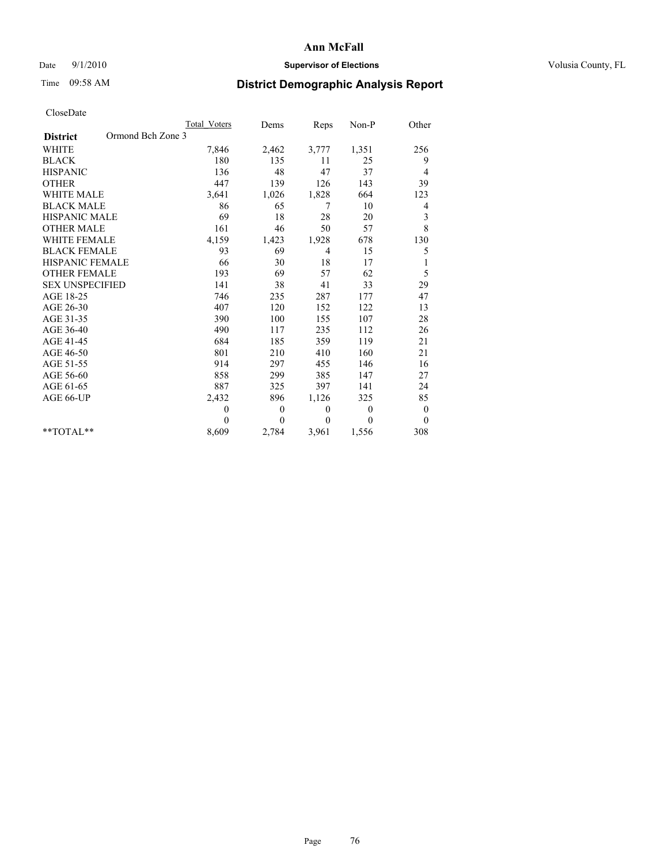# Date  $9/1/2010$  **Supervisor of Elections Supervisor of Elections** Volusia County, FL

# Time 09:58 AM **District Demographic Analysis Report**

|                                      | <b>Total Voters</b> | Dems         | Reps           | Non-P          | Other            |
|--------------------------------------|---------------------|--------------|----------------|----------------|------------------|
| Ormond Bch Zone 3<br><b>District</b> |                     |              |                |                |                  |
| <b>WHITE</b>                         | 7,846               | 2,462        | 3,777          | 1,351          | 256              |
| <b>BLACK</b>                         | 180                 | 135          | 11             | 25             | 9                |
| <b>HISPANIC</b>                      | 136                 | 48           | 47             | 37             | 4                |
| <b>OTHER</b>                         | 447                 | 139          | 126            | 143            | 39               |
| <b>WHITE MALE</b>                    | 3,641               | 1,026        | 1,828          | 664            | 123              |
| <b>BLACK MALE</b>                    | 86                  | 65           | 7              | 10             | 4                |
| <b>HISPANIC MALE</b>                 | 69                  | 18           | 28             | 20             | 3                |
| <b>OTHER MALE</b>                    | 161                 | 46           | 50             | 57             | 8                |
| WHITE FEMALE                         | 4,159               | 1,423        | 1,928          | 678            | 130              |
| <b>BLACK FEMALE</b>                  | 93                  | 69           | $\overline{4}$ | 15             | 5                |
| HISPANIC FEMALE                      | 66                  | 30           | 18             | 17             |                  |
| <b>OTHER FEMALE</b>                  | 193                 | 69           | 57             | 62             | 5                |
| <b>SEX UNSPECIFIED</b>               | 141                 | 38           | 41             | 33             | 29               |
| AGE 18-25                            | 746                 | 235          | 287            | 177            | 47               |
| AGE 26-30                            | 407                 | 120          | 152            | 122            | 13               |
| AGE 31-35                            | 390                 | 100          | 155            | 107            | 28               |
| AGE 36-40                            | 490                 | 117          | 235            | 112            | 26               |
| AGE 41-45                            | 684                 | 185          | 359            | 119            | 21               |
| AGE 46-50                            | 801                 | 210          | 410            | 160            | 21               |
| AGE 51-55                            | 914                 | 297          | 455            | 146            | 16               |
| AGE 56-60                            | 858                 | 299          | 385            | 147            | 27               |
| AGE 61-65                            | 887                 | 325          | 397            | 141            | 24               |
| AGE 66-UP                            | 2,432               | 896          | 1,126          | 325            | 85               |
|                                      | $\theta$            | $\mathbf{0}$ | $\mathbf{0}$   | $\overline{0}$ | $\boldsymbol{0}$ |
|                                      | $\Omega$            | $\mathbf{0}$ | $\mathbf{0}$   | $\theta$       | $\theta$         |
| $*$ TOTAL $*$                        | 8,609               | 2,784        | 3,961          | 1,556          | 308              |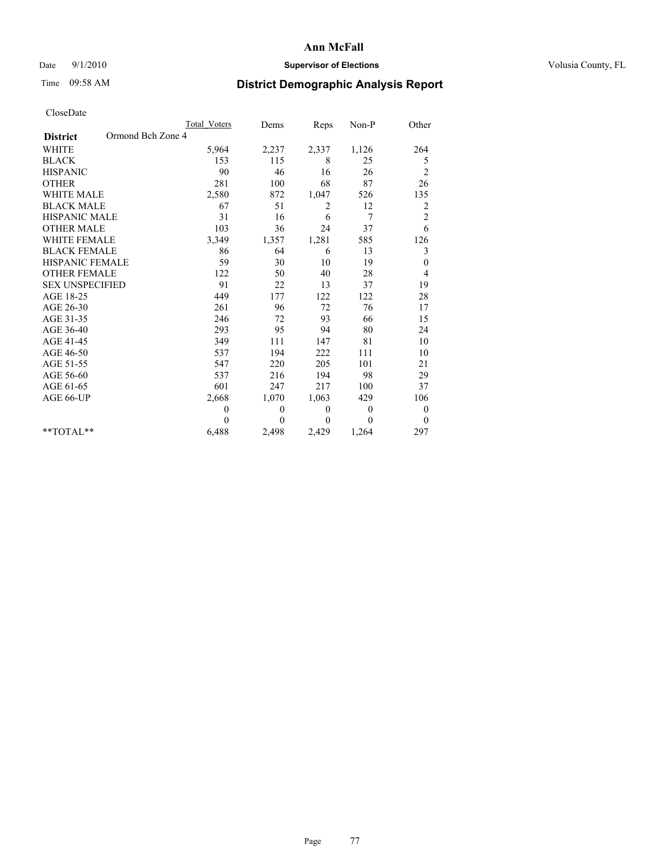# Date  $9/1/2010$  **Supervisor of Elections Supervisor of Elections** Volusia County, FL

# Time 09:58 AM **District Demographic Analysis Report**

|                                      | <b>Total Voters</b> | Dems         | Reps         | Non-P          | Other                   |
|--------------------------------------|---------------------|--------------|--------------|----------------|-------------------------|
| Ormond Bch Zone 4<br><b>District</b> |                     |              |              |                |                         |
| <b>WHITE</b>                         | 5,964               | 2,237        | 2,337        | 1,126          | 264                     |
| <b>BLACK</b>                         | 153                 | 115          | 8            | 25             | 5                       |
| <b>HISPANIC</b>                      | 90                  | 46           | 16           | 26             | $\overline{c}$          |
| <b>OTHER</b>                         | 281                 | 100          | 68           | 87             | 26                      |
| <b>WHITE MALE</b>                    | 2,580               | 872          | 1,047        | 526            | 135                     |
| <b>BLACK MALE</b>                    | 67                  | 51           | 2            | 12             | $\overline{\mathbf{c}}$ |
| <b>HISPANIC MALE</b>                 | 31                  | 16           | 6            | 7              | $\overline{c}$          |
| <b>OTHER MALE</b>                    | 103                 | 36           | 24           | 37             | 6                       |
| <b>WHITE FEMALE</b>                  | 3,349               | 1,357        | 1,281        | 585            | 126                     |
| <b>BLACK FEMALE</b>                  | 86                  | 64           | 6            | 13             | 3                       |
| HISPANIC FEMALE                      | 59                  | 30           | 10           | 19             | $\boldsymbol{0}$        |
| <b>OTHER FEMALE</b>                  | 122                 | 50           | 40           | 28             | 4                       |
| <b>SEX UNSPECIFIED</b>               | 91                  | 22           | 13           | 37             | 19                      |
| AGE 18-25                            | 449                 | 177          | 122          | 122            | 28                      |
| AGE 26-30                            | 261                 | 96           | 72           | 76             | 17                      |
| AGE 31-35                            | 246                 | 72           | 93           | 66             | 15                      |
| AGE 36-40                            | 293                 | 95           | 94           | 80             | 24                      |
| AGE 41-45                            | 349                 | 111          | 147          | 81             | 10                      |
| AGE 46-50                            | 537                 | 194          | 222          | 111            | 10                      |
| AGE 51-55                            | 547                 | 220          | 205          | 101            | 21                      |
| AGE 56-60                            | 537                 | 216          | 194          | 98             | 29                      |
| AGE 61-65                            | 601                 | 247          | 217          | 100            | 37                      |
| AGE 66-UP                            | 2,668               | 1,070        | 1,063        | 429            | 106                     |
|                                      | $\theta$            | $\mathbf{0}$ | $\mathbf{0}$ | $\overline{0}$ | 0                       |
|                                      | $\theta$            | $\theta$     | $\mathbf{0}$ | $\theta$       | $\theta$                |
| $*$ TOTAL $*$                        | 6,488               | 2,498        | 2,429        | 1,264          | 297                     |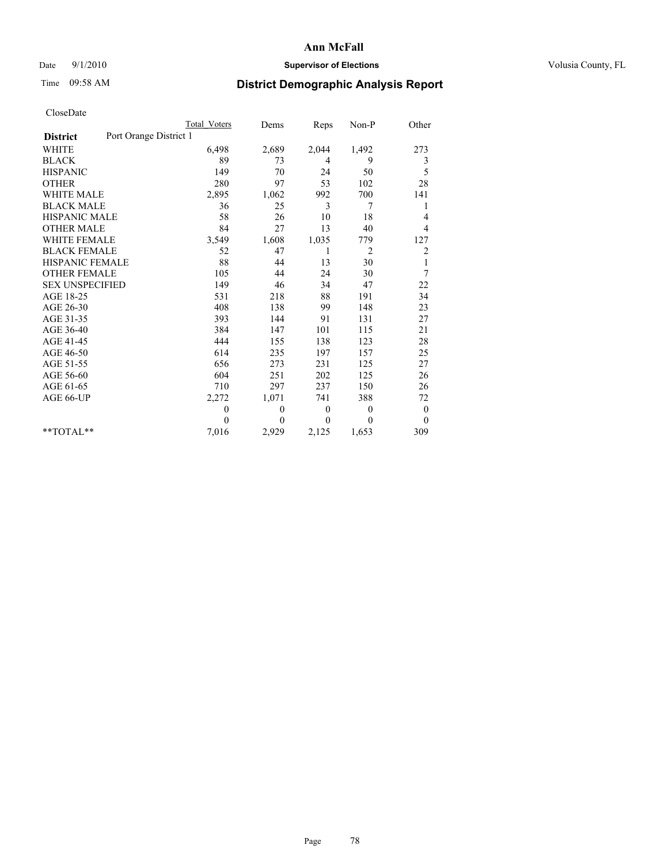# Date  $9/1/2010$  **Supervisor of Elections Supervisor of Elections** Volusia County, FL

# Time 09:58 AM **District Demographic Analysis Report**

|                                           | Total Voters | Dems         | Reps     | Non-P          | Other        |
|-------------------------------------------|--------------|--------------|----------|----------------|--------------|
| Port Orange District 1<br><b>District</b> |              |              |          |                |              |
| <b>WHITE</b>                              | 6,498        | 2,689        | 2,044    | 1,492          | 273          |
| <b>BLACK</b>                              | 89           | 73           | 4        | 9              | 3            |
| <b>HISPANIC</b>                           | 149          | 70           | 24       | 50             | 5            |
| <b>OTHER</b>                              | 280          | 97           | 53       | 102            | 28           |
| <b>WHITE MALE</b>                         | 2,895        | 1,062        | 992      | 700            | 141          |
| <b>BLACK MALE</b>                         | 36           | 25           | 3        | 7              | 1            |
| <b>HISPANIC MALE</b>                      | 58           | 26           | 10       | 18             | 4            |
| <b>OTHER MALE</b>                         | 84           | 27           | 13       | 40             | 4            |
| <b>WHITE FEMALE</b>                       | 3,549        | 1,608        | 1,035    | 779            | 127          |
| <b>BLACK FEMALE</b>                       | 52           | 47           | 1        | 2              | 2            |
| HISPANIC FEMALE                           | 88           | 44           | 13       | 30             | $\mathbf{1}$ |
| <b>OTHER FEMALE</b>                       | 105          | 44           | 24       | 30             | 7            |
| <b>SEX UNSPECIFIED</b>                    | 149          | 46           | 34       | 47             | 22           |
| AGE 18-25                                 | 531          | 218          | 88       | 191            | 34           |
| AGE 26-30                                 | 408          | 138          | 99       | 148            | 23           |
| AGE 31-35                                 | 393          | 144          | 91       | 131            | 27           |
| AGE 36-40                                 | 384          | 147          | 101      | 115            | 21           |
| AGE 41-45                                 | 444          | 155          | 138      | 123            | 28           |
| AGE 46-50                                 | 614          | 235          | 197      | 157            | 25           |
| AGE 51-55                                 | 656          | 273          | 231      | 125            | 27           |
| AGE 56-60                                 | 604          | 251          | 202      | 125            | 26           |
| AGE 61-65                                 | 710          | 297          | 237      | 150            | 26           |
| AGE 66-UP                                 | 2,272        | 1,071        | 741      | 388            | 72           |
|                                           | $\theta$     | $\theta$     | $\theta$ | $\overline{0}$ | $\mathbf{0}$ |
|                                           | $\theta$     | $\mathbf{0}$ | $\Omega$ | $\theta$       | $\mathbf{0}$ |
| $*$ $TOTAI.**$                            | 7,016        | 2,929        | 2,125    | 1,653          | 309          |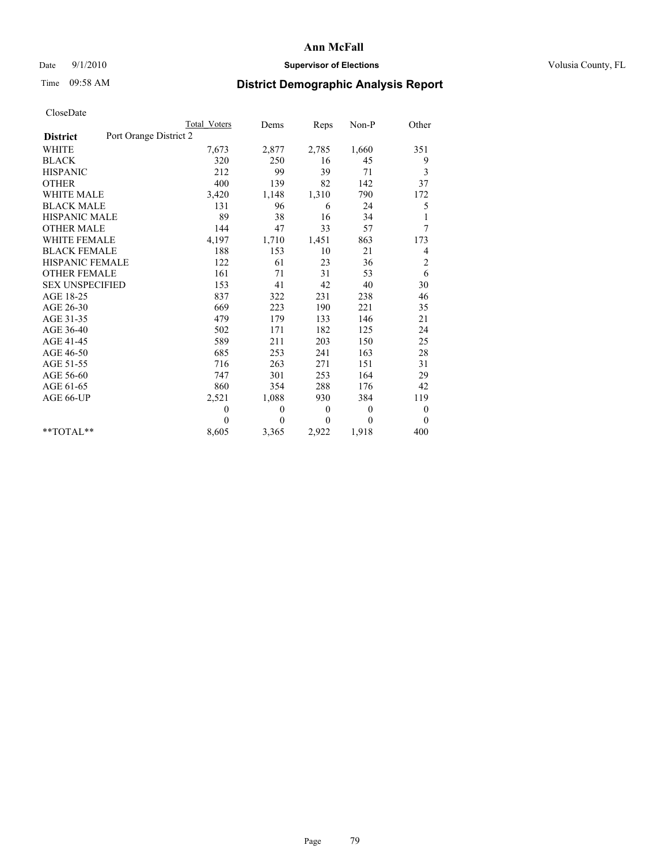# Date  $9/1/2010$  **Supervisor of Elections Supervisor of Elections** Volusia County, FL

# Time 09:58 AM **District Demographic Analysis Report**

|                                           | Total Voters | Dems     | Reps         | $Non-P$      | Other            |
|-------------------------------------------|--------------|----------|--------------|--------------|------------------|
| Port Orange District 2<br><b>District</b> |              |          |              |              |                  |
| <b>WHITE</b>                              | 7,673        | 2,877    | 2,785        | 1,660        | 351              |
| <b>BLACK</b>                              | 320          | 250      | 16           | 45           | 9                |
| <b>HISPANIC</b>                           | 212          | 99       | 39           | 71           | 3                |
| <b>OTHER</b>                              | 400          | 139      | 82           | 142          | 37               |
| WHITE MALE                                | 3,420        | 1,148    | 1,310        | 790          | 172              |
| <b>BLACK MALE</b>                         | 131          | 96       | 6            | 24           | 5                |
| <b>HISPANIC MALE</b>                      | 89           | 38       | 16           | 34           |                  |
| <b>OTHER MALE</b>                         | 144          | 47       | 33           | 57           | 7                |
| <b>WHITE FEMALE</b>                       | 4,197        | 1,710    | 1,451        | 863          | 173              |
| <b>BLACK FEMALE</b>                       | 188          | 153      | 10           | 21           | 4                |
| <b>HISPANIC FEMALE</b>                    | 122          | 61       | 23           | 36           | $\overline{c}$   |
| <b>OTHER FEMALE</b>                       | 161          | 71       | 31           | 53           | 6                |
| <b>SEX UNSPECIFIED</b>                    | 153          | 41       | 42           | 40           | 30               |
| AGE 18-25                                 | 837          | 322      | 231          | 238          | 46               |
| AGE 26-30                                 | 669          | 223      | 190          | 221          | 35               |
| AGE 31-35                                 | 479          | 179      | 133          | 146          | 21               |
| AGE 36-40                                 | 502          | 171      | 182          | 125          | 24               |
| AGE 41-45                                 | 589          | 211      | 203          | 150          | 25               |
| AGE 46-50                                 | 685          | 253      | 241          | 163          | 28               |
| AGE 51-55                                 | 716          | 263      | 271          | 151          | 31               |
| AGE 56-60                                 | 747          | 301      | 253          | 164          | 29               |
| AGE 61-65                                 | 860          | 354      | 288          | 176          | 42               |
| AGE 66-UP                                 | 2,521        | 1,088    | 930          | 384          | 119              |
|                                           | $\theta$     | 0        | $\mathbf{0}$ | $\mathbf{0}$ | $\boldsymbol{0}$ |
|                                           | $\Omega$     | $\theta$ | $\theta$     | $\Omega$     | $\overline{0}$   |
| $*$ $TOTAI.**$                            | 8,605        | 3,365    | 2,922        | 1,918        | 400              |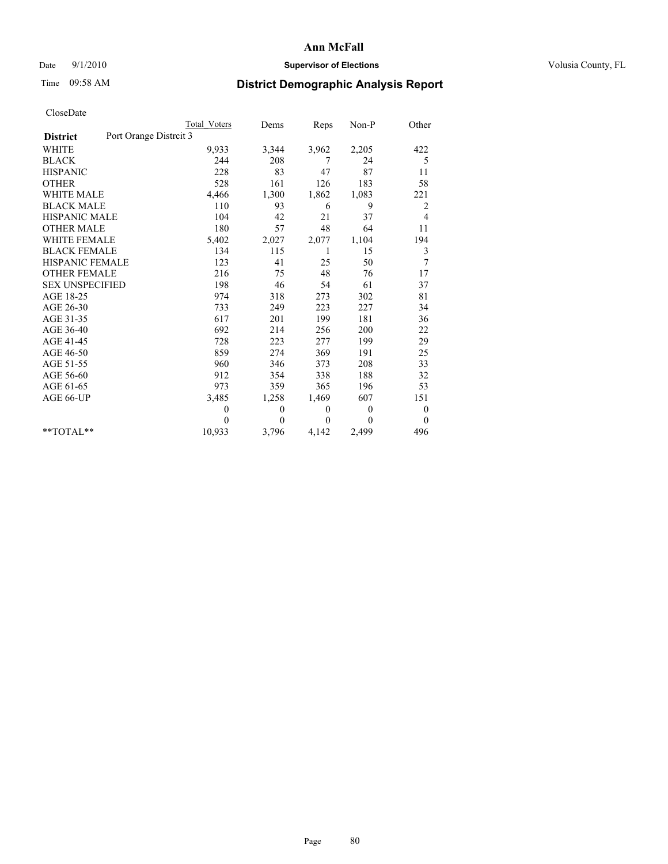## Date 9/1/2010 **Supervisor of Elections Supervisor of Elections** Volusia County, FL

# Time 09:58 AM **District Demographic Analysis Report**

|                                           | <b>Total Voters</b> | Dems             | Reps             | $Non-P$  | Other            |
|-------------------------------------------|---------------------|------------------|------------------|----------|------------------|
| Port Orange Distrcit 3<br><b>District</b> |                     |                  |                  |          |                  |
| <b>WHITE</b>                              | 9,933               | 3,344            | 3,962            | 2,205    | 422              |
| <b>BLACK</b>                              | 244                 | 208              | 7                | 24       | 5                |
| <b>HISPANIC</b>                           | 228                 | 83               | 47               | 87       | 11               |
| <b>OTHER</b>                              | 528                 | 161              | 126              | 183      | 58               |
| <b>WHITE MALE</b>                         | 4,466               | 1,300            | 1,862            | 1,083    | 221              |
| <b>BLACK MALE</b>                         | 110                 | 93               | 6                | 9        | $\overline{c}$   |
| <b>HISPANIC MALE</b>                      | 104                 | 42               | 21               | 37       | 4                |
| <b>OTHER MALE</b>                         | 180                 | 57               | 48               | 64       | 11               |
| <b>WHITE FEMALE</b>                       | 5,402               | 2,027            | 2,077            | 1,104    | 194              |
| <b>BLACK FEMALE</b>                       | 134                 | 115              | 1                | 15       | 3                |
| HISPANIC FEMALE                           | 123                 | 41               | 25               | 50       | 7                |
| <b>OTHER FEMALE</b>                       | 216                 | 75               | 48               | 76       | 17               |
| <b>SEX UNSPECIFIED</b>                    | 198                 | 46               | 54               | 61       | 37               |
| AGE 18-25                                 | 974                 | 318              | 273              | 302      | 81               |
| AGE 26-30                                 | 733                 | 249              | 223              | 227      | 34               |
| AGE 31-35                                 | 617                 | 201              | 199              | 181      | 36               |
| AGE 36-40                                 | 692                 | 214              | 256              | 200      | 22               |
| AGE 41-45                                 | 728                 | 223              | 277              | 199      | 29               |
| AGE 46-50                                 | 859                 | 274              | 369              | 191      | 25               |
| AGE 51-55                                 | 960                 | 346              | 373              | 208      | 33               |
| AGE 56-60                                 | 912                 | 354              | 338              | 188      | 32               |
| AGE 61-65                                 | 973                 | 359              | 365              | 196      | 53               |
| AGE 66-UP                                 | 3,485               | 1,258            | 1,469            | 607      | 151              |
|                                           | $\boldsymbol{0}$    | $\boldsymbol{0}$ | $\boldsymbol{0}$ | 0        | $\boldsymbol{0}$ |
|                                           | $\theta$            | $\theta$         | $\Omega$         | $\theta$ | $\theta$         |
| $**TOTAI.**$                              | 10,933              | 3,796            | 4,142            | 2,499    | 496              |